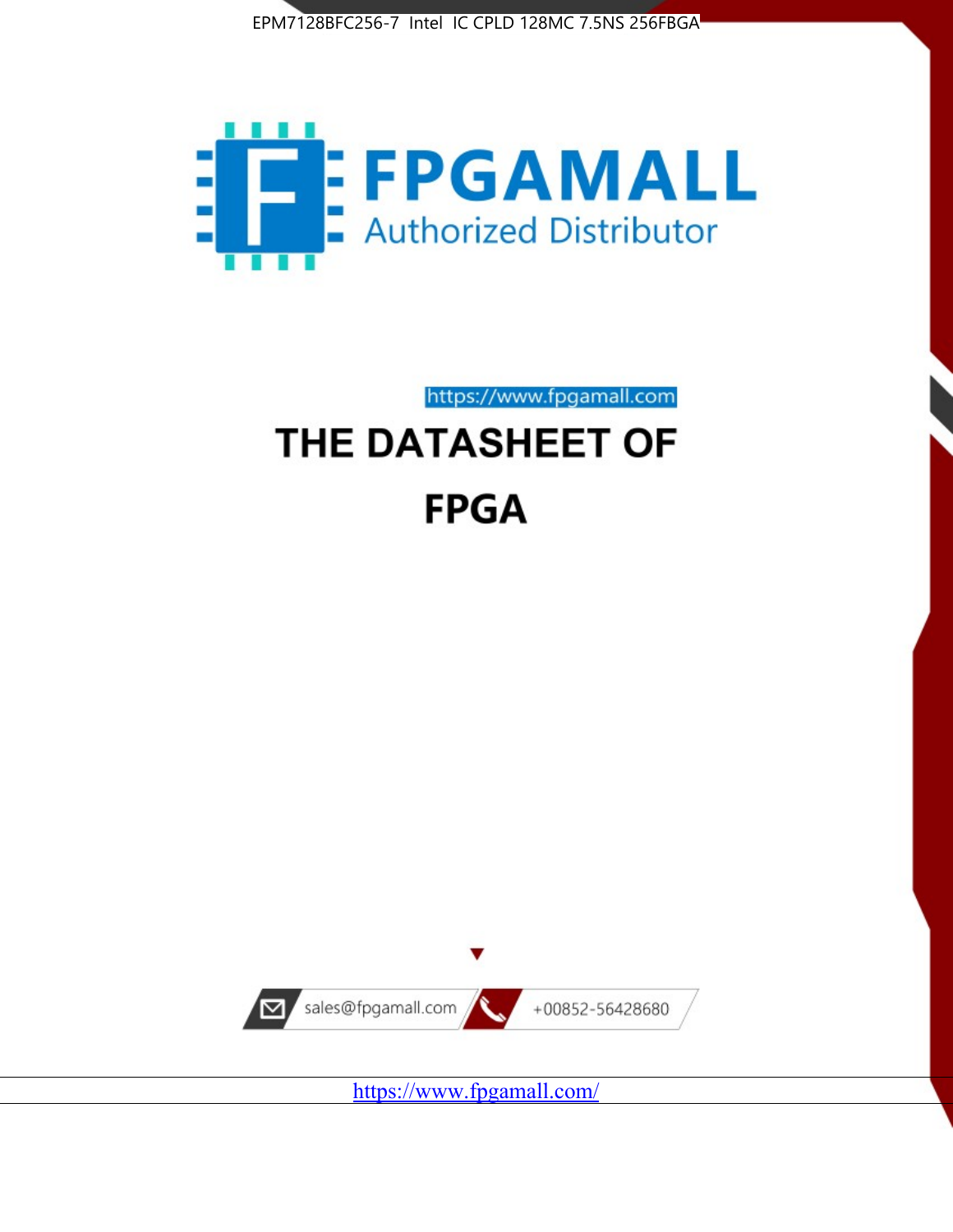



https://www.fpgamall.com

# THE DATASHEET OF **FPGA**



<https://www.fpgamall.com/>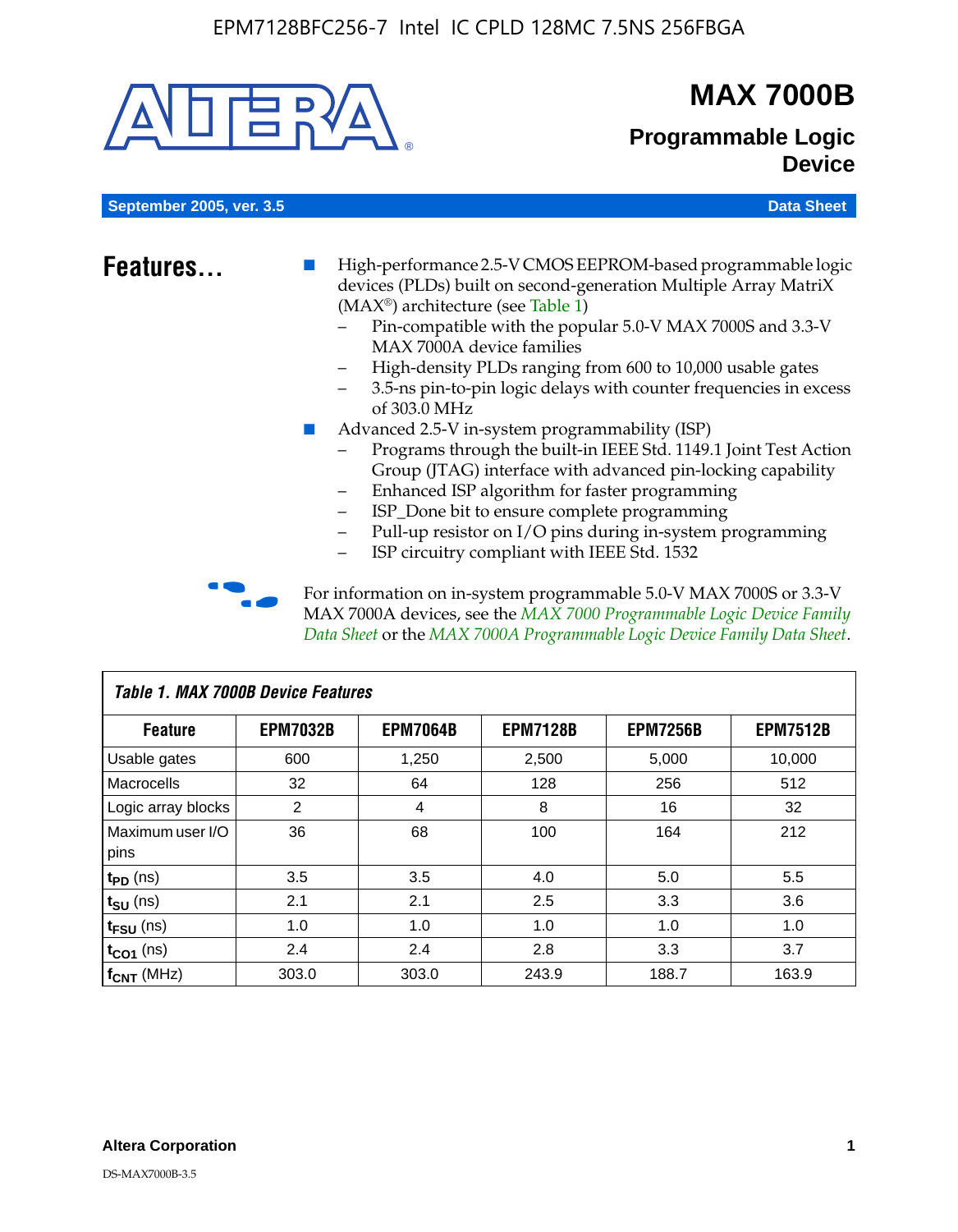

# **MAX 7000B**

# **Programmable Logic Device**

**September 2005, ver. 3.5 Data Sheet** Construction of the Construction of the Construction of the Data Sheet

- **Features...** High-performance 2.5-V CMOS EEPROM-based programmable logic devices (PLDs) built on second-generation Multiple Array MatriX (MAX®) architecture (see Table 1)
	- Pin-compatible with the popular 5.0-V MAX 7000S and 3.3-V MAX 7000A device families
	- High-density PLDs ranging from 600 to 10,000 usable gates
	- 3.5-ns pin-to-pin logic delays with counter frequencies in excess of 303.0 MHz
	- Advanced 2.5-V in-system programmability (ISP)
	- Programs through the built-in IEEE Std. 1149.1 Joint Test Action Group (JTAG) interface with advanced pin-locking capability
	- Enhanced ISP algorithm for faster programming
	- ISP\_Done bit to ensure complete programming
	- Pull-up resistor on I/O pins during in-system programming
	- ISP circuitry compliant with IEEE Std. 1532

For information on in-system programmable 5.0-V MAX 7000S or 3.3-V MAX 7000A devices, see the *MAX 7000 Programmable Logic Device Family Data Sheet* or the *MAX 7000A Programmable Logic Device Family Data Sheet*.

| Table 1. MAX 7000B Device Features |                 |                 |                 |                 |                 |  |  |  |
|------------------------------------|-----------------|-----------------|-----------------|-----------------|-----------------|--|--|--|
| <b>Feature</b>                     | <b>EPM7032B</b> | <b>EPM7064B</b> | <b>EPM7128B</b> | <b>EPM7256B</b> | <b>EPM7512B</b> |  |  |  |
| Usable gates                       | 600             | 1,250           | 2,500           | 5,000           | 10,000          |  |  |  |
| <b>Macrocells</b>                  | 32              | 64              | 128             | 256             | 512             |  |  |  |
| Logic array blocks                 | 2               | 4               | 8               | 16              | 32              |  |  |  |
| Maximum user I/O                   | 36              | 68              | 100             | 164             | 212             |  |  |  |
| pins                               |                 |                 |                 |                 |                 |  |  |  |
| $t_{PD}$ (ns)                      | 3.5             | 3.5             | 4.0             | 5.0             | 5.5             |  |  |  |
| $t_{\text{SU}}$ (ns)               | 2.1             | 2.1             | 2.5             | 3.3             | 3.6             |  |  |  |
| $t_{\text{FSU}}$ (ns)              | 1.0             | 1.0             | 1.0             | 1.0             | 1.0             |  |  |  |
| $t_{CO1}$ (ns)                     | 2.4             | 2.4             | 2.8             | 3.3             | 3.7             |  |  |  |
| f <sub>CNT</sub> (MHz)             | 303.0           | 303.0           | 243.9           | 188.7           | 163.9           |  |  |  |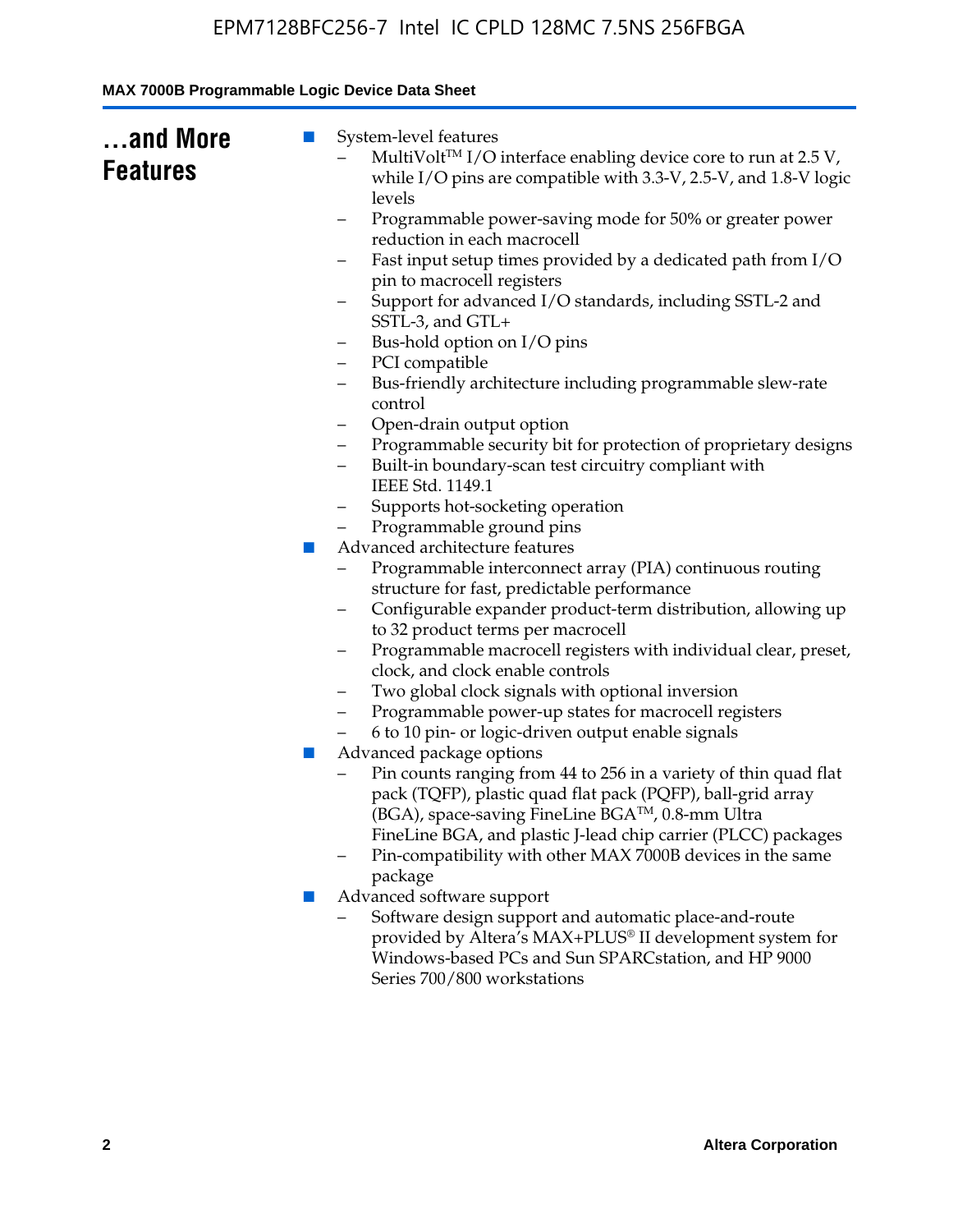| while I/O pins are compatible with 3.3-V, 2.5-V, and 1.8-V logic<br>levels<br>Programmable power-saving mode for 50% or greater power<br>-<br>reduction in each macrocell                                                                                                                                                                       |
|-------------------------------------------------------------------------------------------------------------------------------------------------------------------------------------------------------------------------------------------------------------------------------------------------------------------------------------------------|
| Fast input setup times provided by a dedicated path from I/O<br>-<br>pin to macrocell registers<br>Support for advanced I/O standards, including SSTL-2 and<br>SSTL-3, and GTL+<br>Bus-hold option on I/O pins<br>—                                                                                                                             |
| PCI compatible<br>-<br>Bus-friendly architecture including programmable slew-rate<br>-<br>control<br>Open-drain output option<br>-<br>Programmable security bit for protection of proprietary designs<br>-<br>Built-in boundary-scan test circuitry compliant with                                                                              |
| IEEE Std. 1149.1<br>Supports hot-socketing operation<br>—<br>Programmable ground pins<br>Advanced architecture features<br><b>COL</b><br>Programmable interconnect array (PIA) continuous routing                                                                                                                                               |
| structure for fast, predictable performance<br>Configurable expander product-term distribution, allowing up<br>-<br>to 32 product terms per macrocell<br>Programmable macrocell registers with individual clear, preset,<br>-<br>clock, and clock enable controls<br>Two global clock signals with optional inversion<br>-                      |
| Programmable power-up states for macrocell registers<br>6 to 10 pin- or logic-driven output enable signals<br>Advanced package options<br>ш<br>Pin counts ranging from 44 to 256 in a variety of thin quad flat<br>pack (TQFP), plastic quad flat pack (PQFP), ball-grid array<br>(BGA), space-saving FineLine BGA <sup>TM</sup> , 0.8-mm Ultra |
| FineLine BGA, and plastic J-lead chip carrier (PLCC) packages<br>Pin-compatibility with other MAX 7000B devices in the same<br>package<br>Advanced software support<br>ш<br>Software design support and automatic place-and-route<br>provided by Altera's MAX+PLUS® II development system for                                                   |
|                                                                                                                                                                                                                                                                                                                                                 |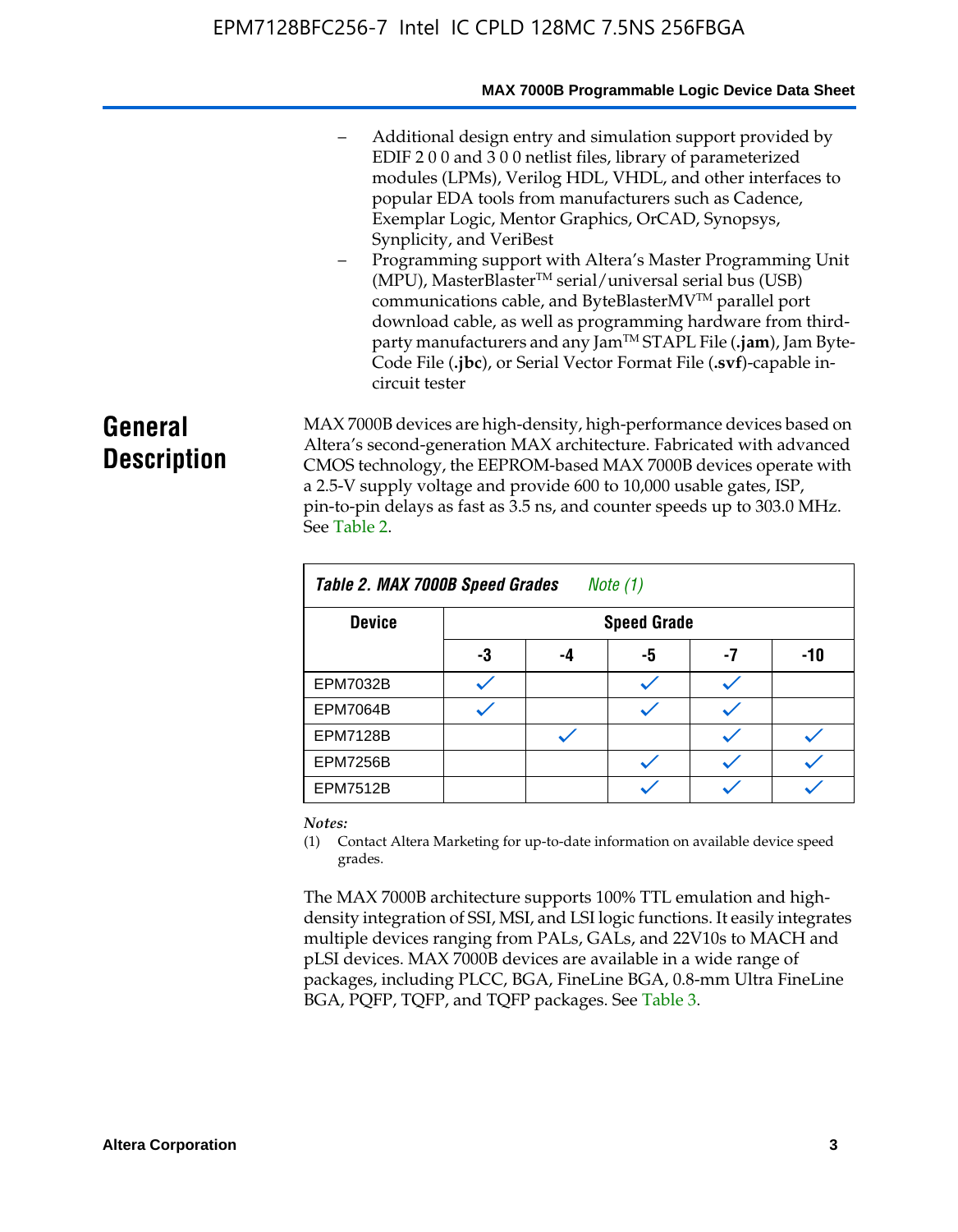- Additional design entry and simulation support provided by EDIF 2 0 0 and 3 0 0 netlist files, library of parameterized modules (LPMs), Verilog HDL, VHDL, and other interfaces to popular EDA tools from manufacturers such as Cadence, Exemplar Logic, Mentor Graphics, OrCAD, Synopsys, Synplicity, and VeriBest
- Programming support with Altera's Master Programming Unit  $(MPU)$ , MasterBlaster<sup>TM</sup> serial/universal serial bus (USB) communications cable, and ByteBlasterMVTM parallel port download cable, as well as programming hardware from thirdparty manufacturers and any JamTM STAPL File (**.jam**), Jam Byte-Code File (**.jbc**), or Serial Vector Format File (**.svf**)-capable incircuit tester

# **General Description**

MAX 7000B devices are high-density, high-performance devices based on Altera's second-generation MAX architecture. Fabricated with advanced CMOS technology, the EEPROM-based MAX 7000B devices operate with a 2.5-V supply voltage and provide 600 to 10,000 usable gates, ISP, pin-to-pin delays as fast as 3.5 ns, and counter speeds up to 303.0 MHz. See Table 2.

| Table 2. MAX 7000B Speed Grades<br>Note $(1)$ |    |                    |    |    |     |  |  |  |
|-----------------------------------------------|----|--------------------|----|----|-----|--|--|--|
| <b>Device</b>                                 |    | <b>Speed Grade</b> |    |    |     |  |  |  |
|                                               | -3 | -4                 | -5 | -7 | -10 |  |  |  |
| <b>EPM7032B</b>                               |    |                    |    |    |     |  |  |  |
| <b>EPM7064B</b>                               |    |                    |    |    |     |  |  |  |
| <b>EPM7128B</b>                               |    |                    |    |    |     |  |  |  |
| <b>EPM7256B</b>                               |    |                    |    |    |     |  |  |  |
| <b>EPM7512B</b>                               |    |                    |    |    |     |  |  |  |

#### *Notes:*

(1) Contact Altera Marketing for up-to-date information on available device speed grades.

The MAX 7000B architecture supports 100% TTL emulation and highdensity integration of SSI, MSI, and LSI logic functions. It easily integrates multiple devices ranging from PALs, GALs, and 22V10s to MACH and pLSI devices. MAX 7000B devices are available in a wide range of packages, including PLCC, BGA, FineLine BGA, 0.8-mm Ultra FineLine BGA, PQFP, TQFP, and TQFP packages. See Table 3.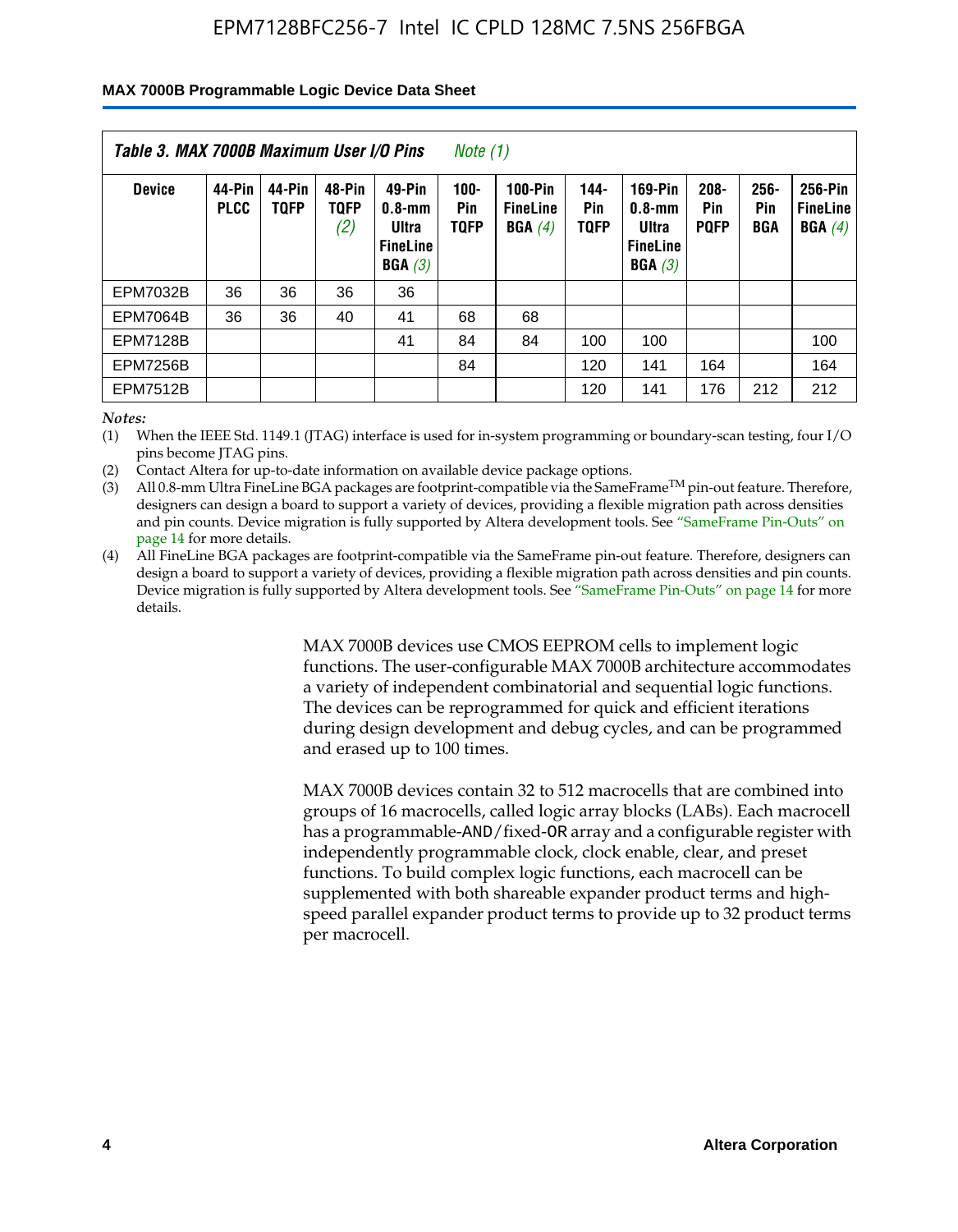#### **MAX 7000B Programmable Logic Device Data Sheet**

| Table 3. MAX 7000B Maximum User I/O Pins<br>Note (1) |                       |                       |                              |                                                            |                                      |                                             |                            |                                                                    |                               |                              |                                      |
|------------------------------------------------------|-----------------------|-----------------------|------------------------------|------------------------------------------------------------|--------------------------------------|---------------------------------------------|----------------------------|--------------------------------------------------------------------|-------------------------------|------------------------------|--------------------------------------|
| <b>Device</b>                                        | 44-Pin<br><b>PLCC</b> | 44-Pin<br><b>TOFP</b> | 48-Pin<br><b>TOFP</b><br>(2) | 49-Pin<br>$0.8 - mm$<br>Ultra<br><b>FineLine</b><br>BGA(3) | $100 -$<br><b>Pin</b><br><b>TQFP</b> | <b>100-Pin</b><br><b>FineLine</b><br>BGA(4) | 144-<br>Pin<br><b>TOFP</b> | <b>169-Pin</b><br>$0.8 - mm$<br>Ultra<br><b>FineLine</b><br>BGA(3) | $208 -$<br>Pin<br><b>PQFP</b> | $256 -$<br>Pin<br><b>BGA</b> | 256-Pin<br><b>FineLine</b><br>BGA(4) |
| <b>EPM7032B</b>                                      | 36                    | 36                    | 36                           | 36                                                         |                                      |                                             |                            |                                                                    |                               |                              |                                      |
| <b>EPM7064B</b>                                      | 36                    | 36                    | 40                           | 41                                                         | 68                                   | 68                                          |                            |                                                                    |                               |                              |                                      |
| <b>EPM7128B</b>                                      |                       |                       |                              | 41                                                         | 84                                   | 84                                          | 100                        | 100                                                                |                               |                              | 100                                  |
| <b>EPM7256B</b>                                      |                       |                       |                              |                                                            | 84                                   |                                             | 120                        | 141                                                                | 164                           |                              | 164                                  |
| <b>EPM7512B</b>                                      |                       |                       |                              |                                                            |                                      |                                             | 120                        | 141                                                                | 176                           | 212                          | 212                                  |

*Notes:*

(1) When the IEEE Std. 1149.1 (JTAG) interface is used for in-system programming or boundary-scan testing, four I/O pins become JTAG pins.

(2) Contact Altera for up-to-date information on available device package options.

(3) All 0.8-mm Ultra FineLine BGA packages are footprint-compatible via the SameFrame<sup>TM</sup> pin-out feature. Therefore, designers can design a board to support a variety of devices, providing a flexible migration path across densities and pin counts. Device migration is fully supported by Altera development tools. See "SameFrame Pin-Outs" on page 14 for more details.

(4) All FineLine BGA packages are footprint-compatible via the SameFrame pin-out feature. Therefore, designers can design a board to support a variety of devices, providing a flexible migration path across densities and pin counts. Device migration is fully supported by Altera development tools. See "SameFrame Pin-Outs" on page 14 for more details.

> MAX 7000B devices use CMOS EEPROM cells to implement logic functions. The user-configurable MAX 7000B architecture accommodates a variety of independent combinatorial and sequential logic functions. The devices can be reprogrammed for quick and efficient iterations during design development and debug cycles, and can be programmed and erased up to 100 times.

> MAX 7000B devices contain 32 to 512 macrocells that are combined into groups of 16 macrocells, called logic array blocks (LABs). Each macrocell has a programmable-AND/fixed-OR array and a configurable register with independently programmable clock, clock enable, clear, and preset functions. To build complex logic functions, each macrocell can be supplemented with both shareable expander product terms and highspeed parallel expander product terms to provide up to 32 product terms per macrocell.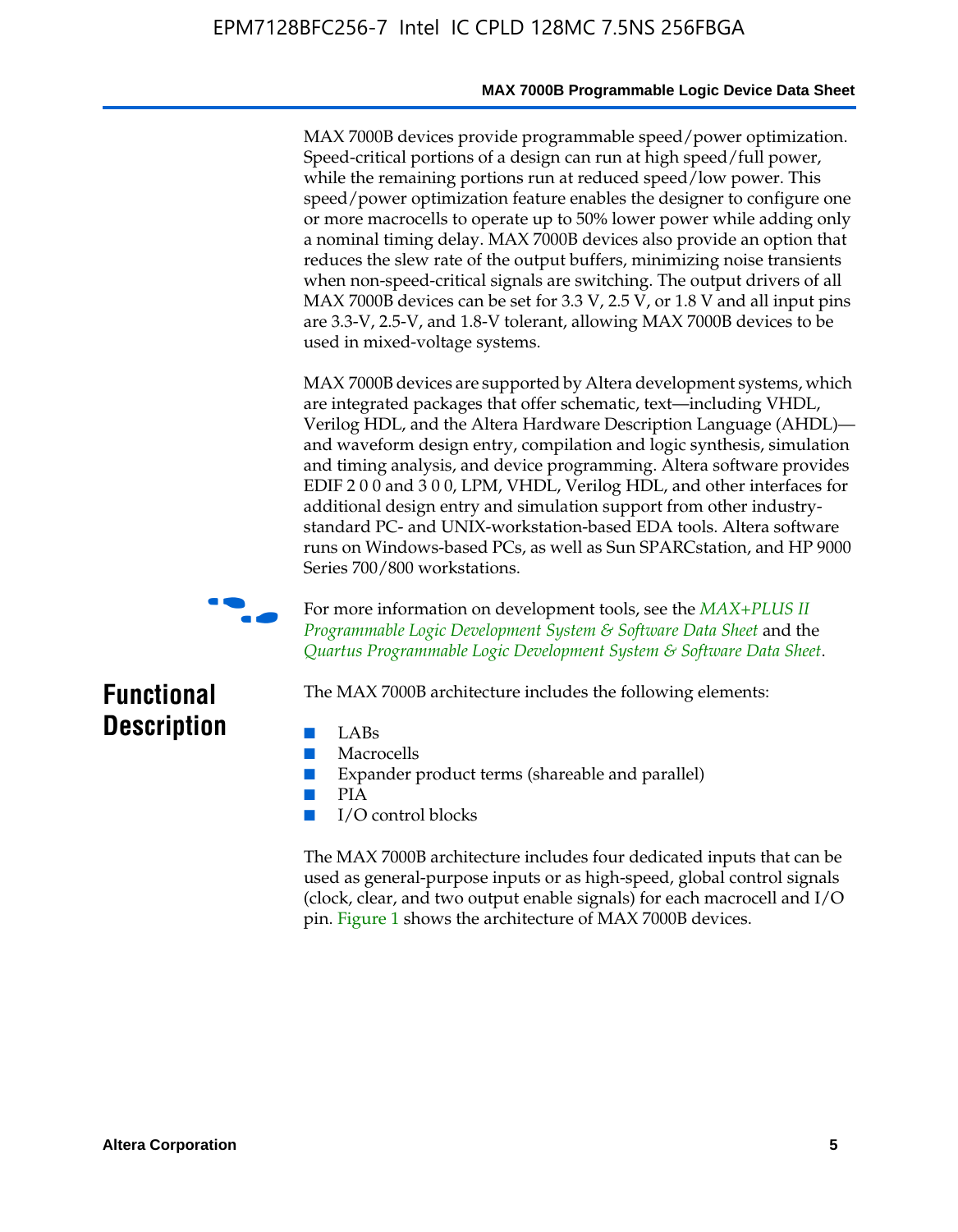MAX 7000B devices provide programmable speed/power optimization. Speed-critical portions of a design can run at high speed/full power, while the remaining portions run at reduced speed/low power. This speed/power optimization feature enables the designer to configure one or more macrocells to operate up to 50% lower power while adding only a nominal timing delay. MAX 7000B devices also provide an option that reduces the slew rate of the output buffers, minimizing noise transients when non-speed-critical signals are switching. The output drivers of all MAX 7000B devices can be set for 3.3 V, 2.5 V, or 1.8 V and all input pins are 3.3-V, 2.5-V, and 1.8-V tolerant, allowing MAX 7000B devices to be used in mixed-voltage systems.

MAX 7000B devices are supported by Altera development systems, which are integrated packages that offer schematic, text—including VHDL, Verilog HDL, and the Altera Hardware Description Language (AHDL) and waveform design entry, compilation and logic synthesis, simulation and timing analysis, and device programming. Altera software provides EDIF 2 0 0 and 3 0 0, LPM, VHDL, Verilog HDL, and other interfaces for additional design entry and simulation support from other industrystandard PC- and UNIX-workstation-based EDA tools. Altera software runs on Windows-based PCs, as well as Sun SPARCstation, and HP 9000 Series 700/800 workstations.



**For more information on development tools, see the** *MAX+PLUS II Programmable Logic Development System & Software Data Sheet* and the *Quartus Programmable Logic Development System & Software Data Sheet*.

# **Functional Description**

- LABs
- Macrocells
- Expander product terms (shareable and parallel)

The MAX 7000B architecture includes the following elements:

- PIA
- I/O control blocks

The MAX 7000B architecture includes four dedicated inputs that can be used as general-purpose inputs or as high-speed, global control signals (clock, clear, and two output enable signals) for each macrocell and I/O pin. Figure 1 shows the architecture of MAX 7000B devices.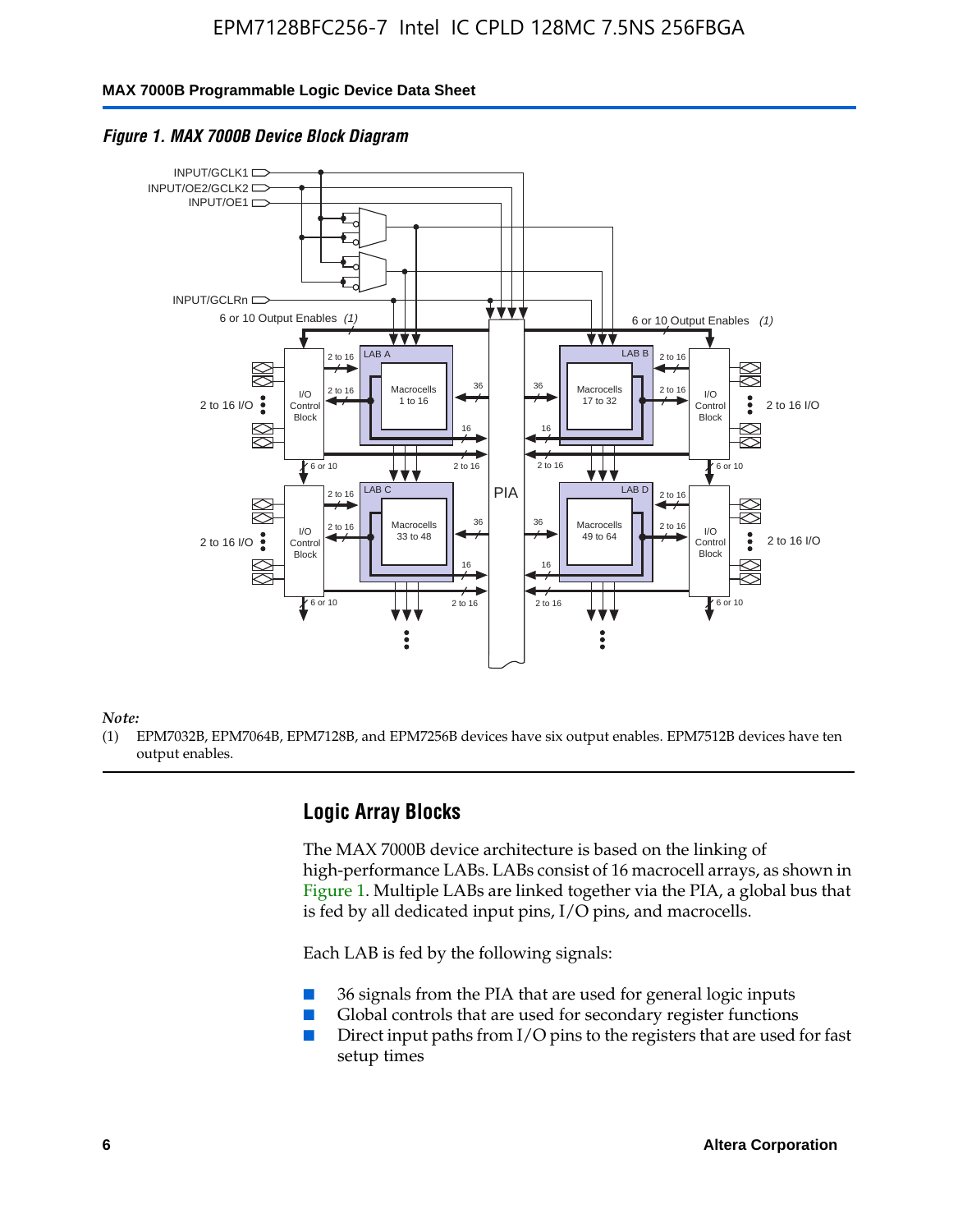### **MAX 7000B Programmable Logic Device Data Sheet**



#### *Figure 1. MAX 7000B Device Block Diagram*

*Note:*

(1) EPM7032B, EPM7064B, EPM7128B, and EPM7256B devices have six output enables. EPM7512B devices have ten output enables.

### **Logic Array Blocks**

The MAX 7000B device architecture is based on the linking of high-performance LABs. LABs consist of 16 macrocell arrays, as shown in Figure 1. Multiple LABs are linked together via the PIA, a global bus that is fed by all dedicated input pins, I/O pins, and macrocells.

Each LAB is fed by the following signals:

- 36 signals from the PIA that are used for general logic inputs
- Global controls that are used for secondary register functions
- Direct input paths from I/O pins to the registers that are used for fast setup times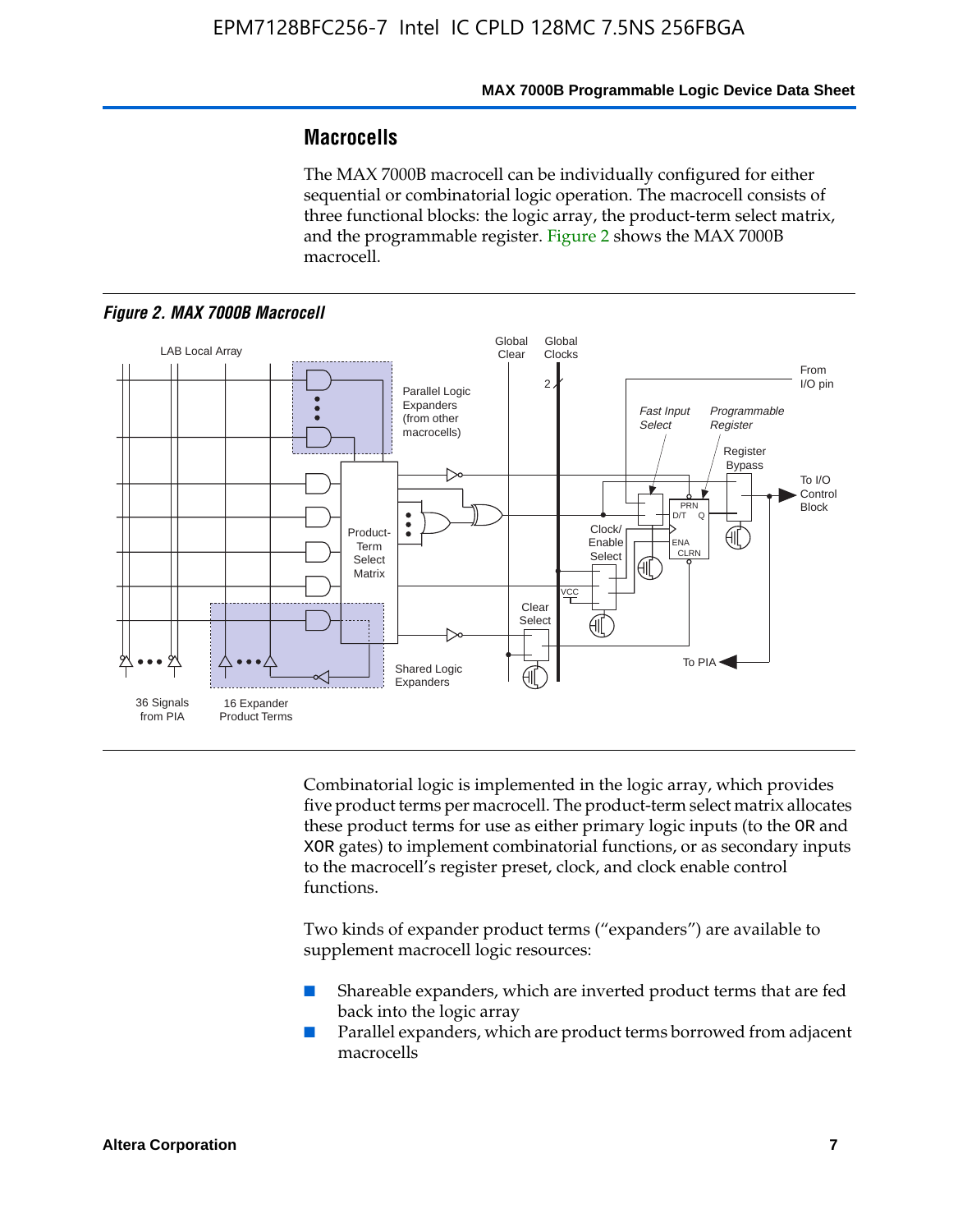# **Macrocells**

The MAX 7000B macrocell can be individually configured for either sequential or combinatorial logic operation. The macrocell consists of three functional blocks: the logic array, the product-term select matrix, and the programmable register. Figure 2 shows the MAX 7000B macrocell.





Combinatorial logic is implemented in the logic array, which provides five product terms per macrocell. The product-term select matrix allocates these product terms for use as either primary logic inputs (to the OR and XOR gates) to implement combinatorial functions, or as secondary inputs to the macrocell's register preset, clock, and clock enable control functions.

Two kinds of expander product terms ("expanders") are available to supplement macrocell logic resources:

- Shareable expanders, which are inverted product terms that are fed back into the logic array
- Parallel expanders, which are product terms borrowed from adjacent macrocells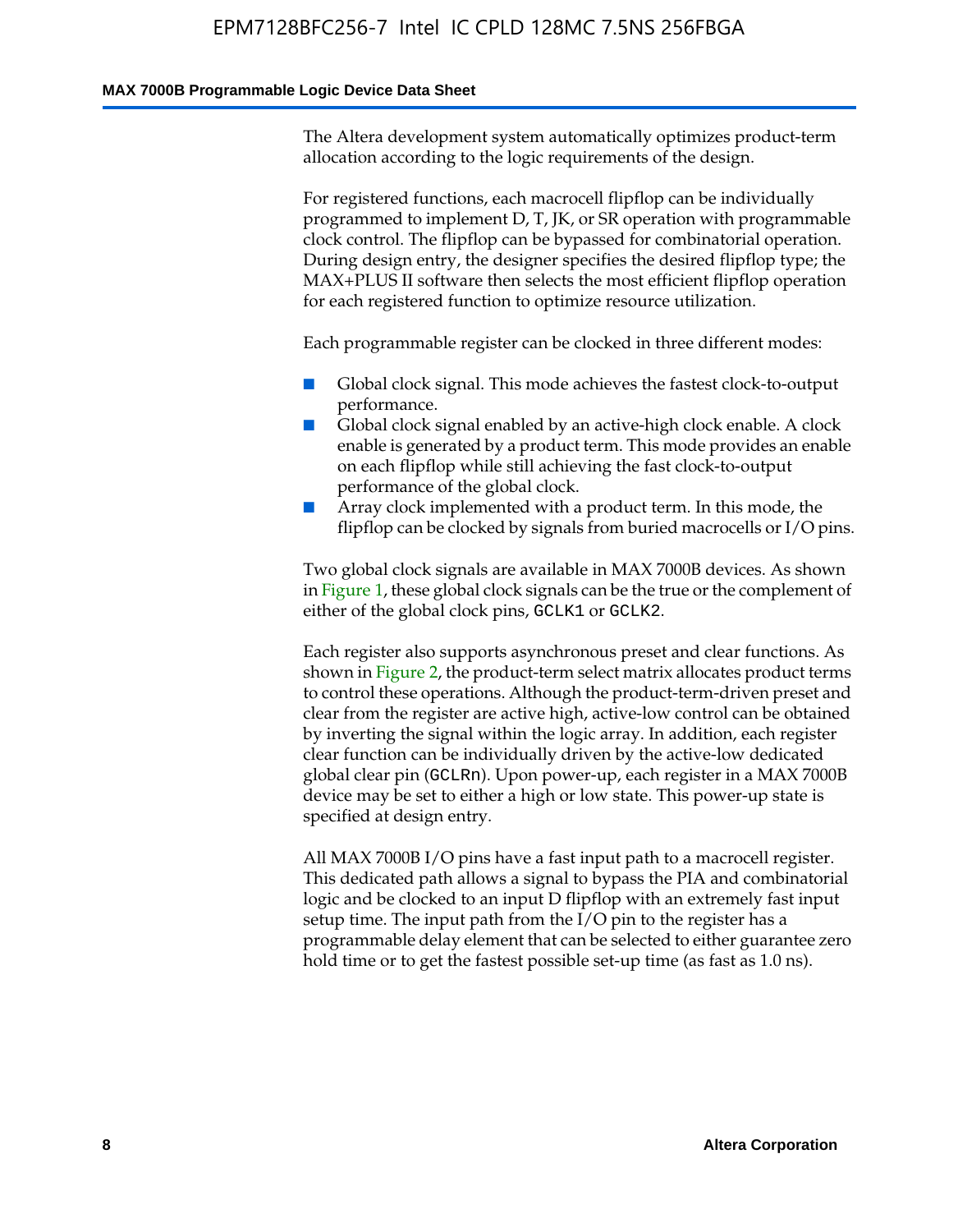#### **MAX 7000B Programmable Logic Device Data Sheet**

The Altera development system automatically optimizes product-term allocation according to the logic requirements of the design.

For registered functions, each macrocell flipflop can be individually programmed to implement D, T, JK, or SR operation with programmable clock control. The flipflop can be bypassed for combinatorial operation. During design entry, the designer specifies the desired flipflop type; the MAX+PLUS II software then selects the most efficient flipflop operation for each registered function to optimize resource utilization.

Each programmable register can be clocked in three different modes:

- Global clock signal. This mode achieves the fastest clock-to-output performance.
- Global clock signal enabled by an active-high clock enable. A clock enable is generated by a product term. This mode provides an enable on each flipflop while still achieving the fast clock-to-output performance of the global clock.
- Array clock implemented with a product term. In this mode, the flipflop can be clocked by signals from buried macrocells or I/O pins.

Two global clock signals are available in MAX 7000B devices. As shown in Figure 1, these global clock signals can be the true or the complement of either of the global clock pins, GCLK1 or GCLK2.

Each register also supports asynchronous preset and clear functions. As shown in Figure 2, the product-term select matrix allocates product terms to control these operations. Although the product-term-driven preset and clear from the register are active high, active-low control can be obtained by inverting the signal within the logic array. In addition, each register clear function can be individually driven by the active-low dedicated global clear pin (GCLRn). Upon power-up, each register in a MAX 7000B device may be set to either a high or low state. This power-up state is specified at design entry.

All MAX 7000B I/O pins have a fast input path to a macrocell register. This dedicated path allows a signal to bypass the PIA and combinatorial logic and be clocked to an input D flipflop with an extremely fast input setup time. The input path from the I/O pin to the register has a programmable delay element that can be selected to either guarantee zero hold time or to get the fastest possible set-up time (as fast as 1.0 ns).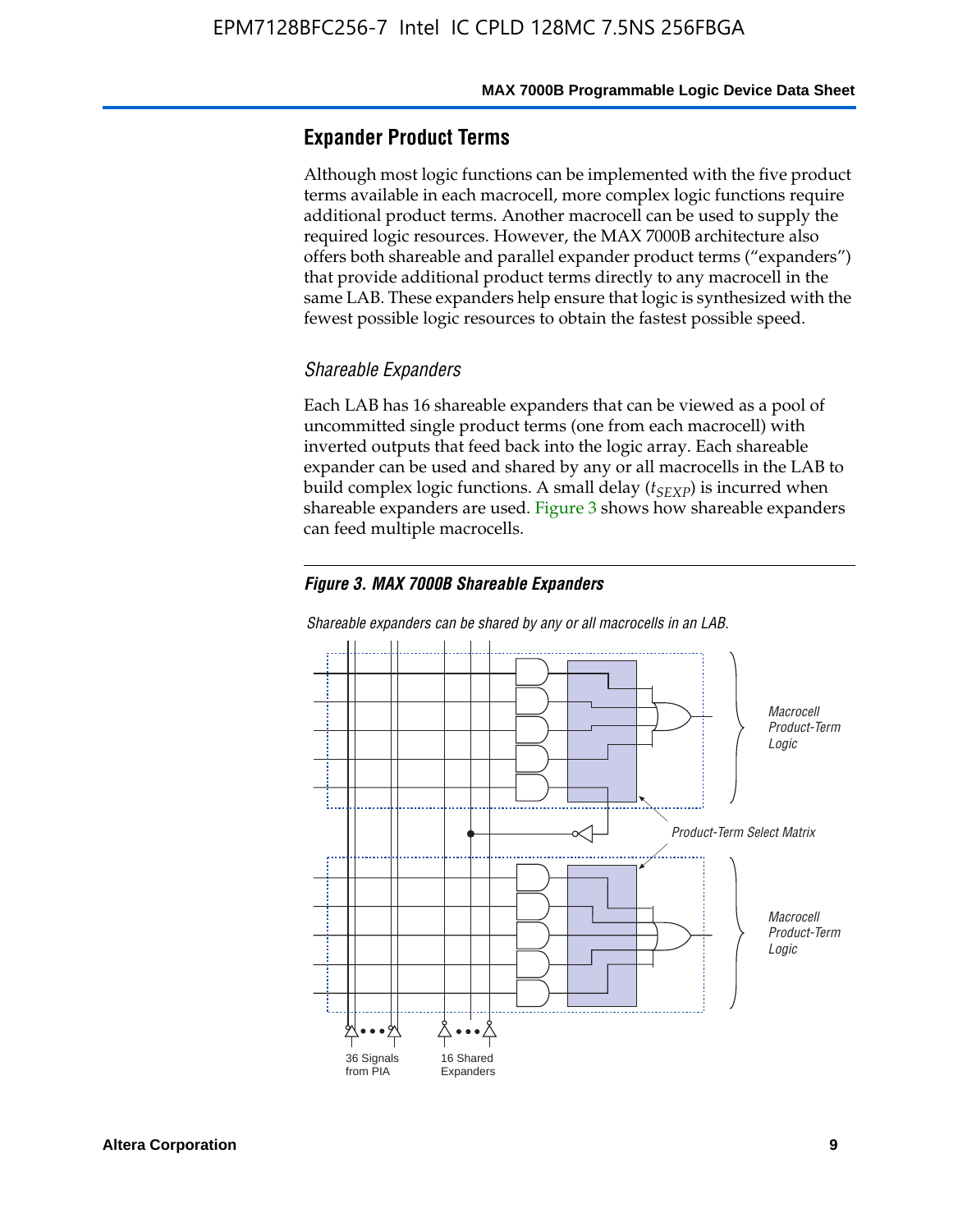### **Expander Product Terms**

Although most logic functions can be implemented with the five product terms available in each macrocell, more complex logic functions require additional product terms. Another macrocell can be used to supply the required logic resources. However, the MAX 7000B architecture also offers both shareable and parallel expander product terms ("expanders") that provide additional product terms directly to any macrocell in the same LAB. These expanders help ensure that logic is synthesized with the fewest possible logic resources to obtain the fastest possible speed.

#### *Shareable Expanders*

Each LAB has 16 shareable expanders that can be viewed as a pool of uncommitted single product terms (one from each macrocell) with inverted outputs that feed back into the logic array. Each shareable expander can be used and shared by any or all macrocells in the LAB to build complex logic functions. A small delay ( $t_{SEXP}$ ) is incurred when shareable expanders are used. Figure 3 shows how shareable expanders can feed multiple macrocells.

#### *Figure 3. MAX 7000B Shareable Expanders*



*Shareable expanders can be shared by any or all macrocells in an LAB.*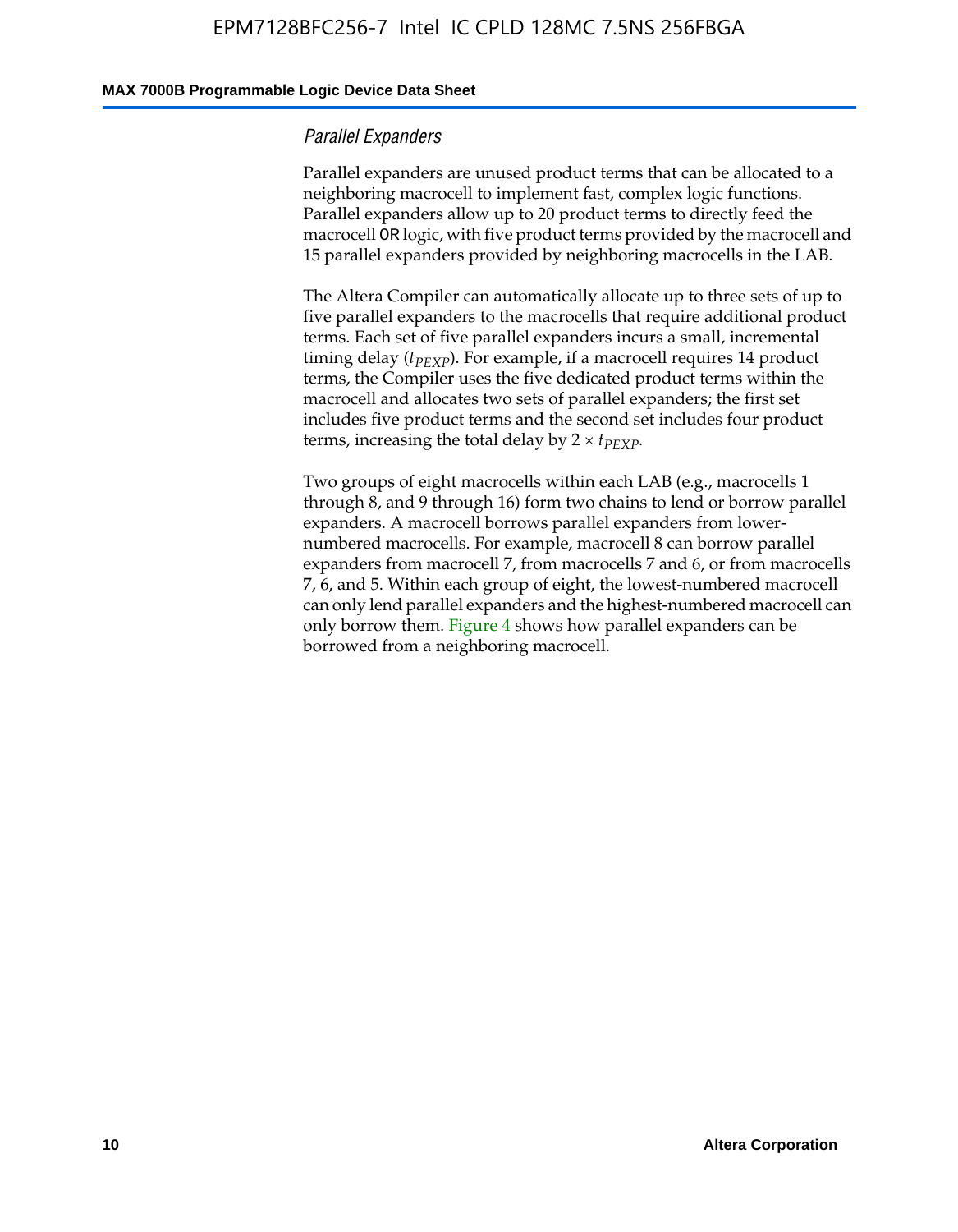#### **MAX 7000B Programmable Logic Device Data Sheet**

### *Parallel Expanders*

Parallel expanders are unused product terms that can be allocated to a neighboring macrocell to implement fast, complex logic functions. Parallel expanders allow up to 20 product terms to directly feed the macrocell OR logic, with five product terms provided by the macrocell and 15 parallel expanders provided by neighboring macrocells in the LAB.

The Altera Compiler can automatically allocate up to three sets of up to five parallel expanders to the macrocells that require additional product terms. Each set of five parallel expanders incurs a small, incremental timing delay ( $t_{PEXP}$ ). For example, if a macrocell requires 14 product terms, the Compiler uses the five dedicated product terms within the macrocell and allocates two sets of parallel expanders; the first set includes five product terms and the second set includes four product terms, increasing the total delay by  $2 \times t_{PEXP}$ .

Two groups of eight macrocells within each LAB (e.g., macrocells 1 through 8, and 9 through 16) form two chains to lend or borrow parallel expanders. A macrocell borrows parallel expanders from lowernumbered macrocells. For example, macrocell 8 can borrow parallel expanders from macrocell 7, from macrocells 7 and 6, or from macrocells 7, 6, and 5. Within each group of eight, the lowest-numbered macrocell can only lend parallel expanders and the highest-numbered macrocell can only borrow them. Figure 4 shows how parallel expanders can be borrowed from a neighboring macrocell.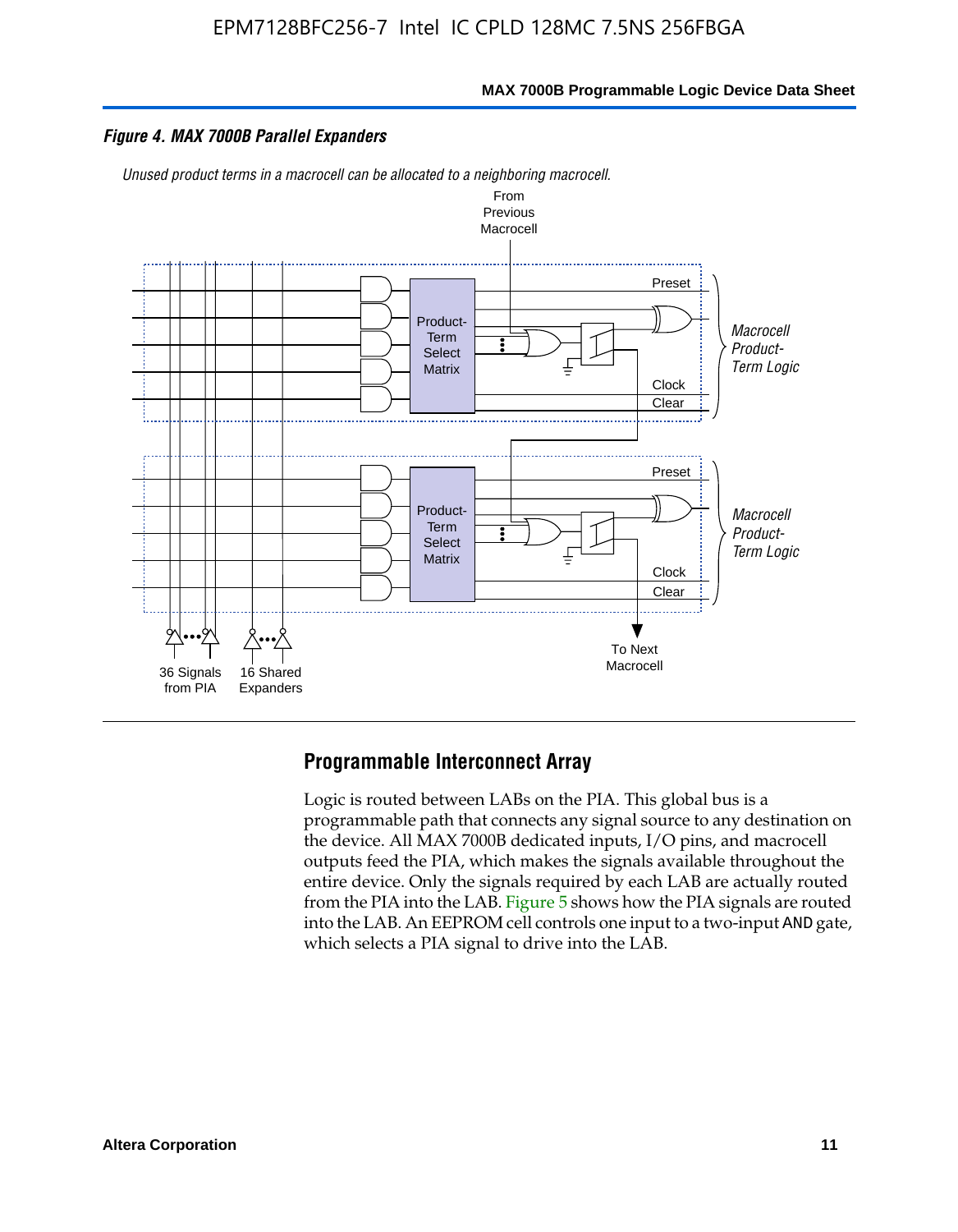

#### *Figure 4. MAX 7000B Parallel Expanders*

*Unused product terms in a macrocell can be allocated to a neighboring macrocell.*



### **Programmable Interconnect Array**

Logic is routed between LABs on the PIA. This global bus is a programmable path that connects any signal source to any destination on the device. All MAX 7000B dedicated inputs, I/O pins, and macrocell outputs feed the PIA, which makes the signals available throughout the entire device. Only the signals required by each LAB are actually routed from the PIA into the LAB. Figure 5 shows how the PIA signals are routed into the LAB. An EEPROM cell controls one input to a two-input AND gate, which selects a PIA signal to drive into the LAB.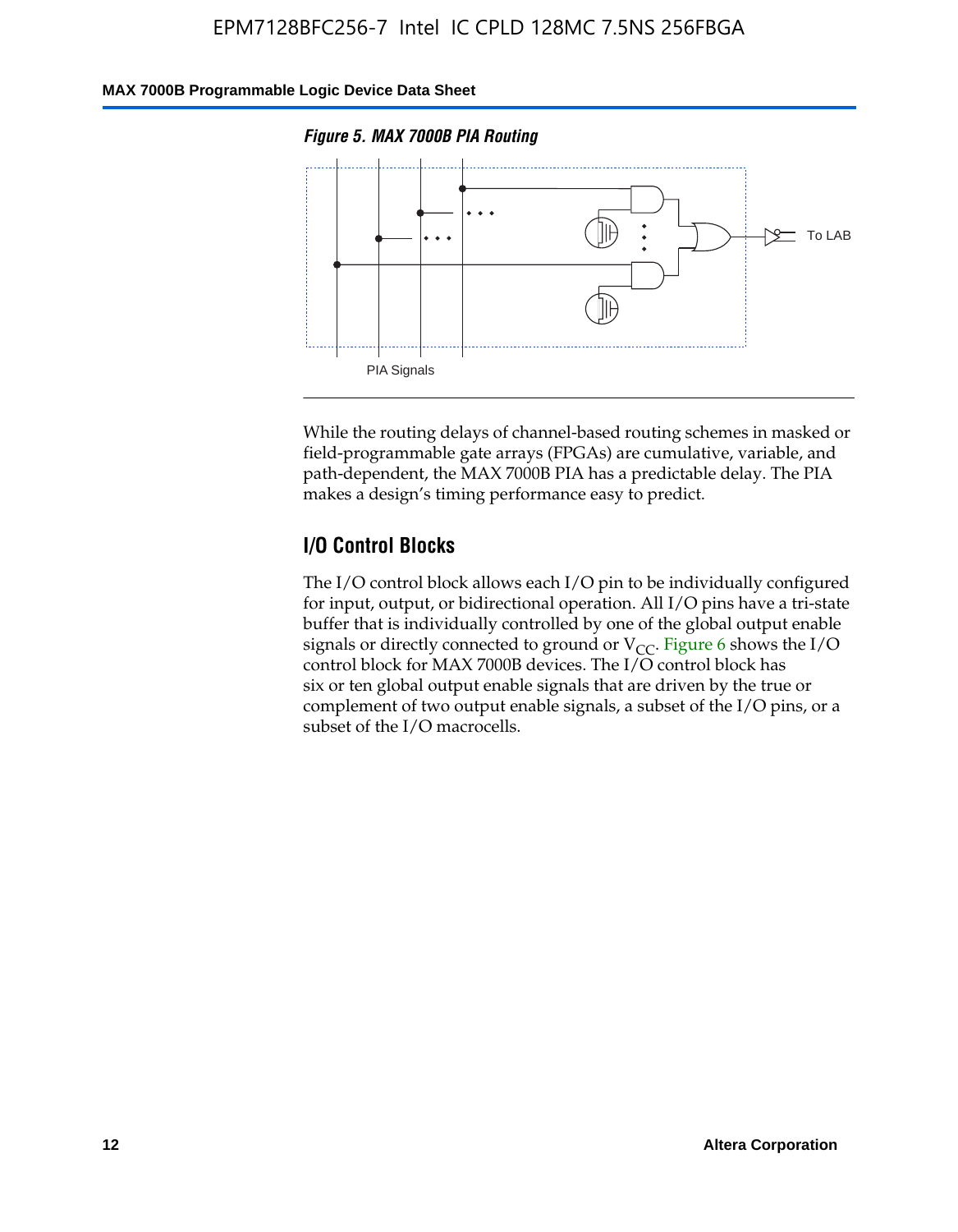### **MAX 7000B Programmable Logic Device Data Sheet**





While the routing delays of channel-based routing schemes in masked or field-programmable gate arrays (FPGAs) are cumulative, variable, and path-dependent, the MAX 7000B PIA has a predictable delay. The PIA makes a design's timing performance easy to predict.

### **I/O Control Blocks**

The I/O control block allows each I/O pin to be individually configured for input, output, or bidirectional operation. All I/O pins have a tri-state buffer that is individually controlled by one of the global output enable signals or directly connected to ground or  $V_{CC}$ . Figure 6 shows the I/O control block for MAX 7000B devices. The I/O control block has six or ten global output enable signals that are driven by the true or complement of two output enable signals, a subset of the I/O pins, or a subset of the I/O macrocells.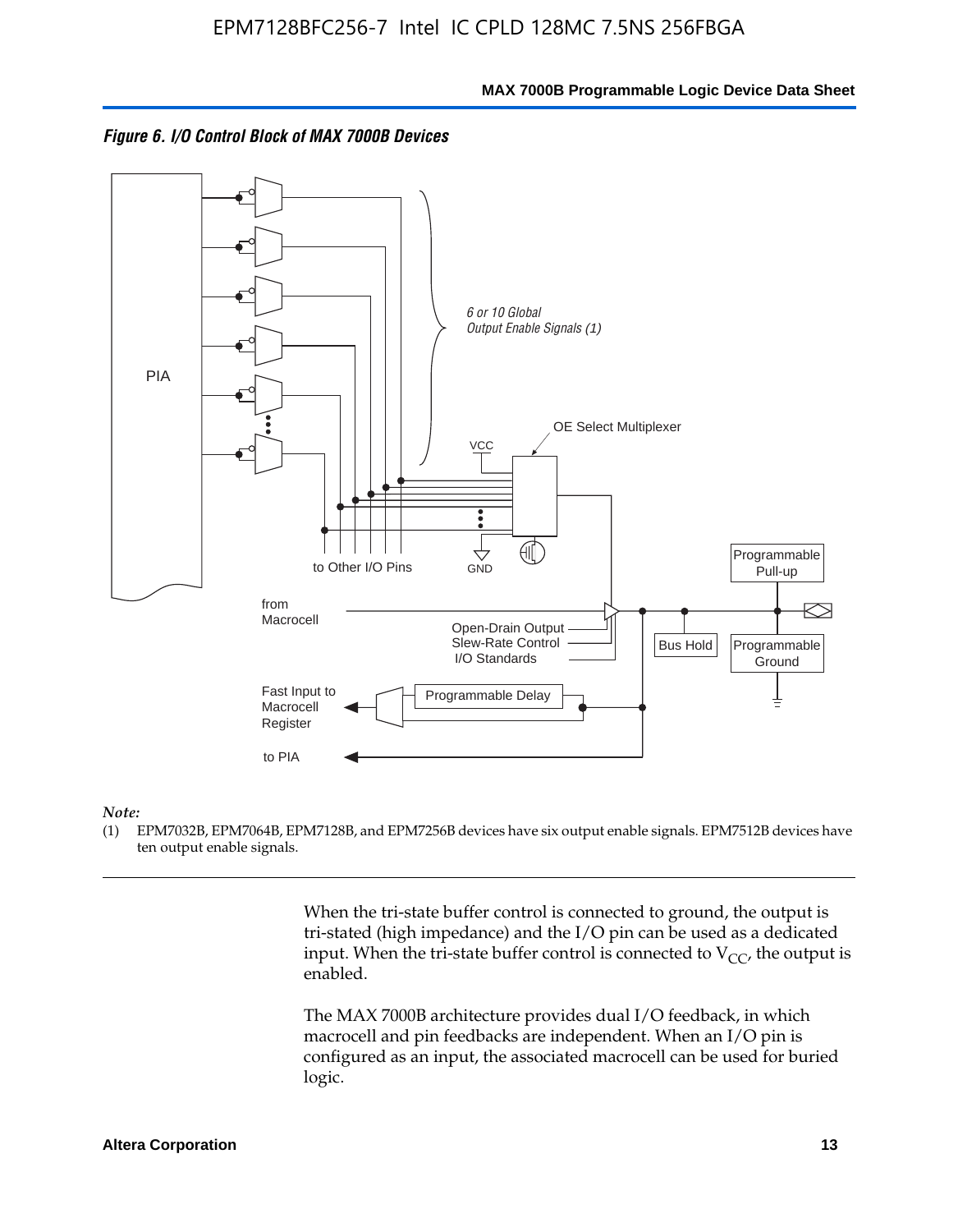



#### *Note:*

(1) EPM7032B, EPM7064B, EPM7128B, and EPM7256B devices have six output enable signals. EPM7512B devices have ten output enable signals.

> When the tri-state buffer control is connected to ground, the output is tri-stated (high impedance) and the I/O pin can be used as a dedicated input. When the tri-state buffer control is connected to  $V_{CC}$ , the output is enabled.

The MAX 7000B architecture provides dual I/O feedback, in which macrocell and pin feedbacks are independent. When an I/O pin is configured as an input, the associated macrocell can be used for buried logic.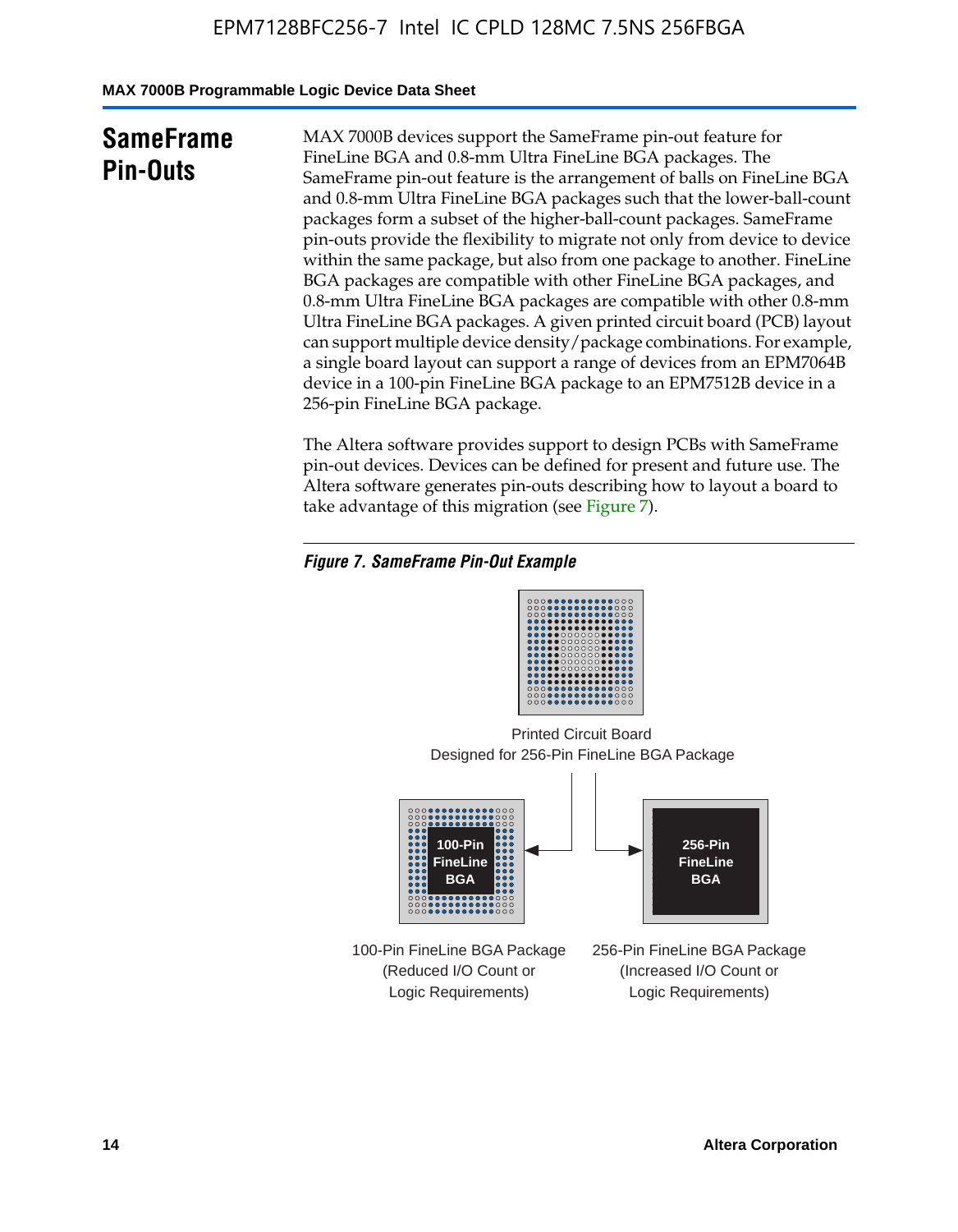**MAX 7000B Programmable Logic Device Data Sheet**

# **SameFrame Pin-Outs**

MAX 7000B devices support the SameFrame pin-out feature for FineLine BGA and 0.8-mm Ultra FineLine BGA packages. The SameFrame pin-out feature is the arrangement of balls on FineLine BGA and 0.8-mm Ultra FineLine BGA packages such that the lower-ball-count packages form a subset of the higher-ball-count packages. SameFrame pin-outs provide the flexibility to migrate not only from device to device within the same package, but also from one package to another. FineLine BGA packages are compatible with other FineLine BGA packages, and 0.8-mm Ultra FineLine BGA packages are compatible with other 0.8-mm Ultra FineLine BGA packages. A given printed circuit board (PCB) layout can support multiple device density/package combinations. For example, a single board layout can support a range of devices from an EPM7064B device in a 100-pin FineLine BGA package to an EPM7512B device in a 256-pin FineLine BGA package.

The Altera software provides support to design PCBs with SameFrame pin-out devices. Devices can be defined for present and future use. The Altera software generates pin-outs describing how to layout a board to take advantage of this migration (see Figure 7).

### *Figure 7. SameFrame Pin-Out Example*

Designed for 256-Pin FineLine BGA Package Printed Circuit Board



100-Pin FineLine BGA Package (Reduced I/O Count or Logic Requirements)

256-Pin FineLine BGA Package (Increased I/O Count or Logic Requirements)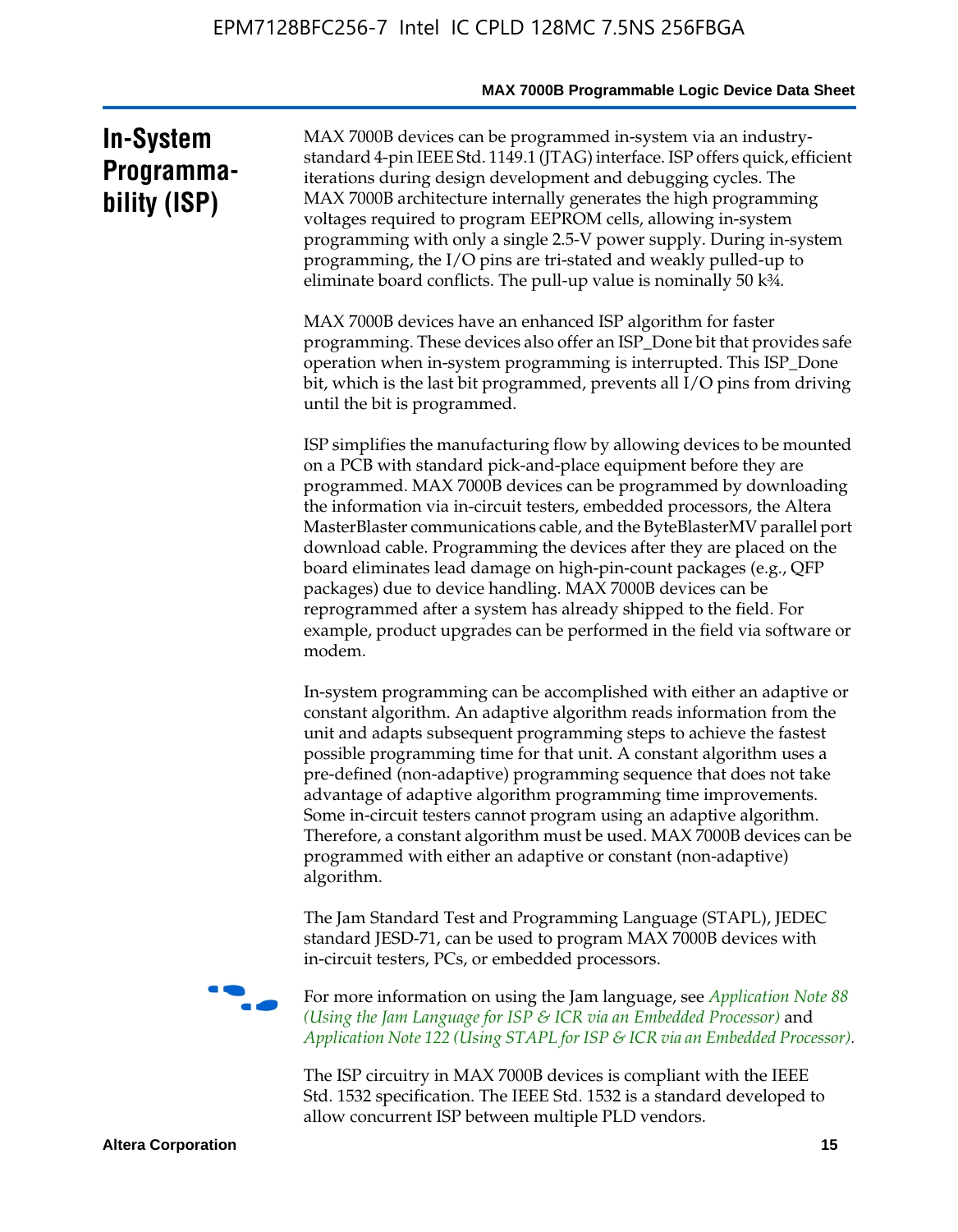# **In-System Programmability (ISP)**

MAX 7000B devices can be programmed in-system via an industrystandard 4-pin IEEE Std. 1149.1 (JTAG) interface. ISP offers quick, efficient iterations during design development and debugging cycles. The MAX 7000B architecture internally generates the high programming voltages required to program EEPROM cells, allowing in-system programming with only a single 2.5-V power supply. During in-system programming, the I/O pins are tri-stated and weakly pulled-up to eliminate board conflicts. The pull-up value is nominally 50 k¾.

MAX 7000B devices have an enhanced ISP algorithm for faster programming. These devices also offer an ISP\_Done bit that provides safe operation when in-system programming is interrupted. This ISP\_Done bit, which is the last bit programmed, prevents all I/O pins from driving until the bit is programmed.

ISP simplifies the manufacturing flow by allowing devices to be mounted on a PCB with standard pick-and-place equipment before they are programmed. MAX 7000B devices can be programmed by downloading the information via in-circuit testers, embedded processors, the Altera MasterBlaster communications cable, and the ByteBlasterMV parallel port download cable. Programming the devices after they are placed on the board eliminates lead damage on high-pin-count packages (e.g., QFP packages) due to device handling. MAX 7000B devices can be reprogrammed after a system has already shipped to the field. For example, product upgrades can be performed in the field via software or modem.

In-system programming can be accomplished with either an adaptive or constant algorithm. An adaptive algorithm reads information from the unit and adapts subsequent programming steps to achieve the fastest possible programming time for that unit. A constant algorithm uses a pre-defined (non-adaptive) programming sequence that does not take advantage of adaptive algorithm programming time improvements. Some in-circuit testers cannot program using an adaptive algorithm. Therefore, a constant algorithm must be used. MAX 7000B devices can be programmed with either an adaptive or constant (non-adaptive) algorithm.

The Jam Standard Test and Programming Language (STAPL), JEDEC standard JESD-71, can be used to program MAX 7000B devices with in-circuit testers, PCs, or embedded processors.



f For more information on using the Jam language, see *Application Note 88 (Using the Jam Language for ISP & ICR via an Embedded Processor)* and *Application Note 122 (Using STAPL for ISP & ICR via an Embedded Processor).*

The ISP circuitry in MAX 7000B devices is compliant with the IEEE Std. 1532 specification. The IEEE Std. 1532 is a standard developed to allow concurrent ISP between multiple PLD vendors.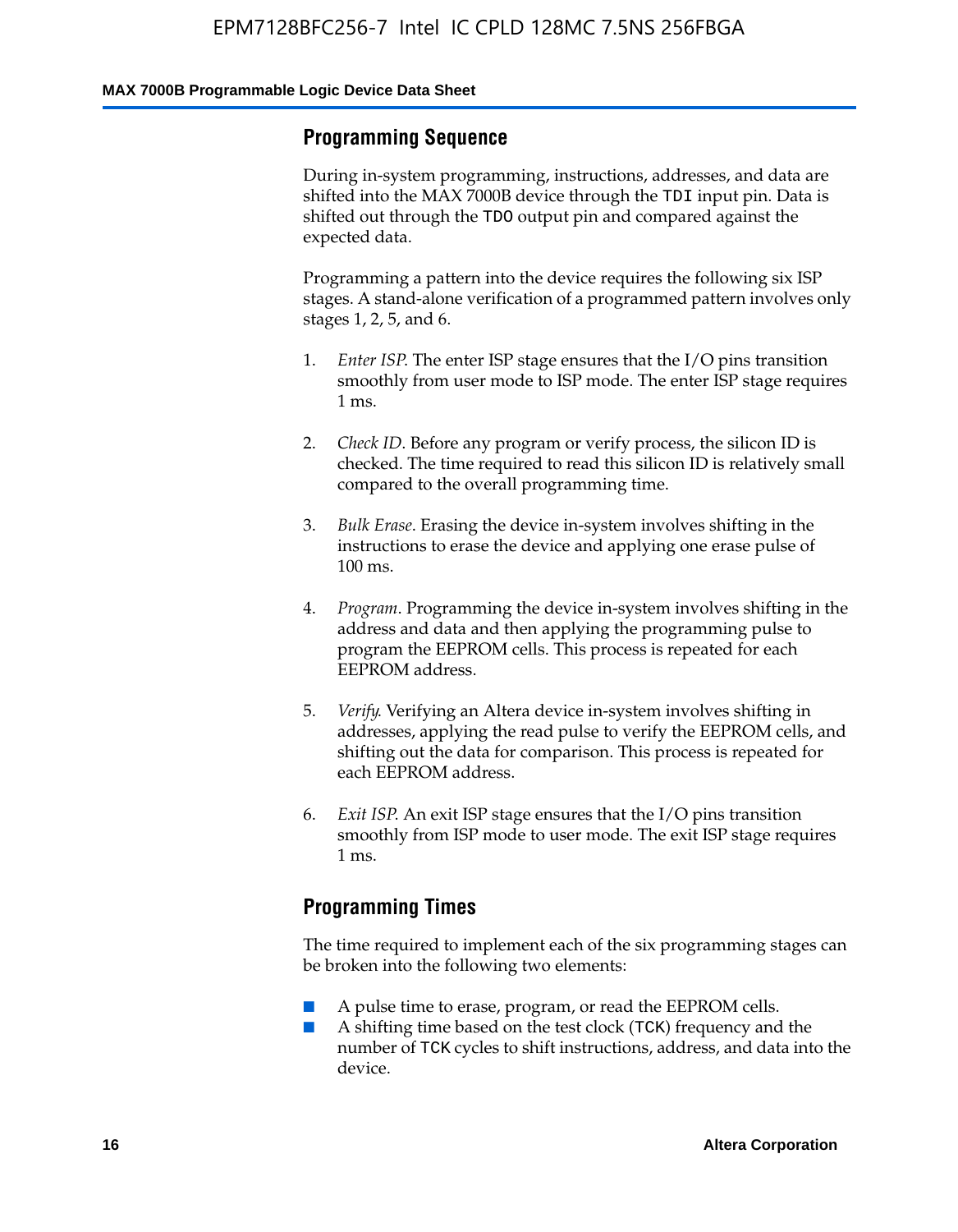### **Programming Sequence**

During in-system programming, instructions, addresses, and data are shifted into the MAX 7000B device through the TDI input pin. Data is shifted out through the TDO output pin and compared against the expected data.

Programming a pattern into the device requires the following six ISP stages. A stand-alone verification of a programmed pattern involves only stages 1, 2, 5, and 6.

- 1. *Enter ISP*. The enter ISP stage ensures that the I/O pins transition smoothly from user mode to ISP mode. The enter ISP stage requires 1 ms.
- 2. *Check ID*. Before any program or verify process, the silicon ID is checked. The time required to read this silicon ID is relatively small compared to the overall programming time.
- 3. *Bulk Erase*. Erasing the device in-system involves shifting in the instructions to erase the device and applying one erase pulse of 100 ms.
- 4. *Program*. Programming the device in-system involves shifting in the address and data and then applying the programming pulse to program the EEPROM cells. This process is repeated for each EEPROM address.
- 5. *Verify*. Verifying an Altera device in-system involves shifting in addresses, applying the read pulse to verify the EEPROM cells, and shifting out the data for comparison. This process is repeated for each EEPROM address.
- 6. *Exit ISP*. An exit ISP stage ensures that the I/O pins transition smoothly from ISP mode to user mode. The exit ISP stage requires 1 ms.

# **Programming Times**

The time required to implement each of the six programming stages can be broken into the following two elements:

- A pulse time to erase, program, or read the EEPROM cells.
- A shifting time based on the test clock (TCK) frequency and the number of TCK cycles to shift instructions, address, and data into the device.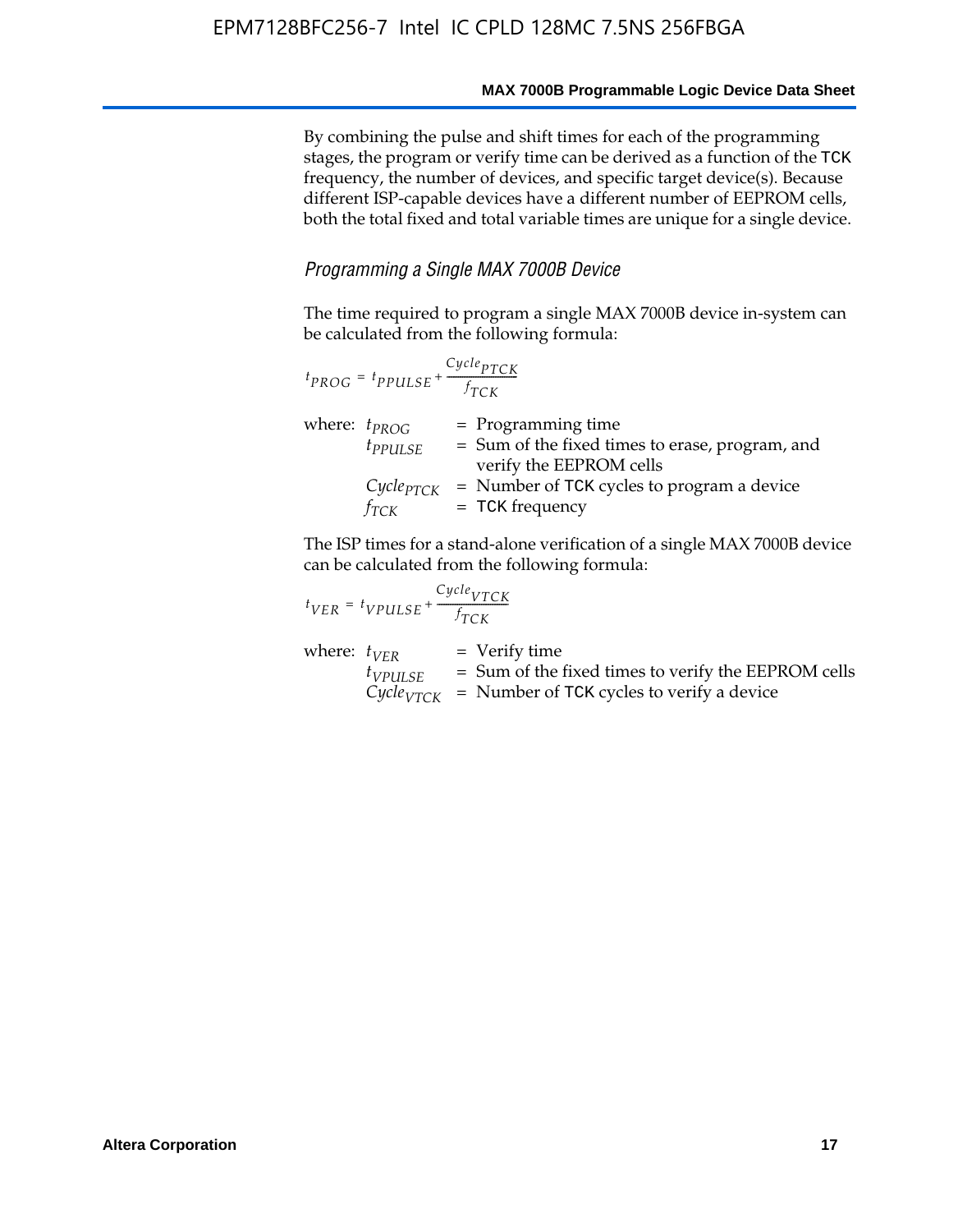By combining the pulse and shift times for each of the programming stages, the program or verify time can be derived as a function of the TCK frequency, the number of devices, and specific target device(s). Because different ISP-capable devices have a different number of EEPROM cells, both the total fixed and total variable times are unique for a single device.

### *Programming a Single MAX 7000B Device*

The time required to program a single MAX 7000B device in-system can be calculated from the following formula:

| $t_{PROG} = t_{PPULSE} + \frac{Cycle_{PTCK}}{f_{TCK}}$ |                                                                                                    |
|--------------------------------------------------------|----------------------------------------------------------------------------------------------------|
| where: $t_{PROG}$<br>$t_{PPULSE}$                      | $=$ Programming time<br>= Sum of the fixed times to erase, program, and<br>verify the EEPROM cells |
| $Cycle_{PTCK}$<br>fтск                                 | = Number of TCK cycles to program a device<br>$=$ TCK frequency                                    |

The ISP times for a stand-alone verification of a single MAX 7000B device can be calculated from the following formula:

| $t_{VER} = t_{VPULSE} + \frac{t_{TCK}}{f_{TCK}}$ | $Cycle_{VTCK}$ |                                                                                                                                   |
|--------------------------------------------------|----------------|-----------------------------------------------------------------------------------------------------------------------------------|
| where: $t_{VFR}$<br>$t_{VPULSE}$                 |                | $=$ Verify time<br>$=$ Sum of the fixed times to verify the EEPROM cells<br>$CycleVTCK$ = Number of TCK cycles to verify a device |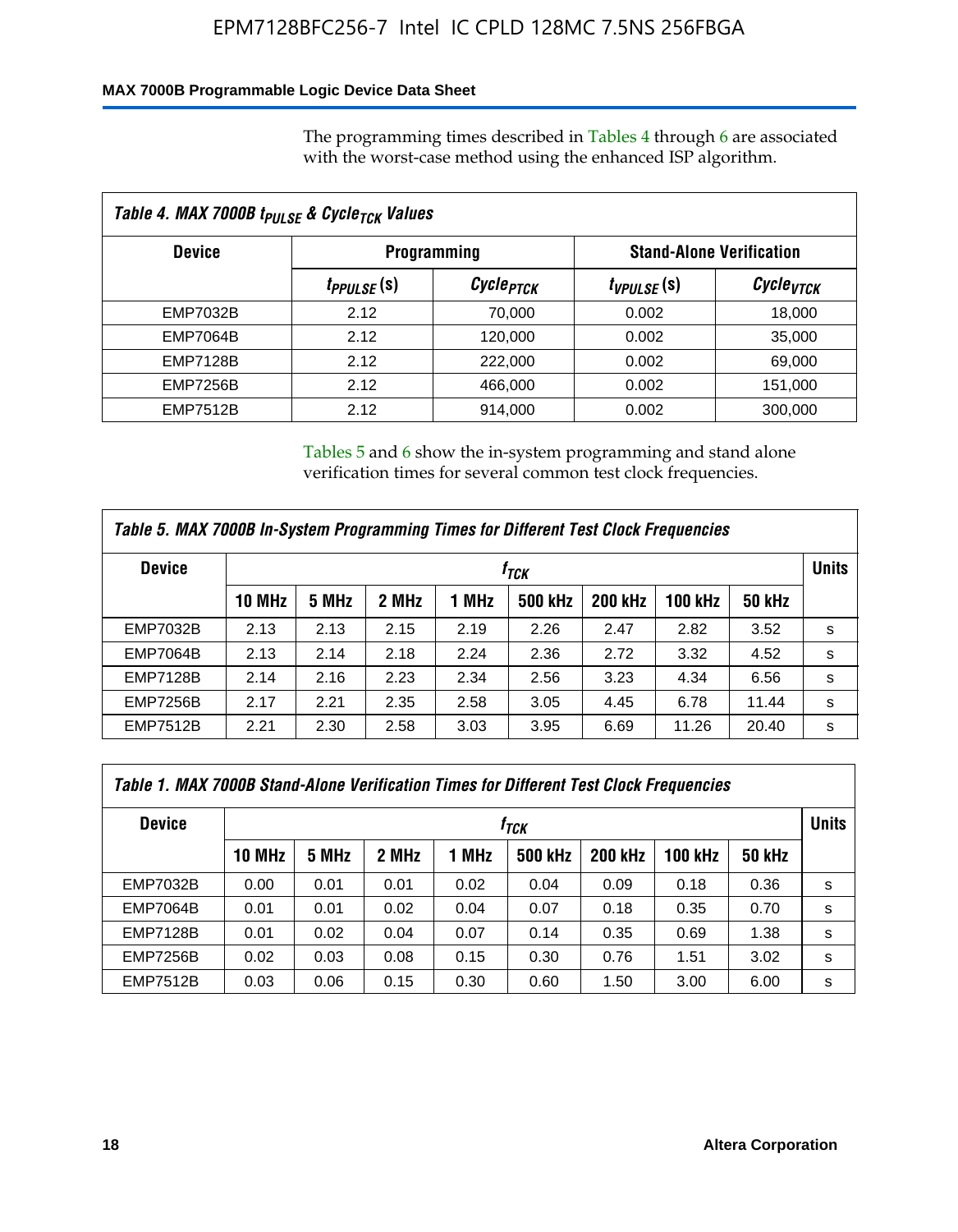### **MAX 7000B Programmable Logic Device Data Sheet**

The programming times described in Tables 4 through 6 are associated with the worst-case method using the enhanced ISP algorithm.

| Table 4. MAX 7000B t <sub>PULSE</sub> & Cycle <sub>TCK</sub> Values |                               |                       |                 |                                 |  |  |  |  |
|---------------------------------------------------------------------|-------------------------------|-----------------------|-----------------|---------------------------------|--|--|--|--|
| <b>Device</b>                                                       |                               | <b>Programming</b>    |                 | <b>Stand-Alone Verification</b> |  |  |  |  |
|                                                                     | <i>t<sub>PPULSE</sub></i> (s) | Cycle <sub>PTCK</sub> | $t_{VPULSE}(s)$ | Cycle <sub>vTCK</sub>           |  |  |  |  |
| EMP7032B                                                            | 2.12                          | 70,000                | 0.002           | 18,000                          |  |  |  |  |
| <b>EMP7064B</b>                                                     | 2.12                          | 120,000               | 0.002           | 35,000                          |  |  |  |  |
| <b>EMP7128B</b>                                                     | 2.12                          | 222,000               | 0.002           | 69,000                          |  |  |  |  |
| <b>EMP7256B</b>                                                     | 2.12                          | 466,000               | 0.002           | 151,000                         |  |  |  |  |
| <b>EMP7512B</b>                                                     | 2.12                          | 914,000               | 0.002           | 300,000                         |  |  |  |  |

Tables 5 and 6 show the in-system programming and stand alone verification times for several common test clock frequencies.

| Table 5. MAX 7000B In-System Programming Times for Different Test Clock Frequencies |        |       |       |       |                |                |                |               |              |
|-------------------------------------------------------------------------------------|--------|-------|-------|-------|----------------|----------------|----------------|---------------|--------------|
| <b>Device</b>                                                                       | İтск   |       |       |       |                |                |                |               | <b>Units</b> |
|                                                                                     | 10 MHz | 5 MHz | 2 MHz | 1 MHz | <b>500 kHz</b> | <b>200 kHz</b> | <b>100 kHz</b> | <b>50 kHz</b> |              |
| <b>EMP7032B</b>                                                                     | 2.13   | 2.13  | 2.15  | 2.19  | 2.26           | 2.47           | 2.82           | 3.52          | s            |
| <b>EMP7064B</b>                                                                     | 2.13   | 2.14  | 2.18  | 2.24  | 2.36           | 2.72           | 3.32           | 4.52          | s            |
| <b>EMP7128B</b>                                                                     | 2.14   | 2.16  | 2.23  | 2.34  | 2.56           | 3.23           | 4.34           | 6.56          | s            |
| <b>EMP7256B</b>                                                                     | 2.17   | 2.21  | 2.35  | 2.58  | 3.05           | 4.45           | 6.78           | 11.44         | s            |
| <b>EMP7512B</b>                                                                     | 2.21   | 2.30  | 2.58  | 3.03  | 3.95           | 6.69           | 11.26          | 20.40         | s            |

| Table 1. MAX 7000B Stand-Alone Verification Times for Different Test Clock Frequencies |                  |       |       |       |                |                |                |               |              |
|----------------------------------------------------------------------------------------|------------------|-------|-------|-------|----------------|----------------|----------------|---------------|--------------|
| <b>Device</b>                                                                          | t <sub>тск</sub> |       |       |       |                |                |                |               | <b>Units</b> |
|                                                                                        | <b>10 MHz</b>    | 5 MHz | 2 MHz | 1 MHz | <b>500 kHz</b> | <b>200 kHz</b> | <b>100 kHz</b> | <b>50 kHz</b> |              |
| <b>EMP7032B</b>                                                                        | 0.00             | 0.01  | 0.01  | 0.02  | 0.04           | 0.09           | 0.18           | 0.36          | s            |
| <b>EMP7064B</b>                                                                        | 0.01             | 0.01  | 0.02  | 0.04  | 0.07           | 0.18           | 0.35           | 0.70          | s            |
| <b>EMP7128B</b>                                                                        | 0.01             | 0.02  | 0.04  | 0.07  | 0.14           | 0.35           | 0.69           | 1.38          | s            |
| <b>EMP7256B</b>                                                                        | 0.02             | 0.03  | 0.08  | 0.15  | 0.30           | 0.76           | 1.51           | 3.02          | s            |
| <b>EMP7512B</b>                                                                        | 0.03             | 0.06  | 0.15  | 0.30  | 0.60           | 1.50           | 3.00           | 6.00          | s            |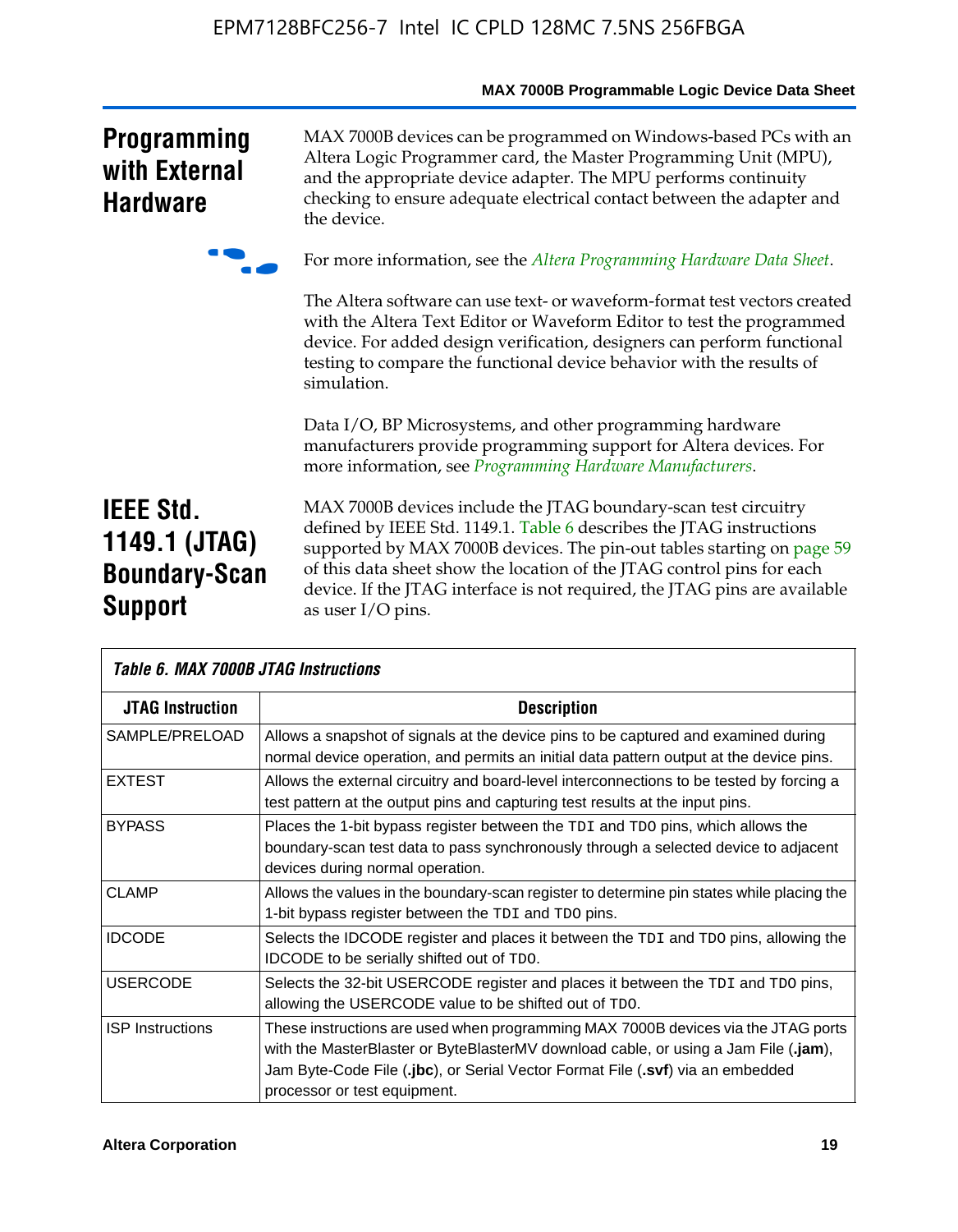|                                                                             | MAX 7000B Programmable Logic Device Data Sheet                                                                                                                                                                                                                                                                                                                                                 |
|-----------------------------------------------------------------------------|------------------------------------------------------------------------------------------------------------------------------------------------------------------------------------------------------------------------------------------------------------------------------------------------------------------------------------------------------------------------------------------------|
| <b>Programming</b><br>with External<br><b>Hardware</b>                      | MAX 7000B devices can be programmed on Windows-based PCs with an<br>Altera Logic Programmer card, the Master Programming Unit (MPU),<br>and the appropriate device adapter. The MPU performs continuity<br>checking to ensure adequate electrical contact between the adapter and<br>the device.                                                                                               |
|                                                                             | For more information, see the Altera Programming Hardware Data Sheet.                                                                                                                                                                                                                                                                                                                          |
|                                                                             | The Altera software can use text- or waveform-format test vectors created<br>with the Altera Text Editor or Waveform Editor to test the programmed<br>device. For added design verification, designers can perform functional<br>testing to compare the functional device behavior with the results of<br>simulation.                                                                          |
|                                                                             | Data I/O, BP Microsystems, and other programming hardware<br>manufacturers provide programming support for Altera devices. For<br>more information, see Programming Hardware Manufacturers.                                                                                                                                                                                                    |
| <b>IEEE Std.</b><br>1149.1 (JTAG)<br><b>Boundary-Scan</b><br><b>Support</b> | MAX 7000B devices include the JTAG boundary-scan test circuitry<br>defined by IEEE Std. 1149.1. Table 6 describes the JTAG instructions<br>supported by MAX 7000B devices. The pin-out tables starting on page 59<br>of this data sheet show the location of the JTAG control pins for each<br>device. If the JTAG interface is not required, the JTAG pins are available<br>as user I/O pins. |
| Table 6, MAY 7000R. ITAC Instructions                                       |                                                                                                                                                                                                                                                                                                                                                                                                |

| Tadie 6. Max /Uuub JTAG Instructions |                                                                                                                                                                                                                                                                                            |  |  |  |  |
|--------------------------------------|--------------------------------------------------------------------------------------------------------------------------------------------------------------------------------------------------------------------------------------------------------------------------------------------|--|--|--|--|
| <b>JTAG Instruction</b>              | <b>Description</b>                                                                                                                                                                                                                                                                         |  |  |  |  |
| SAMPLE/PRELOAD                       | Allows a snapshot of signals at the device pins to be captured and examined during<br>normal device operation, and permits an initial data pattern output at the device pins.                                                                                                              |  |  |  |  |
| <b>EXTEST</b>                        | Allows the external circuitry and board-level interconnections to be tested by forcing a<br>test pattern at the output pins and capturing test results at the input pins.                                                                                                                  |  |  |  |  |
| <b>BYPASS</b>                        | Places the 1-bit bypass register between the TDI and TDO pins, which allows the<br>boundary-scan test data to pass synchronously through a selected device to adjacent<br>devices during normal operation.                                                                                 |  |  |  |  |
| <b>CLAMP</b>                         | Allows the values in the boundary-scan register to determine pin states while placing the<br>1-bit bypass register between the TDI and TDO pins.                                                                                                                                           |  |  |  |  |
| <b>IDCODE</b>                        | Selects the IDCODE register and places it between the TDI and TDO pins, allowing the<br>IDCODE to be serially shifted out of TDO.                                                                                                                                                          |  |  |  |  |
| <b>USERCODE</b>                      | Selects the 32-bit USERCODE register and places it between the TDI and TDO pins,<br>allowing the USERCODE value to be shifted out of TDO.                                                                                                                                                  |  |  |  |  |
| <b>ISP</b> Instructions              | These instructions are used when programming MAX 7000B devices via the JTAG ports<br>with the MasterBlaster or ByteBlasterMV download cable, or using a Jam File (.jam),<br>Jam Byte-Code File (.jbc), or Serial Vector Format File (.svf) via an embedded<br>processor or test equipment. |  |  |  |  |

# **MAX 7000B Programmable Logic Device Data Sheet**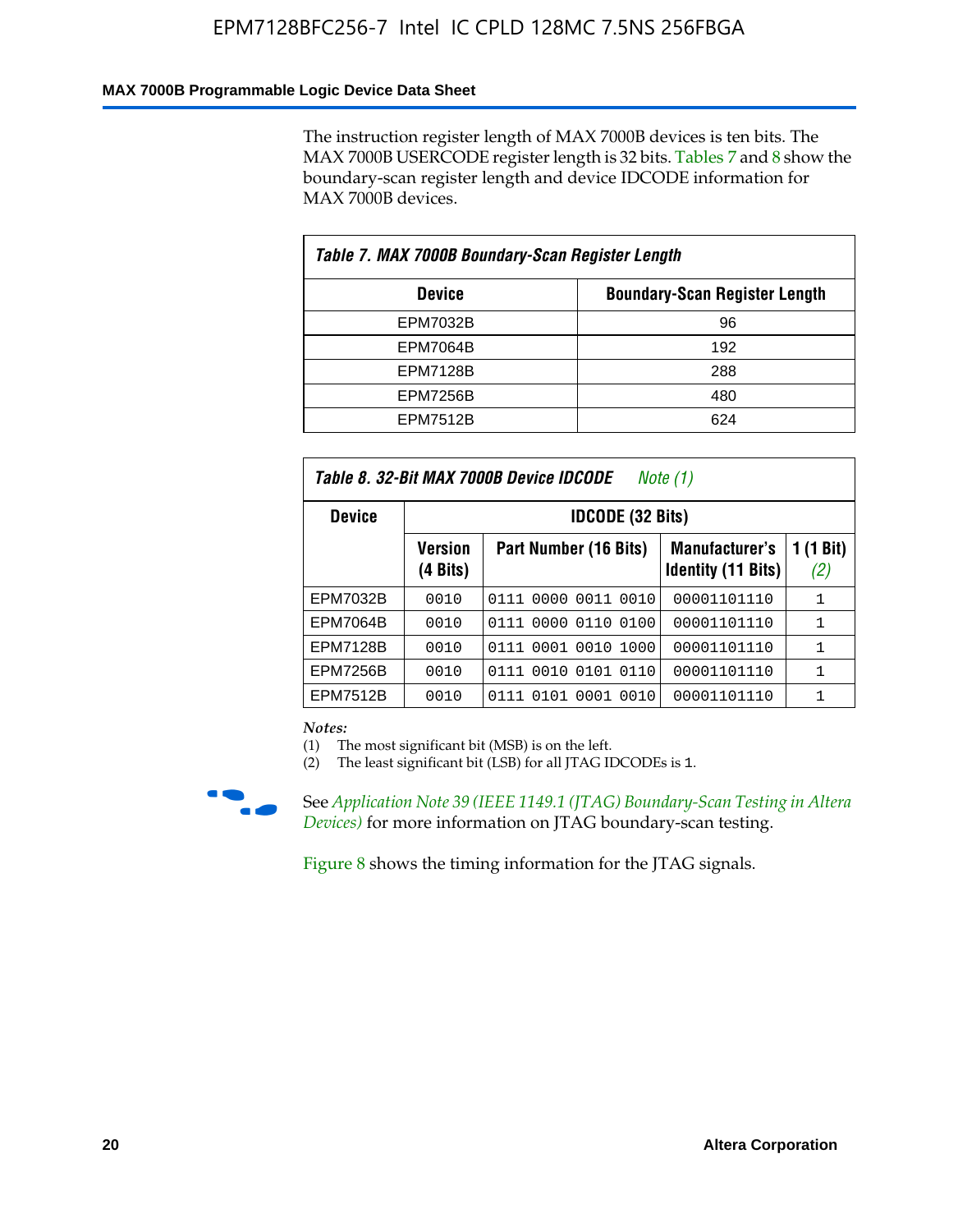### **MAX 7000B Programmable Logic Device Data Sheet**

The instruction register length of MAX 7000B devices is ten bits. The MAX 7000B USERCODE register length is 32 bits. Tables 7 and 8 show the boundary-scan register length and device IDCODE information for MAX 7000B devices.

| Table 7. MAX 7000B Boundary-Scan Register Length |                                      |  |  |  |  |
|--------------------------------------------------|--------------------------------------|--|--|--|--|
| <b>Device</b>                                    | <b>Boundary-Scan Register Length</b> |  |  |  |  |
| <b>EPM7032B</b>                                  | 96                                   |  |  |  |  |
| <b>EPM7064B</b>                                  | 192                                  |  |  |  |  |
| <b>EPM7128B</b>                                  | 288                                  |  |  |  |  |
| <b>EPM7256B</b>                                  | 480                                  |  |  |  |  |
| <b>EPM7512B</b>                                  | 624                                  |  |  |  |  |

| Table 8. 32-Bit MAX 7000B Device IDCODE<br>Note $(1)$ |                            |                              |                                                    |                  |  |  |  |
|-------------------------------------------------------|----------------------------|------------------------------|----------------------------------------------------|------------------|--|--|--|
| <b>Device</b>                                         |                            | <b>IDCODE (32 Bits)</b>      |                                                    |                  |  |  |  |
|                                                       | <b>Version</b><br>(4 Bits) | Part Number (16 Bits)        | <b>Manufacturer's</b><br><b>Identity (11 Bits)</b> | 1 (1 Bit)<br>(2) |  |  |  |
| <b>EPM7032B</b>                                       | 0010                       | 0111 0000 0011 0010          | 00001101110                                        | 1                |  |  |  |
| <b>EPM7064B</b>                                       | 0010                       | 0111 0000 0110 0100          | 00001101110                                        | 1                |  |  |  |
| <b>EPM7128B</b>                                       | 0010                       | 0001<br>0010<br>1000<br>0111 | 00001101110                                        | 1                |  |  |  |
| <b>EPM7256B</b>                                       | 0010                       | 0111 0010 0101 0110          | 00001101110                                        | 1                |  |  |  |
| EPM7512B                                              | 0010                       | 0111 0101 0001 0010          | 00001101110                                        |                  |  |  |  |

*Notes:*

(1) The most significant bit (MSB) is on the left.

(2) The least significant bit (LSB) for all JTAG IDCODEs is 1.



f See *Application Note 39 (IEEE 1149.1 (JTAG) Boundary-Scan Testing in Altera Devices)* for more information on JTAG boundary-scan testing.

Figure 8 shows the timing information for the JTAG signals.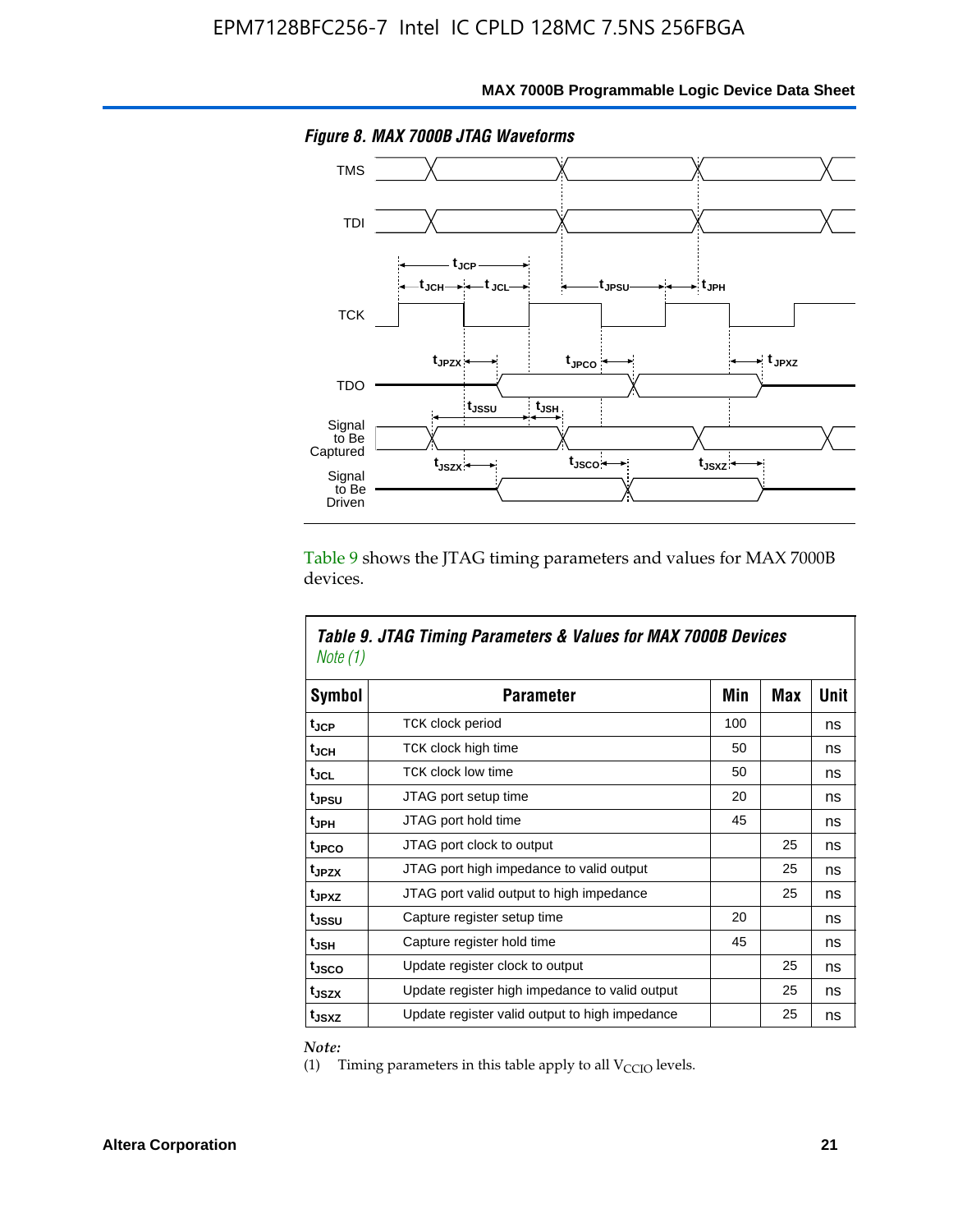

Table 9 shows the JTAG timing parameters and values for MAX 7000B devices.

| Note (1)           | Table 9. JTAG Timing Parameters & Values for MAX 7000B Devices |     |            |      |
|--------------------|----------------------------------------------------------------|-----|------------|------|
| Symbol             | <b>Parameter</b>                                               | Min | <b>Max</b> | Unit |
| t <sub>JCP</sub>   | TCK clock period                                               | 100 |            | ns   |
| t <sub>JCH</sub>   | TCK clock high time                                            | 50  |            | ns   |
| tjcl               | <b>TCK clock low time</b>                                      | 50  |            | ns   |
| tjesu              | JTAG port setup time                                           | 20  |            | ns   |
| t <sub>JPH</sub>   | JTAG port hold time                                            | 45  |            | ns   |
| tjpco              | JTAG port clock to output                                      |     | 25         | ns   |
| t <sub>JPZX</sub>  | JTAG port high impedance to valid output                       |     | 25         | ns   |
| t <sub>JPXZ</sub>  | JTAG port valid output to high impedance                       |     | 25         | ns   |
| t <sub>JSSU</sub>  | Capture register setup time                                    | 20  |            | ns   |
| $t_{\mathsf{JSH}}$ | Capture register hold time                                     | 45  |            | ns   |
| t <sub>JSCO</sub>  | Update register clock to output                                |     | 25         | ns   |
| t <sub>JSZX</sub>  | Update register high impedance to valid output                 |     | 25         | ns   |
| t <sub>JSXZ</sub>  | Update register valid output to high impedance                 |     | 25         | ns   |

*Note:*

(1) Timing parameters in this table apply to all  $V_{\text{CCIO}}$  levels.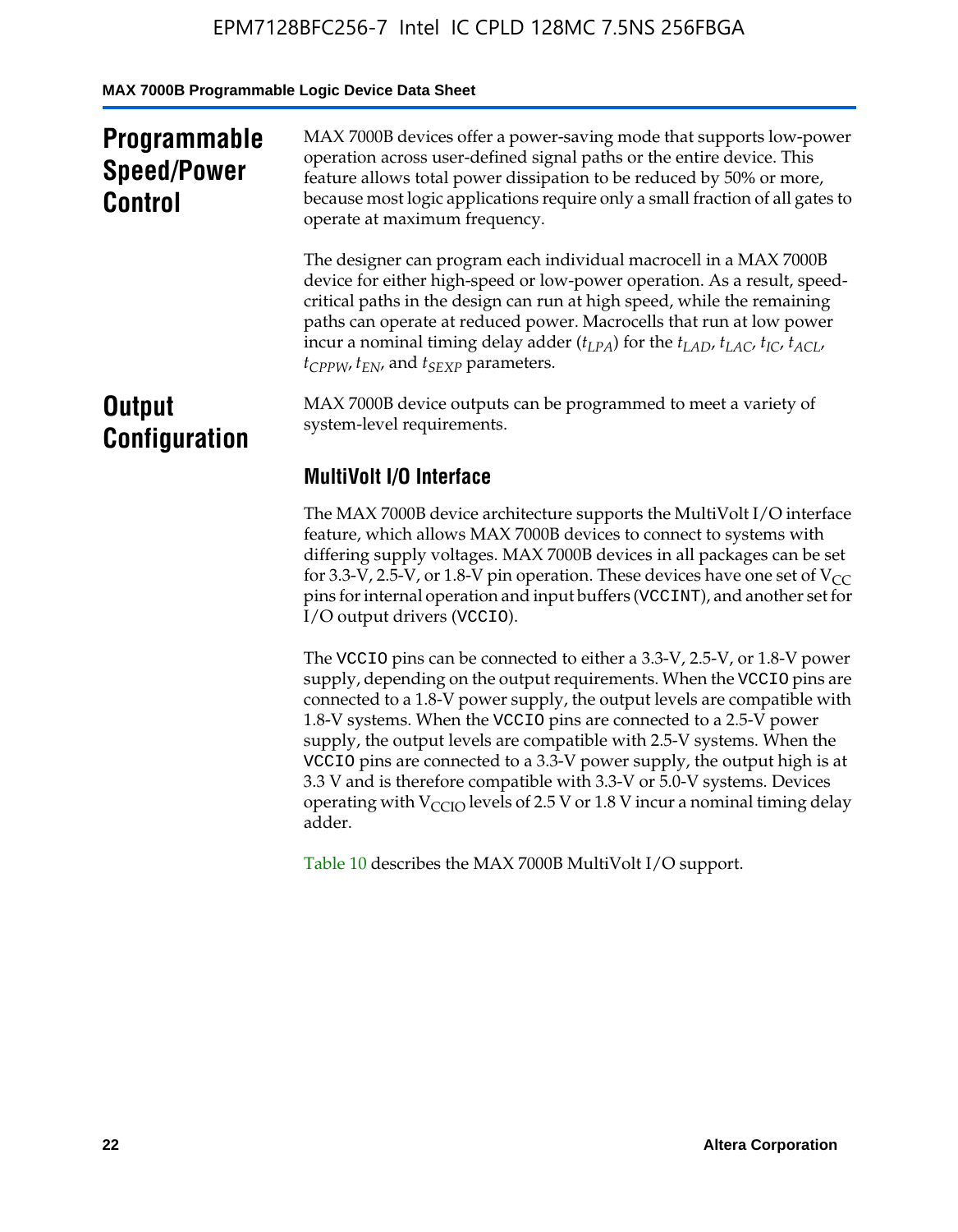**MAX 7000B Programmable Logic Device Data Sheet**

| <b>Programmable</b><br><b>Speed/Power</b><br><b>Control</b> | MAX 7000B devices offer a power-saving mode that supports low-power<br>operation across user-defined signal paths or the entire device. This<br>feature allows total power dissipation to be reduced by 50% or more,<br>because most logic applications require only a small fraction of all gates to<br>operate at maximum frequency.                                                                                                                          |
|-------------------------------------------------------------|-----------------------------------------------------------------------------------------------------------------------------------------------------------------------------------------------------------------------------------------------------------------------------------------------------------------------------------------------------------------------------------------------------------------------------------------------------------------|
|                                                             | The designer can program each individual macrocell in a MAX 7000B<br>device for either high-speed or low-power operation. As a result, speed-<br>critical paths in the design can run at high speed, while the remaining<br>paths can operate at reduced power. Macrocells that run at low power<br>incur a nominal timing delay adder $(t_{LPA})$ for the $t_{LAD}$ , $t_{LAC}$ , $t_{IC}$ , $t_{ACL}$ ,<br>$t_{CPPW}$ , $t_{EN}$ , and $t_{SEXP}$ parameters. |
| <b>Output</b><br><b>Configuration</b>                       | MAX 7000B device outputs can be programmed to meet a variety of<br>system-level requirements.                                                                                                                                                                                                                                                                                                                                                                   |
|                                                             | <b>MultiVolt I/O Interface</b>                                                                                                                                                                                                                                                                                                                                                                                                                                  |
|                                                             | The MAX 7000B device architecture supports the MultiVolt I/O interface<br>feature, which allows MAX 7000B devices to connect to systems with<br>differing supply voltages. MAX 7000B devices in all packages can be set<br>for 3.3-V, 2.5-V, or 1.8-V pin operation. These devices have one set of $V_{CC}$<br>pins for internal operation and input buffers (VCCINT), and another set for<br>I/O output drivers (VCCIO).                                       |

The VCCIO pins can be connected to either a 3.3-V, 2.5-V, or 1.8-V power supply, depending on the output requirements. When the VCCIO pins are connected to a 1.8-V power supply, the output levels are compatible with 1.8-V systems. When the VCCIO pins are connected to a 2.5- $\hat{V}$  power supply, the output levels are compatible with 2.5-V systems. When the VCCIO pins are connected to a 3.3-V power supply, the output high is at 3.3 V and is therefore compatible with 3.3-V or 5.0-V systems. Devices operating with  $V_{\text{CCIO}}$  levels of 2.5 V or 1.8 V incur a nominal timing delay adder.

Table 10 describes the MAX 7000B MultiVolt I/O support.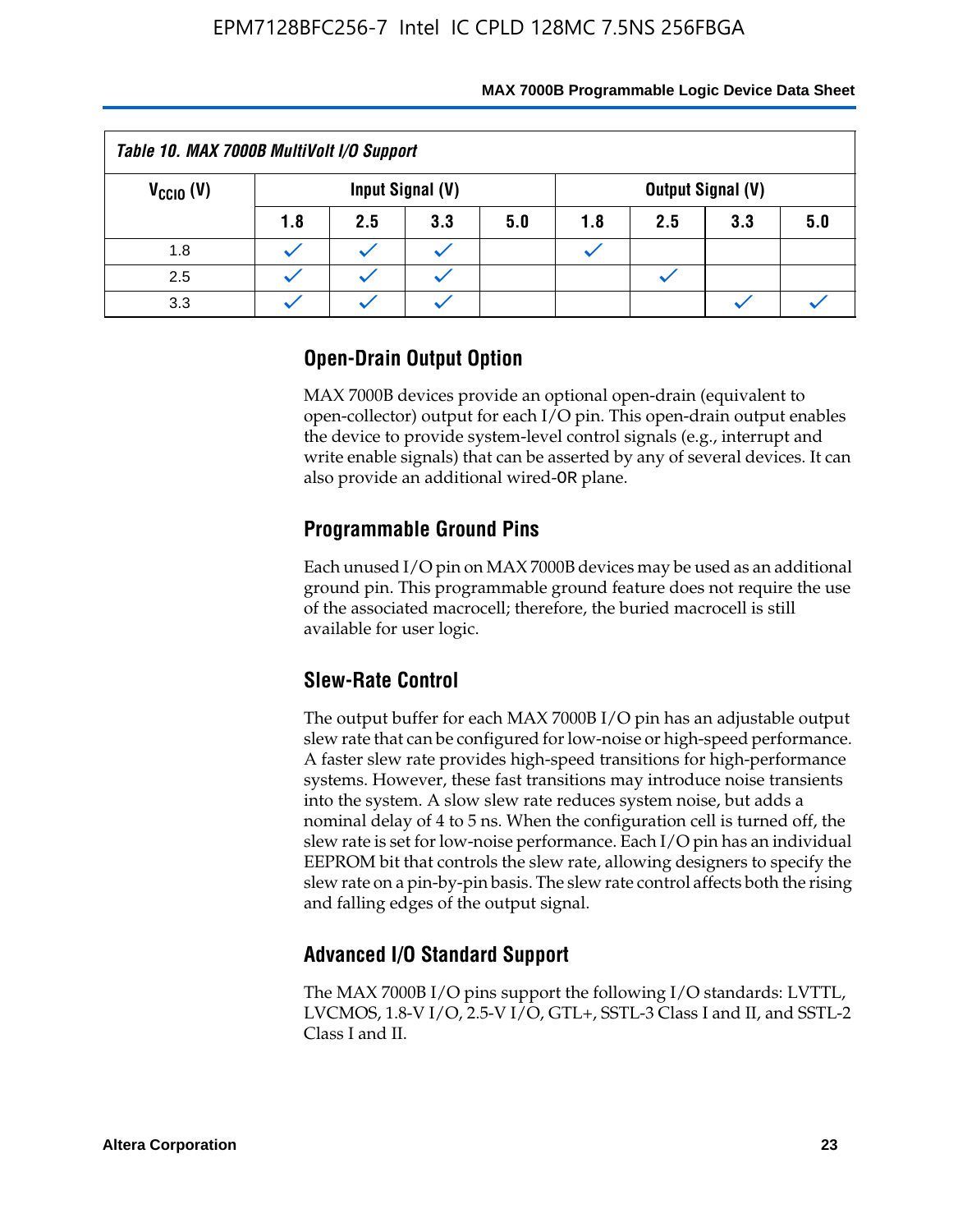| Table 10. MAX 7000B MultiVolt I/O Support |     |     |                  |     |     |     |                          |     |
|-------------------------------------------|-----|-----|------------------|-----|-----|-----|--------------------------|-----|
| $V_{\text{CCIO}}(V)$                      |     |     | Input Signal (V) |     |     |     | <b>Output Signal (V)</b> |     |
|                                           | 1.8 | 2.5 | 3.3              | 5.0 | 1.8 | 2.5 | 3.3                      | 5.0 |
| 1.8                                       |     |     |                  |     |     |     |                          |     |
| 2.5                                       |     |     |                  |     |     |     |                          |     |
| 3.3                                       |     |     |                  |     |     |     |                          |     |

# **Open-Drain Output Option**

MAX 7000B devices provide an optional open-drain (equivalent to open-collector) output for each I/O pin. This open-drain output enables the device to provide system-level control signals (e.g., interrupt and write enable signals) that can be asserted by any of several devices. It can also provide an additional wired-OR plane.

# **Programmable Ground Pins**

Each unused I/O pin on MAX 7000B devices may be used as an additional ground pin. This programmable ground feature does not require the use of the associated macrocell; therefore, the buried macrocell is still available for user logic.

# **Slew-Rate Control**

The output buffer for each MAX 7000B I/O pin has an adjustable output slew rate that can be configured for low-noise or high-speed performance. A faster slew rate provides high-speed transitions for high-performance systems. However, these fast transitions may introduce noise transients into the system. A slow slew rate reduces system noise, but adds a nominal delay of 4 to 5 ns. When the configuration cell is turned off, the slew rate is set for low-noise performance. Each I/O pin has an individual EEPROM bit that controls the slew rate, allowing designers to specify the slew rate on a pin-by-pin basis. The slew rate control affects both the rising and falling edges of the output signal.

# **Advanced I/O Standard Support**

The MAX 7000B I/O pins support the following I/O standards: LVTTL, LVCMOS, 1.8-V I/O, 2.5-V I/O, GTL+, SSTL-3 Class I and II, and SSTL-2 Class I and II.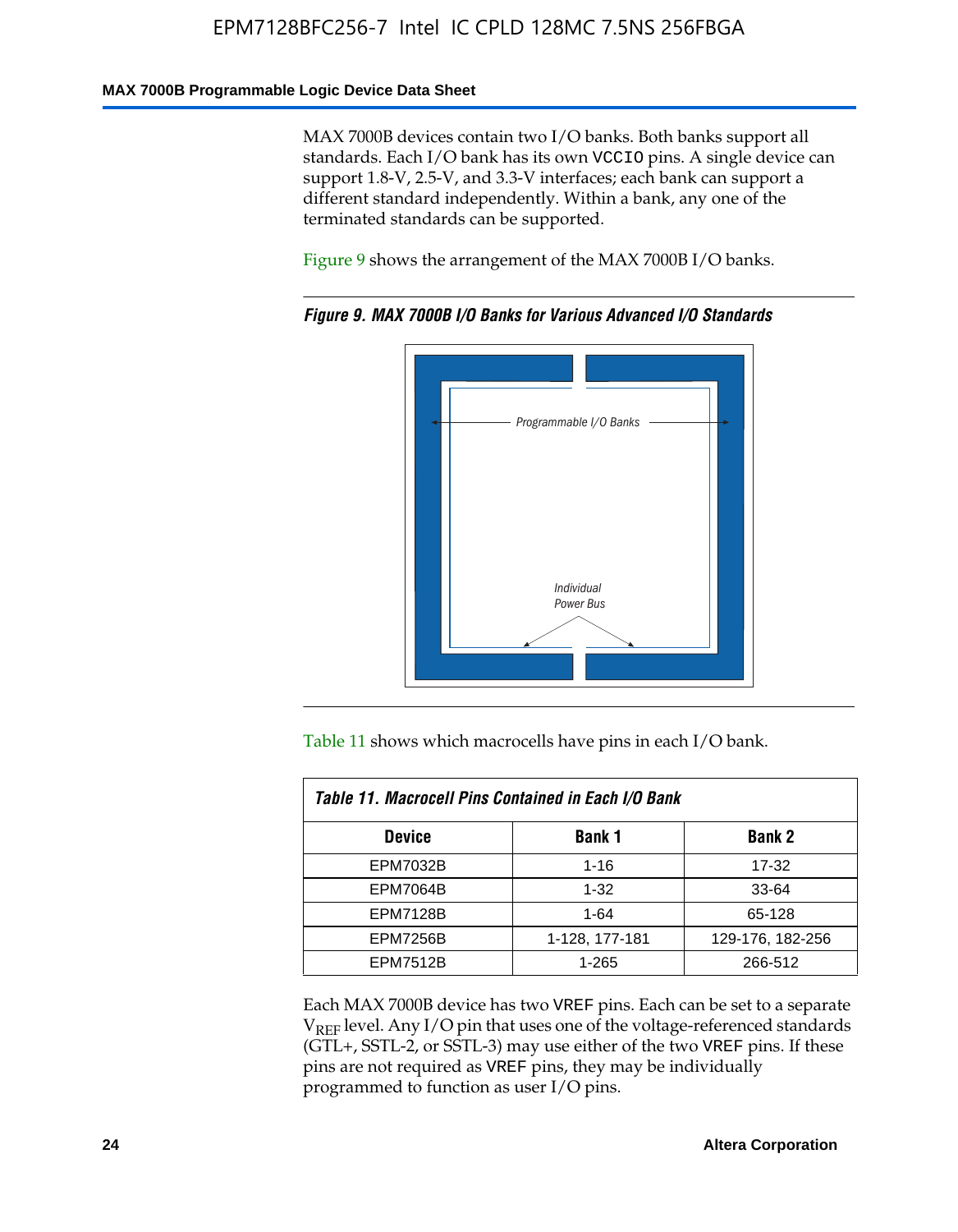#### **MAX 7000B Programmable Logic Device Data Sheet**

MAX 7000B devices contain two I/O banks. Both banks support all standards. Each I/O bank has its own VCCIO pins. A single device can support 1.8-V, 2.5-V, and 3.3-V interfaces; each bank can support a different standard independently. Within a bank, any one of the terminated standards can be supported.

Figure 9 shows the arrangement of the MAX 7000B I/O banks.



*Figure 9. MAX 7000B I/O Banks for Various Advanced I/O Standards*

Table 11 shows which macrocells have pins in each I/O bank.

| Table 11. Macrocell Pins Contained in Each I/O Bank |                |                  |  |  |  |
|-----------------------------------------------------|----------------|------------------|--|--|--|
| <b>Device</b>                                       | <b>Bank 1</b>  | <b>Bank 2</b>    |  |  |  |
| <b>EPM7032B</b>                                     | $1 - 16$       | 17-32            |  |  |  |
| <b>EPM7064B</b>                                     | $1 - 32$       | 33-64            |  |  |  |
| <b>EPM7128B</b>                                     | $1 - 64$       | 65-128           |  |  |  |
| <b>EPM7256B</b>                                     | 1-128, 177-181 | 129-176, 182-256 |  |  |  |
| <b>EPM7512B</b>                                     | 1-265          | 266-512          |  |  |  |

Each MAX 7000B device has two VREF pins. Each can be set to a separate  $V_{REF}$  level. Any I/O pin that uses one of the voltage-referenced standards (GTL+, SSTL-2, or SSTL-3) may use either of the two VREF pins. If these pins are not required as VREF pins, they may be individually programmed to function as user I/O pins.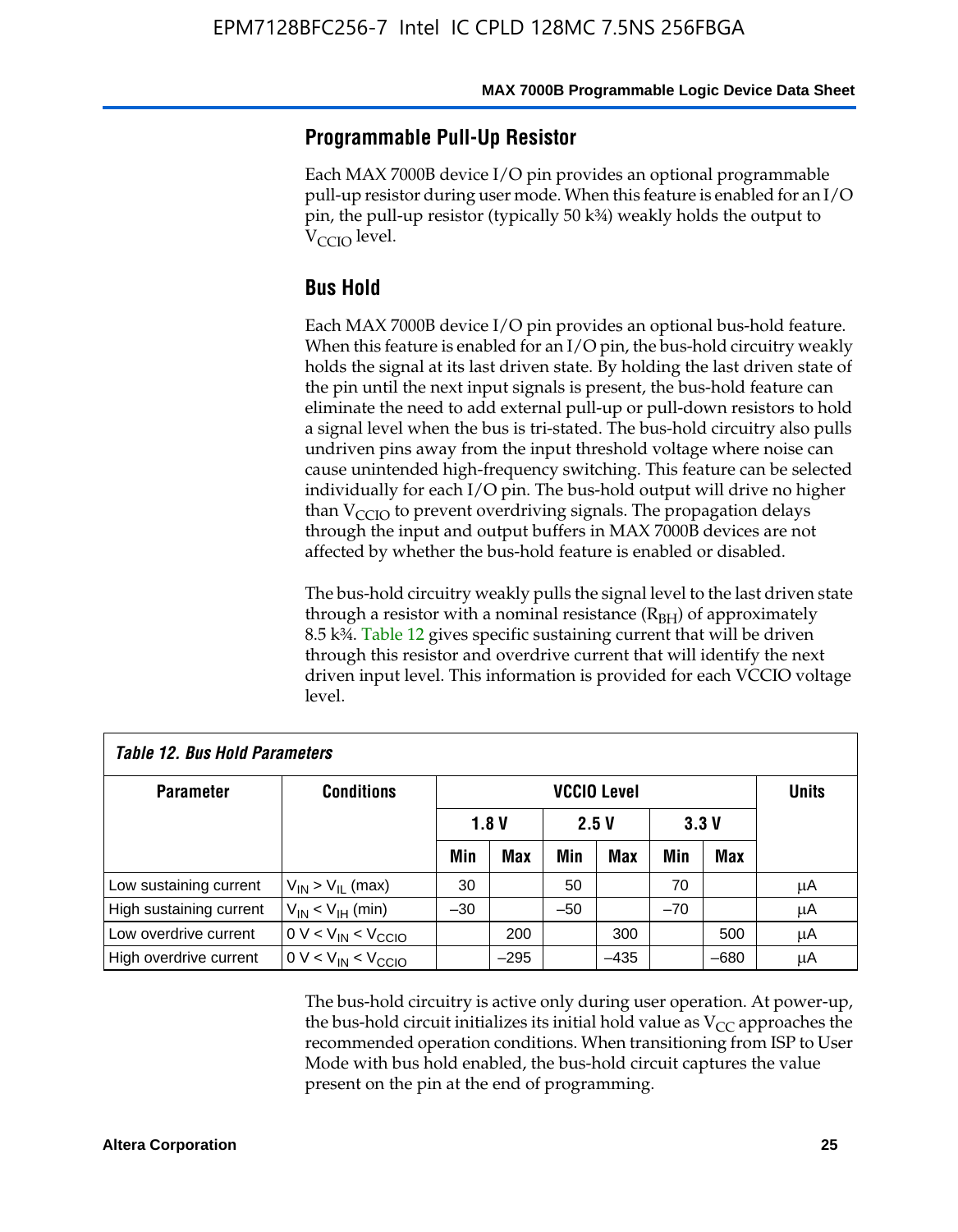### **Programmable Pull-Up Resistor**

Each MAX 7000B device I/O pin provides an optional programmable pull-up resistor during user mode. When this feature is enabled for an I/O pin, the pull-up resistor (typically 50 k¾) weakly holds the output to  $V_{\text{CCIO}}$  level.

### **Bus Hold**

Each MAX 7000B device I/O pin provides an optional bus-hold feature. When this feature is enabled for an I/O pin, the bus-hold circuitry weakly holds the signal at its last driven state. By holding the last driven state of the pin until the next input signals is present, the bus-hold feature can eliminate the need to add external pull-up or pull-down resistors to hold a signal level when the bus is tri-stated. The bus-hold circuitry also pulls undriven pins away from the input threshold voltage where noise can cause unintended high-frequency switching. This feature can be selected individually for each I/O pin. The bus-hold output will drive no higher than  $V_{\text{C}CD}$  to prevent overdriving signals. The propagation delays through the input and output buffers in MAX 7000B devices are not affected by whether the bus-hold feature is enabled or disabled.

The bus-hold circuitry weakly pulls the signal level to the last driven state through a resistor with a nominal resistance  $(R<sub>BH</sub>)$  of approximately 8.5 k¾. Table 12 gives specific sustaining current that will be driven through this resistor and overdrive current that will identify the next driven input level. This information is provided for each VCCIO voltage level.

| Table 12. Bus Hold Parameters |                           |       |            |       |                    |       |        |              |
|-------------------------------|---------------------------|-------|------------|-------|--------------------|-------|--------|--------------|
| <b>Parameter</b>              | <b>Conditions</b>         |       |            |       | <b>VCCIO Level</b> |       |        | <b>Units</b> |
|                               |                           |       | 1.8V       |       | 2.5V               |       | 3.3V   |              |
|                               |                           | Min   | <b>Max</b> | Min   | Max                | Min   | Max    |              |
| Low sustaining current        | $V_{IN}$ > $V_{II}$ (max) | 30    |            | 50    |                    | 70    |        | μA           |
| High sustaining current       | $V_{IN}$ < $V_{IH}$ (min) | $-30$ |            | $-50$ |                    | $-70$ |        | μA           |
| Low overdrive current         | $0 V < V_{IN} < V_{CCIO}$ |       | 200        |       | 300                |       | 500    | μA           |
| High overdrive current        | $0 V < V_{IN} < V_{CCIO}$ |       | $-295$     |       | $-435$             |       | $-680$ | μA           |

The bus-hold circuitry is active only during user operation. At power-up, the bus-hold circuit initializes its initial hold value as  $V_{CC}$  approaches the recommended operation conditions. When transitioning from ISP to User Mode with bus hold enabled, the bus-hold circuit captures the value present on the pin at the end of programming.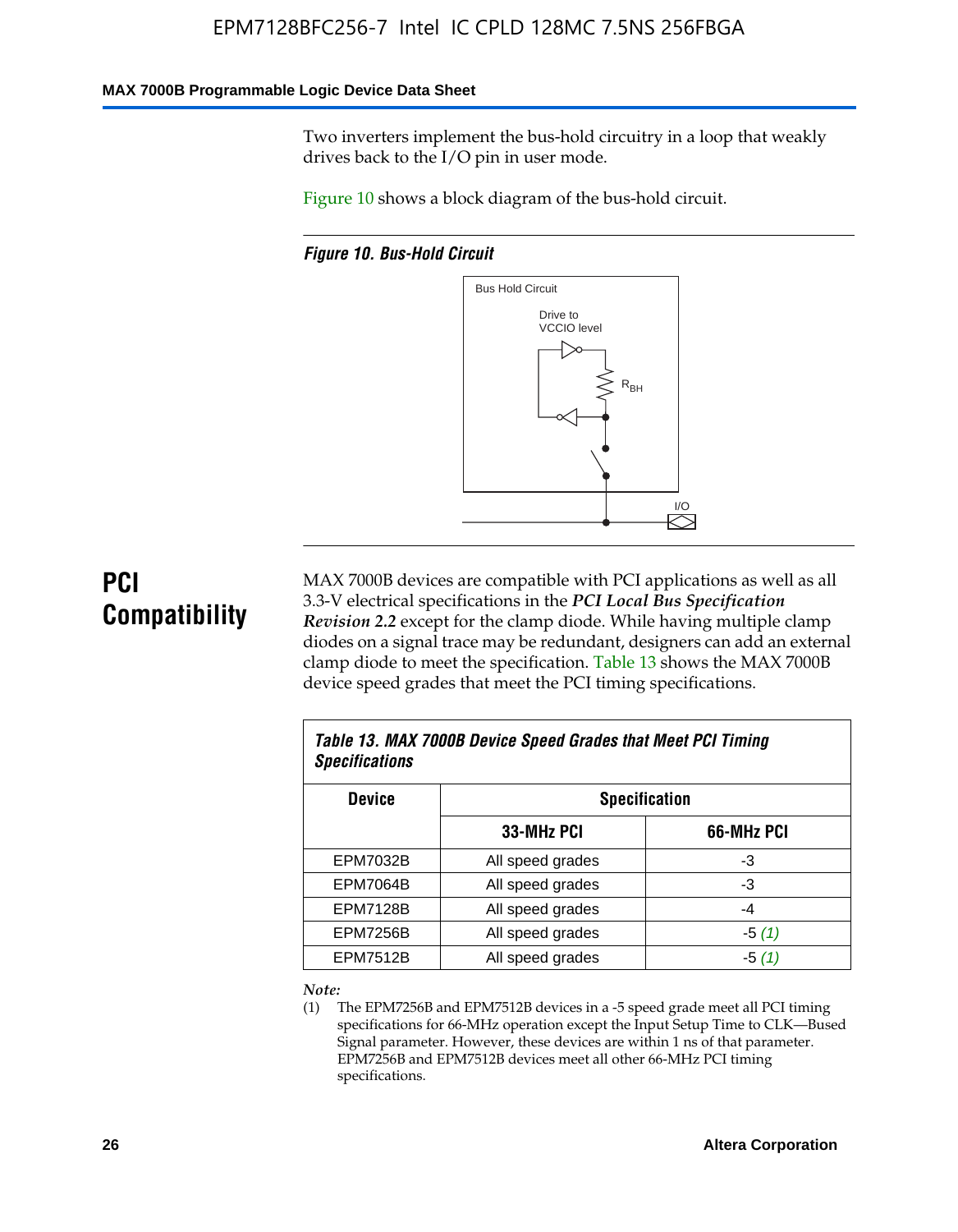#### **MAX 7000B Programmable Logic Device Data Sheet**

Two inverters implement the bus-hold circuitry in a loop that weakly drives back to the I/O pin in user mode.

Figure 10 shows a block diagram of the bus-hold circuit.

*Figure 10. Bus-Hold Circuit*



# **PCI Compatibility**

MAX 7000B devices are compatible with PCI applications as well as all 3.3-V electrical specifications in the *PCI Local Bus Specification Revision 2.2* except for the clamp diode. While having multiple clamp diodes on a signal trace may be redundant, designers can add an external clamp diode to meet the specification. Table 13 shows the MAX 7000B device speed grades that meet the PCI timing specifications.

| Table 13. MAX 7000B Device Speed Grades that Meet PCI Timing<br><b>Specifications</b> |                  |            |  |  |  |
|---------------------------------------------------------------------------------------|------------------|------------|--|--|--|
| <b>Device</b><br><b>Specification</b>                                                 |                  |            |  |  |  |
|                                                                                       | 33-MHz PCI       | 66-MHz PCI |  |  |  |
| <b>EPM7032B</b>                                                                       | All speed grades | -3         |  |  |  |
| <b>EPM7064B</b>                                                                       | All speed grades | -3         |  |  |  |
| <b>EPM7128B</b>                                                                       | All speed grades | -4         |  |  |  |
| <b>EPM7256B</b>                                                                       | All speed grades | $-5(1)$    |  |  |  |
| <b>EPM7512B</b>                                                                       | All speed grades | $-5(1)$    |  |  |  |

#### *Note:*

(1) The EPM7256B and EPM7512B devices in a -5 speed grade meet all PCI timing specifications for 66-MHz operation except the Input Setup Time to CLK—Bused Signal parameter. However, these devices are within 1 ns of that parameter. EPM7256B and EPM7512B devices meet all other 66-MHz PCI timing specifications.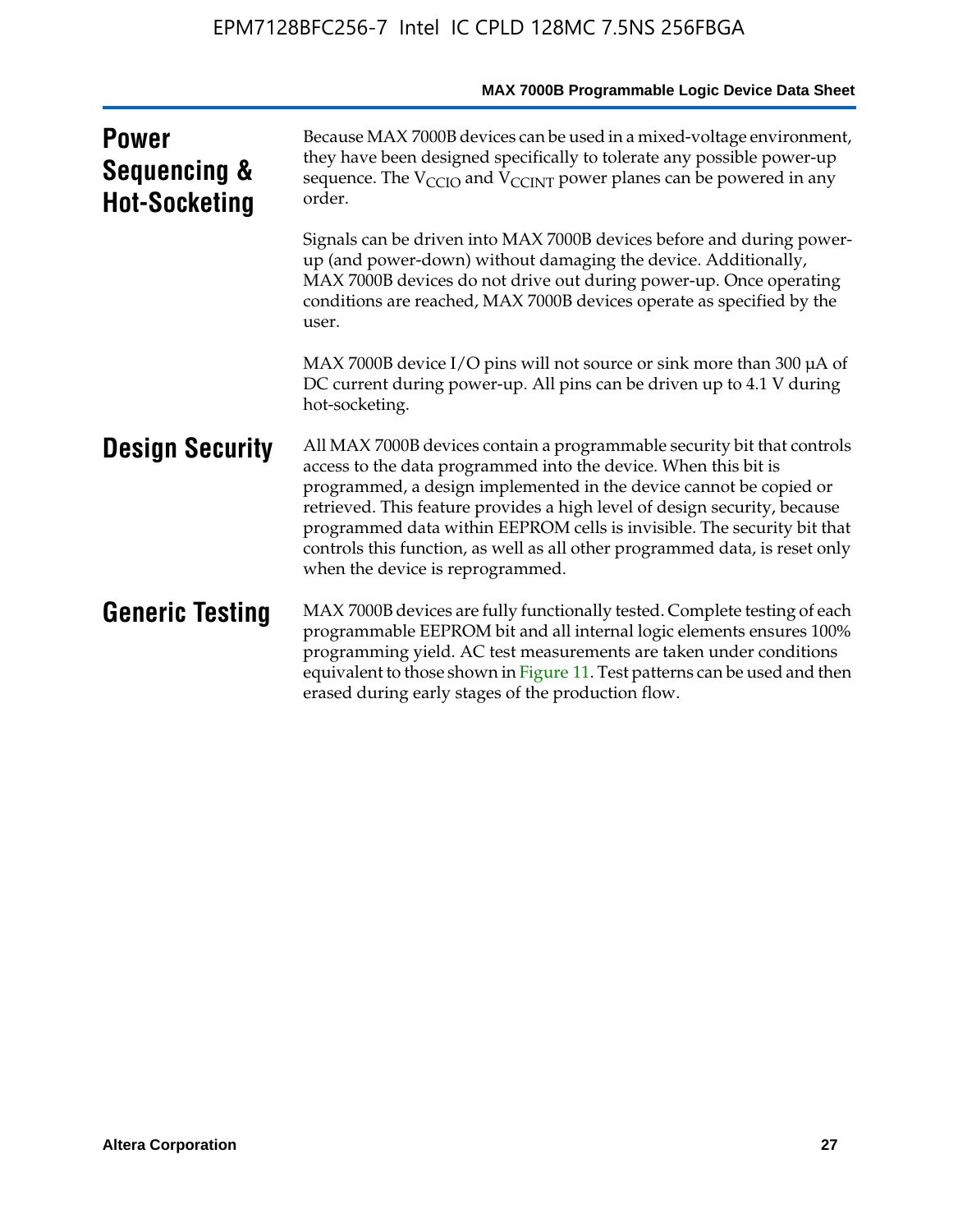|                                                      | MAX 7000B Programmable Logic Device Data Sheet                                                                                                                                                                                                                                                                                                                                                                                                                                              |
|------------------------------------------------------|---------------------------------------------------------------------------------------------------------------------------------------------------------------------------------------------------------------------------------------------------------------------------------------------------------------------------------------------------------------------------------------------------------------------------------------------------------------------------------------------|
| <b>Power</b><br>Sequencing &<br><b>Hot-Socketing</b> | Because MAX 7000B devices can be used in a mixed-voltage environment,<br>they have been designed specifically to tolerate any possible power-up<br>sequence. The $V_{\text{CCIO}}$ and $V_{\text{CCINT}}$ power planes can be powered in any<br>order.                                                                                                                                                                                                                                      |
|                                                      | Signals can be driven into MAX 7000B devices before and during power-<br>up (and power-down) without damaging the device. Additionally,<br>MAX 7000B devices do not drive out during power-up. Once operating<br>conditions are reached, MAX 7000B devices operate as specified by the<br>user.                                                                                                                                                                                             |
|                                                      | MAX 7000B device I/O pins will not source or sink more than 300 $\mu$ A of<br>DC current during power-up. All pins can be driven up to 4.1 V during<br>hot-socketing.                                                                                                                                                                                                                                                                                                                       |
| <b>Design Security</b>                               | All MAX 7000B devices contain a programmable security bit that controls<br>access to the data programmed into the device. When this bit is<br>programmed, a design implemented in the device cannot be copied or<br>retrieved. This feature provides a high level of design security, because<br>programmed data within EEPROM cells is invisible. The security bit that<br>controls this function, as well as all other programmed data, is reset only<br>when the device is reprogrammed. |
| <b>Generic Testing</b>                               | MAX 7000B devices are fully functionally tested. Complete testing of each<br>programmable EEPROM bit and all internal logic elements ensures 100%<br>programming yield. AC test measurements are taken under conditions<br>equivalent to those shown in Figure 11. Test patterns can be used and then<br>erased during early stages of the production flow.                                                                                                                                 |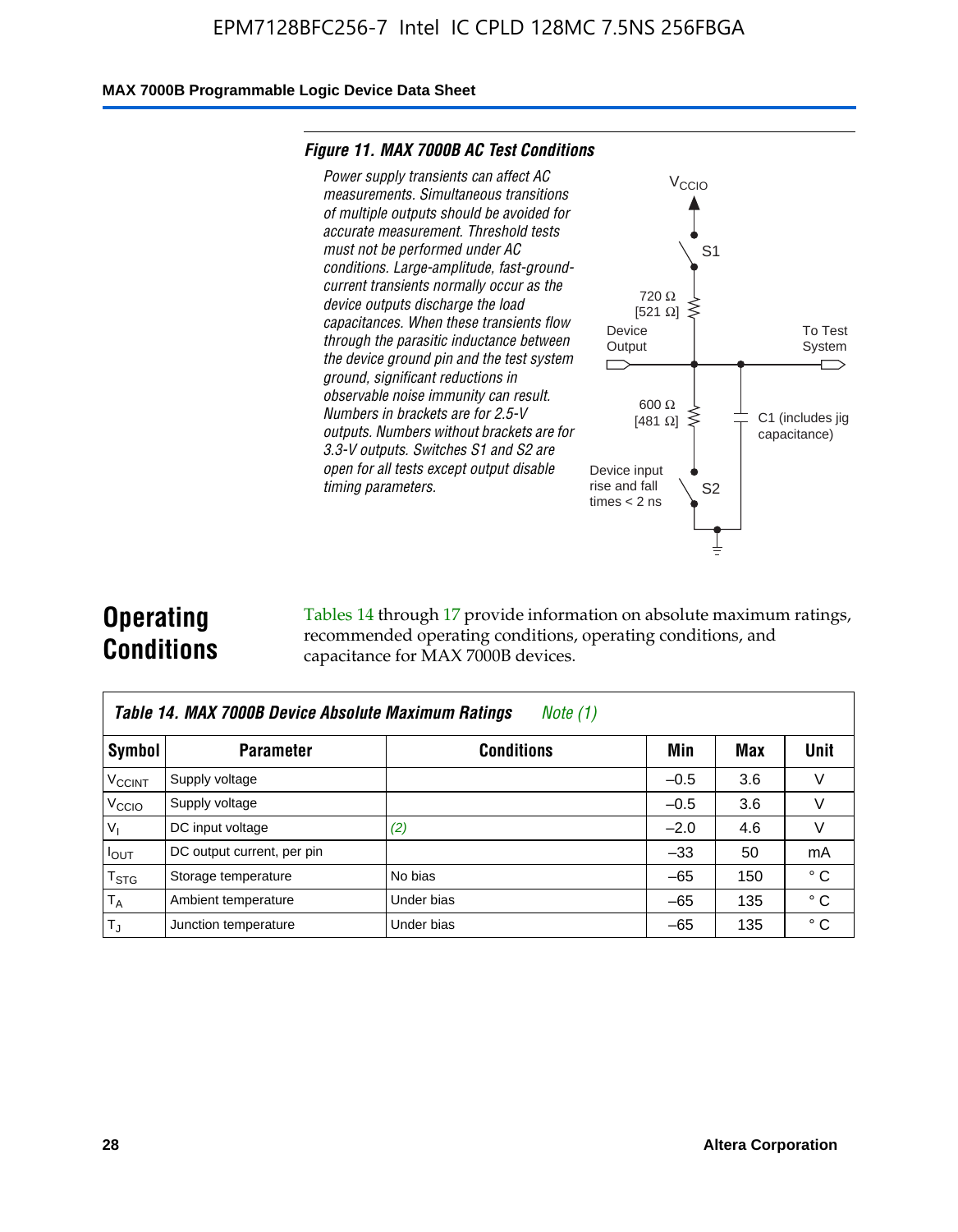#### **MAX 7000B Programmable Logic Device Data Sheet**

#### *Figure 11. MAX 7000B AC Test Conditions*



# **Operating Conditions**

Tables 14 through 17 provide information on absolute maximum ratings, recommended operating conditions, operating conditions, and capacitance for MAX 7000B devices.

|                          | Table 14. MAX 7000B Device Absolute Maximum Ratings<br>Note $(1)$ |                   |        |     |              |  |  |
|--------------------------|-------------------------------------------------------------------|-------------------|--------|-----|--------------|--|--|
| Symbol                   | <b>Parameter</b>                                                  | <b>Conditions</b> | Min    | Max | Unit         |  |  |
| <b>V<sub>CCINT</sub></b> | Supply voltage                                                    |                   | $-0.5$ | 3.6 | v            |  |  |
| V <sub>CCIO</sub>        | Supply voltage                                                    |                   | $-0.5$ | 3.6 | $\vee$       |  |  |
| $V_1$                    | DC input voltage                                                  | (2)               | $-2.0$ | 4.6 | V            |  |  |
| $I_{OUT}$                | DC output current, per pin                                        |                   | $-33$  | 50  | mA           |  |  |
| $T_{STG}$                | Storage temperature                                               | No bias           | $-65$  | 150 | $^{\circ}$ C |  |  |
| $T_A$                    | Ambient temperature                                               | Under bias        | $-65$  | 135 | $^{\circ}$ C |  |  |
| $T_{\text{J}}$           | Junction temperature                                              | Under bias        | $-65$  | 135 | ° C          |  |  |

To Test System

 $\overline{\phantom{a}}$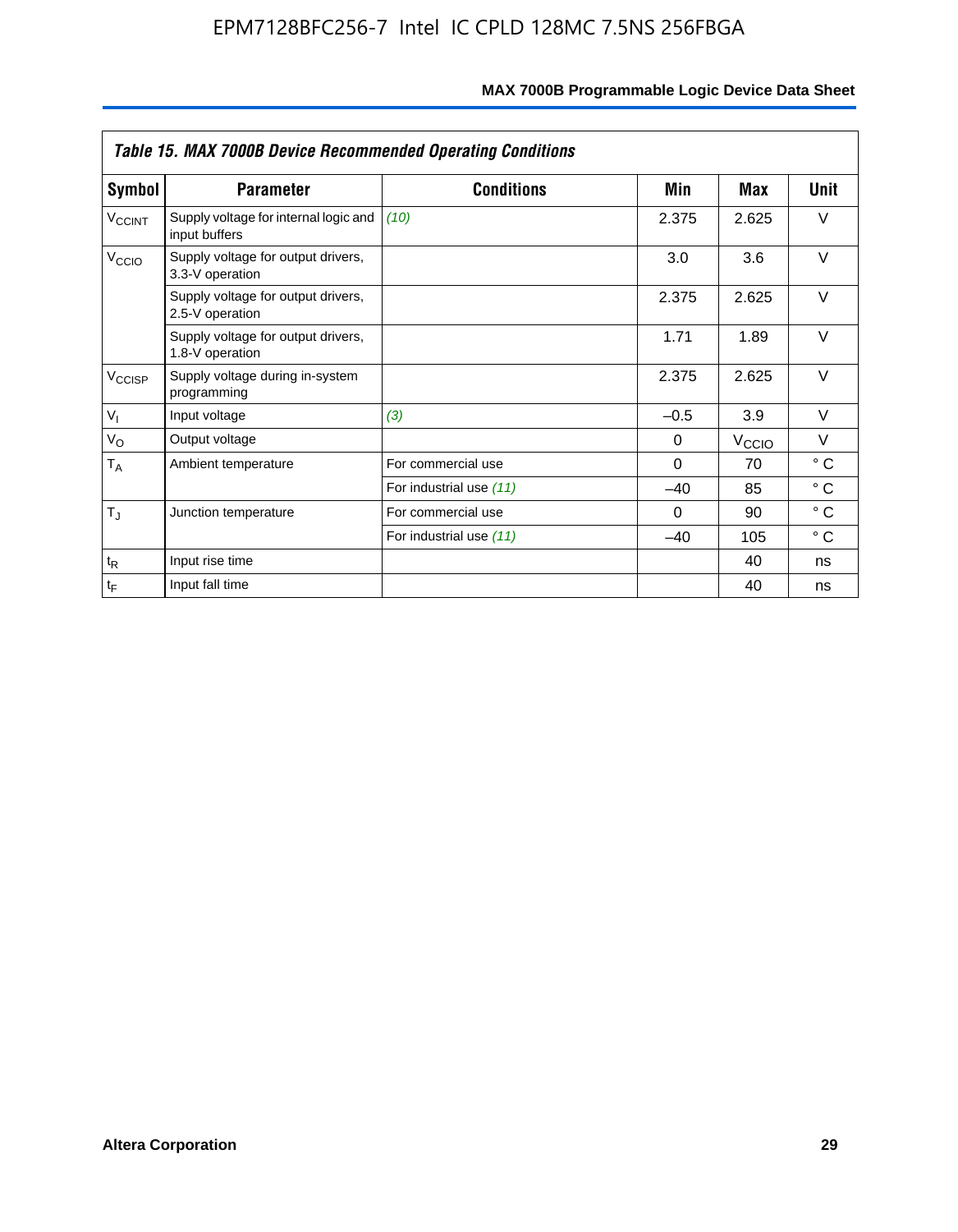|                    | <b>Table 15. MAX 7000B Device Recommended Operating Conditions</b> |                         |          |                   |              |  |  |
|--------------------|--------------------------------------------------------------------|-------------------------|----------|-------------------|--------------|--|--|
| Symbol             | <b>Parameter</b>                                                   | <b>Conditions</b>       | Min      | Max               | Unit         |  |  |
| $V_{\text{CCINT}}$ | Supply voltage for internal logic and<br>input buffers             | (10)                    | 2.375    | 2.625             | $\vee$       |  |  |
| V <sub>CCIO</sub>  | Supply voltage for output drivers,<br>3.3-V operation              |                         | 3.0      | 3.6               | $\vee$       |  |  |
|                    | Supply voltage for output drivers,<br>2.5-V operation              |                         | 2.375    | 2.625             | $\vee$       |  |  |
|                    | Supply voltage for output drivers,<br>1.8-V operation              |                         | 1.71     | 1.89              | $\vee$       |  |  |
| V <sub>CCISP</sub> | Supply voltage during in-system<br>programming                     |                         | 2.375    | 2.625             | $\vee$       |  |  |
| $V_{I}$            | Input voltage                                                      | (3)                     | $-0.5$   | 3.9               | $\vee$       |  |  |
| $V_{\rm O}$        | Output voltage                                                     |                         | 0        | $V_{\text{CC}10}$ | $\vee$       |  |  |
| $T_A$              | Ambient temperature                                                | For commercial use      | $\Omega$ | 70                | $^{\circ}$ C |  |  |
|                    |                                                                    | For industrial use (11) | $-40$    | 85                | $^{\circ}$ C |  |  |
| $T_{\rm J}$        | Junction temperature                                               | For commercial use      | $\Omega$ | 90                | $^{\circ}$ C |  |  |
|                    |                                                                    | For industrial use (11) | $-40$    | 105               | $^{\circ}$ C |  |  |
| $t_{R}$            | Input rise time                                                    |                         |          | 40                | ns           |  |  |
| $t_F$              | Input fall time                                                    |                         |          | 40                | ns           |  |  |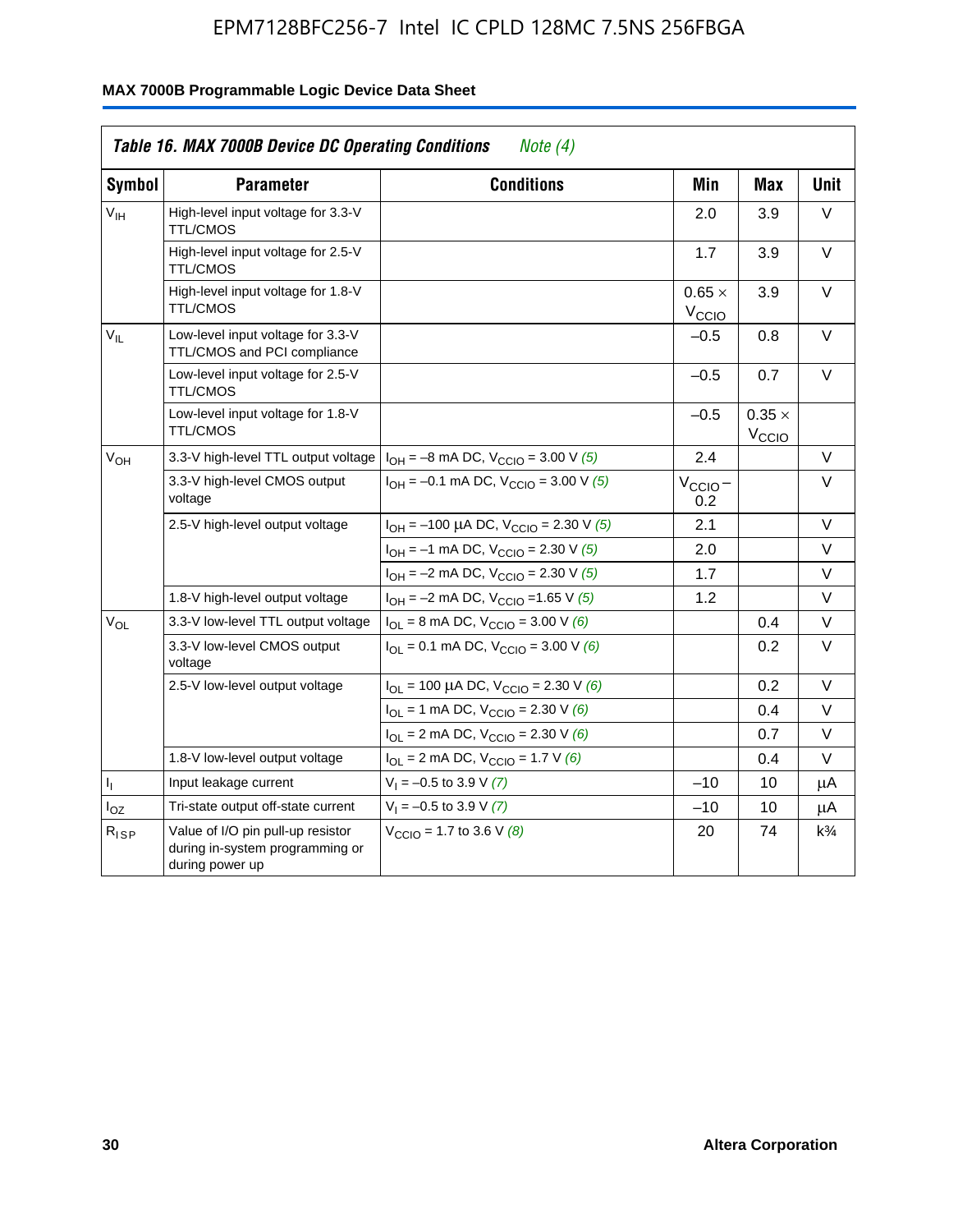| <b>Symbol</b>   | <b>Parameter</b>                                                                        | <b>Conditions</b>                                                                 | Min                                | <b>Max</b>                  | <b>Unit</b>    |
|-----------------|-----------------------------------------------------------------------------------------|-----------------------------------------------------------------------------------|------------------------------------|-----------------------------|----------------|
| $V_{IH}$        | High-level input voltage for 3.3-V<br><b>TTL/CMOS</b>                                   |                                                                                   | 2.0                                | 3.9                         | V              |
|                 | High-level input voltage for 2.5-V<br><b>TTL/CMOS</b>                                   |                                                                                   | 1.7                                | 3.9                         | V              |
|                 | High-level input voltage for 1.8-V<br><b>TTL/CMOS</b>                                   |                                                                                   | $0.65 \times$<br>$V_{\text{CCIQ}}$ | 3.9                         | $\vee$         |
| $V_{\rm H}$     | Low-level input voltage for 3.3-V<br>TTL/CMOS and PCI compliance                        |                                                                                   | $-0.5$                             | 0.8                         | V              |
|                 | Low-level input voltage for 2.5-V<br><b>TTL/CMOS</b>                                    |                                                                                   | $-0.5$                             | 0.7                         | V              |
|                 | Low-level input voltage for 1.8-V<br><b>TTL/CMOS</b>                                    |                                                                                   | $-0.5$                             | $0.35 \times$<br>$V_{CCIO}$ |                |
| V <sub>OH</sub> | 3.3-V high-level TTL output voltage                                                     | $I_{OH} = -8$ mA DC, $V_{CCIO} = 3.00$ V (5)                                      | 2.4                                |                             | V              |
|                 | 3.3-V high-level CMOS output<br>voltage                                                 | $I_{OH} = -0.1$ mA DC, $V_{CClO} = 3.00$ V (5)                                    | $V_{\text{CCIO}}-$<br>0.2          |                             | $\vee$         |
|                 | 2.5-V high-level output voltage                                                         | $I_{OH}$ = -100 µA DC, $V_{CClO}$ = 2.30 V (5)                                    | 2.1                                |                             | V              |
|                 |                                                                                         | $I_{OH} = -1$ mA DC, $V_{CCIO} = 2.30$ V (5)                                      | 2.0                                |                             | V              |
|                 |                                                                                         | $I_{OH} = -2$ mA DC, $V_{CCIO} = 2.30$ V (5)                                      | 1.7                                |                             | $\vee$         |
|                 | 1.8-V high-level output voltage                                                         | $I_{OH} = -2$ mA DC, $V_{CCIO} = 1.65$ V (5)                                      | 1.2                                |                             | $\vee$         |
| $V_{OL}$        | 3.3-V low-level TTL output voltage                                                      | $I_{OL}$ = 8 mA DC, $V_{CCIO}$ = 3.00 V (6)                                       |                                    | 0.4                         | V              |
|                 | 3.3-V low-level CMOS output<br>voltage                                                  | $I_{\text{OI}} = 0.1 \text{ mA DC}$ , $V_{\text{CCl}\Omega} = 3.00 \text{ V}$ (6) |                                    | 0.2                         | V              |
|                 | 2.5-V low-level output voltage                                                          | $I_{OL}$ = 100 µA DC, $V_{CCIO}$ = 2.30 V (6)                                     |                                    | 0.2                         | V              |
|                 |                                                                                         | $I_{OL}$ = 1 mA DC, $V_{CCIO}$ = 2.30 V (6)                                       |                                    | 0.4                         | V              |
|                 |                                                                                         | $I_{OL}$ = 2 mA DC, $V_{CCIO}$ = 2.30 V (6)                                       |                                    | 0.7                         | V              |
|                 | 1.8-V low-level output voltage                                                          | $I_{OL}$ = 2 mA DC, $V_{CCIO}$ = 1.7 V (6)                                        |                                    | 0.4                         | V              |
| 4               | Input leakage current                                                                   | $V_1 = -0.5$ to 3.9 V (7)                                                         | $-10$                              | 10                          | μA             |
| $I_{OZ}$        | Tri-state output off-state current                                                      | $V_1 = -0.5$ to 3.9 V (7)                                                         | $-10$                              | 10                          | μA             |
| $R_{ISP}$       | Value of I/O pin pull-up resistor<br>during in-system programming or<br>during power up | $V_{\text{CCIO}} = 1.7$ to 3.6 V (8)                                              | 20                                 | 74                          | $k\frac{3}{4}$ |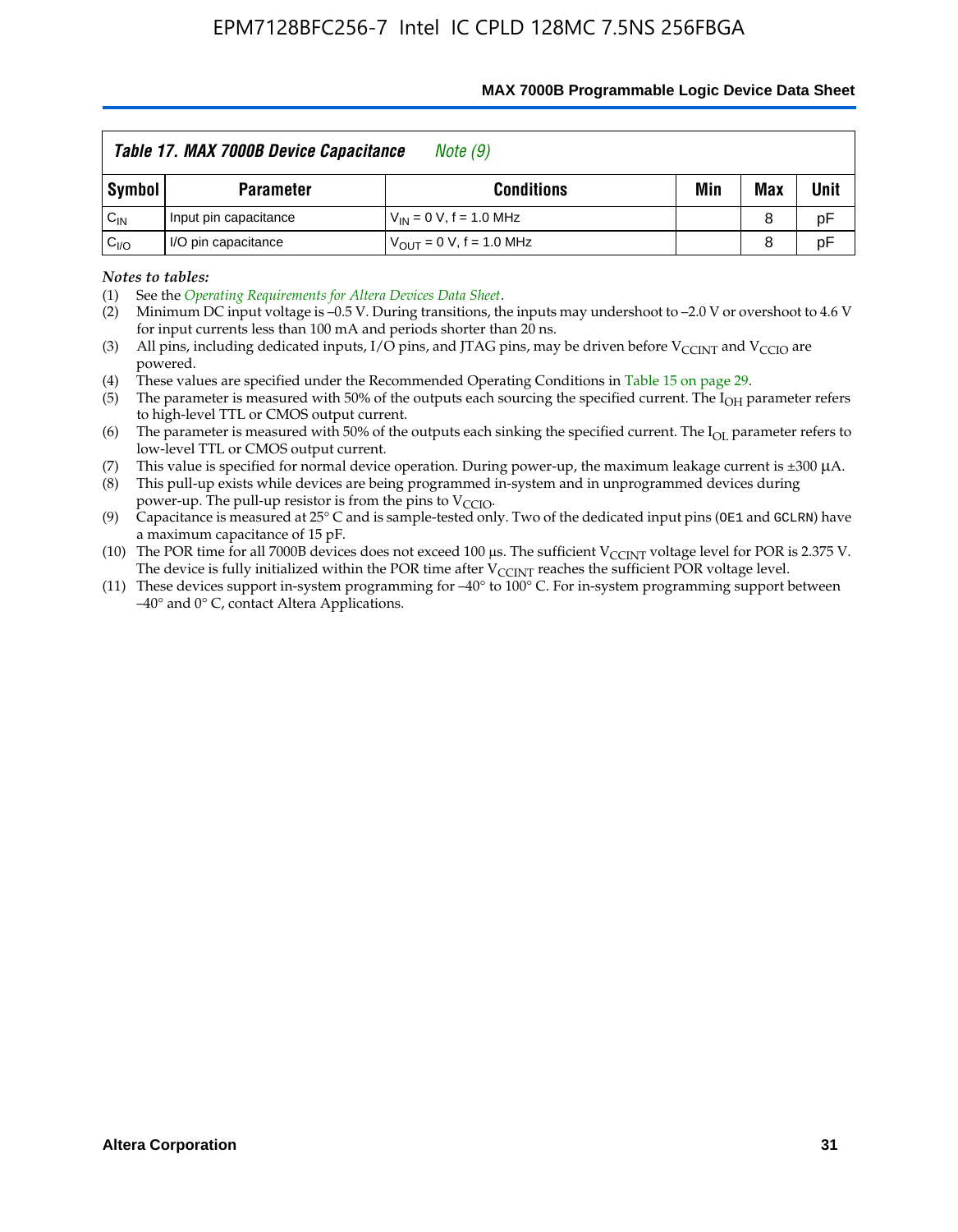|                   | Table 17. MAX 7000B Device Capacitance<br>Note (9)<br>Min<br>Max<br><b>Conditions</b><br><b>Parameter</b><br>Input pin capacitance<br>$V_{IN} = 0 V$ , f = 1.0 MHz<br>8 |                                     |  |   |             |
|-------------------|-------------------------------------------------------------------------------------------------------------------------------------------------------------------------|-------------------------------------|--|---|-------------|
| Symbol            |                                                                                                                                                                         |                                     |  |   | <b>Unit</b> |
| $C_{\mathsf{IN}}$ |                                                                                                                                                                         |                                     |  |   | рF          |
| $C_{\text{IO}}$   | I/O pin capacitance                                                                                                                                                     | $V_{\text{OUT}} = 0 V, f = 1.0 MHz$ |  | 8 | pF          |

#### **MAX 7000B Programmable Logic Device Data Sheet**

*Notes to tables:*

(3) All pins, including dedicated inputs, I/O pins, and JTAG pins, may be driven before V<sub>CCINT</sub> and V<sub>CCIO</sub> are powered.

(4) These values are specified under the Recommended Operating Conditions in Table 15 on page 29.

(5) The parameter is measured with 50% of the outputs each sourcing the specified current. The  $I_{OH}$  parameter refers to high-level TTL or CMOS output current.

(6) The parameter is measured with 50% of the outputs each sinking the specified current. The  $I_{OL}$  parameter refers to low-level TTL or CMOS output current.

This value is specified for normal device operation. During power-up, the maximum leakage current is  $\pm 300$   $\mu$ A. (7) This value is specified for normal device operation. During power-up, the maximum leakage current is  $\pm 3$  (8) This pull-up exists while devices are being programmed in-system and in unprogrammed devices during

power-up. The pull-up resistor is from the pins to  $V_{\text{CCIO}}$ .

(9) Capacitance is measured at 25° C and is sample-tested only. Two of the dedicated input pins (OE1 and GCLRN) have a maximum capacitance of 15 pF.

(10) The POR time for all 7000B devices does not exceed 100 μs. The sufficient  $V_{\text{CCINT}}$  voltage level for POR is 2.375 V.

The device is fully initialized within the POR time after  $V_{\text{CCINT}}$  reaches the sufficient POR voltage level.<br>(11) These devices support in-system programming for  $-40^{\circ}$  to 100° C. For in-system programming support be –40° and 0° C, contact Altera Applications.

<sup>(1)</sup> See the *Operating Requirements for Altera Devices Data Sheet*.

<sup>(2)</sup> Minimum DC input voltage is –0.5 V. During transitions, the inputs may undershoot to –2.0 V or overshoot to 4.6 V for input currents less than 100 mA and periods shorter than 20 ns.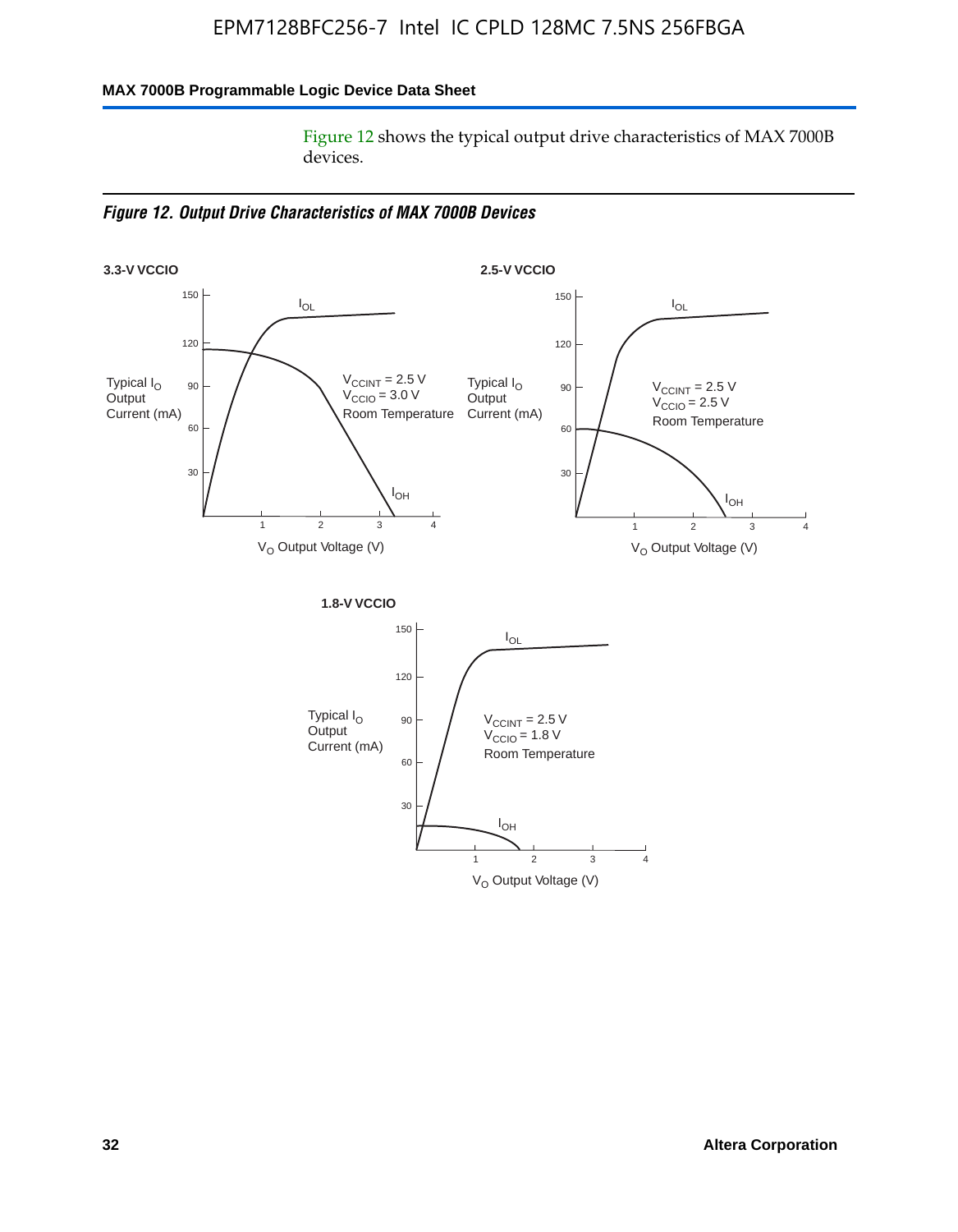### **MAX 7000B Programmable Logic Device Data Sheet**

Figure 12 shows the typical output drive characteristics of MAX 7000B devices.

*Figure 12. Output Drive Characteristics of MAX 7000B Devices*

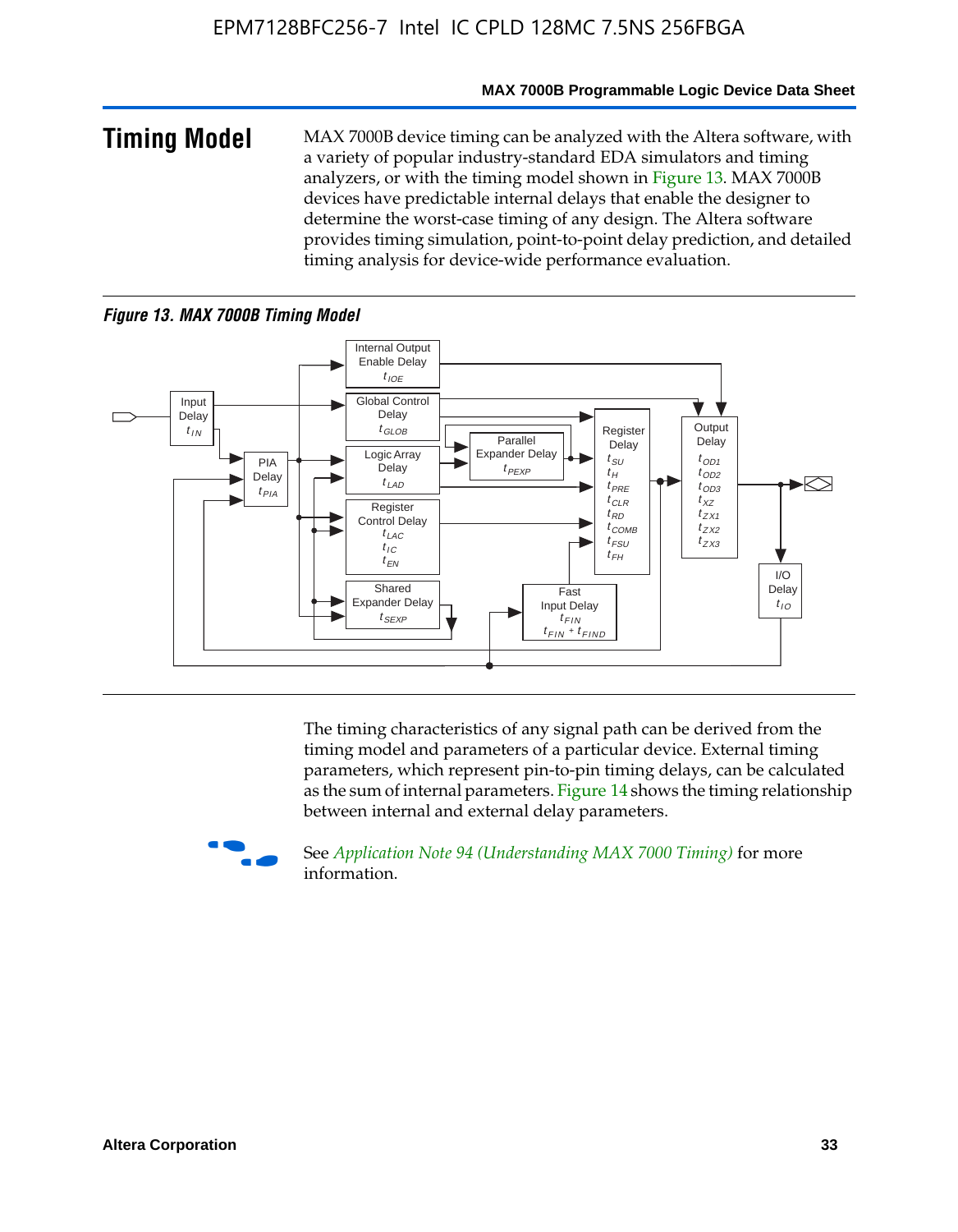#### **MAX 7000B Programmable Logic Device Data Sheet**

**Timing Model** MAX 7000B device timing can be analyzed with the Altera software, with a variety of popular industry-standard EDA simulators and timing analyzers, or with the timing model shown in Figure 13. MAX 7000B devices have predictable internal delays that enable the designer to determine the worst-case timing of any design. The Altera software provides timing simulation, point-to-point delay prediction, and detailed timing analysis for device-wide performance evaluation.

### *Figure 13. MAX 7000B Timing Model*



The timing characteristics of any signal path can be derived from the timing model and parameters of a particular device. External timing parameters, which represent pin-to-pin timing delays, can be calculated as the sum of internal parameters. Figure 14 shows the timing relationship between internal and external delay parameters.



f See *Application Note 94 (Understanding MAX 7000 Timing)* for more information.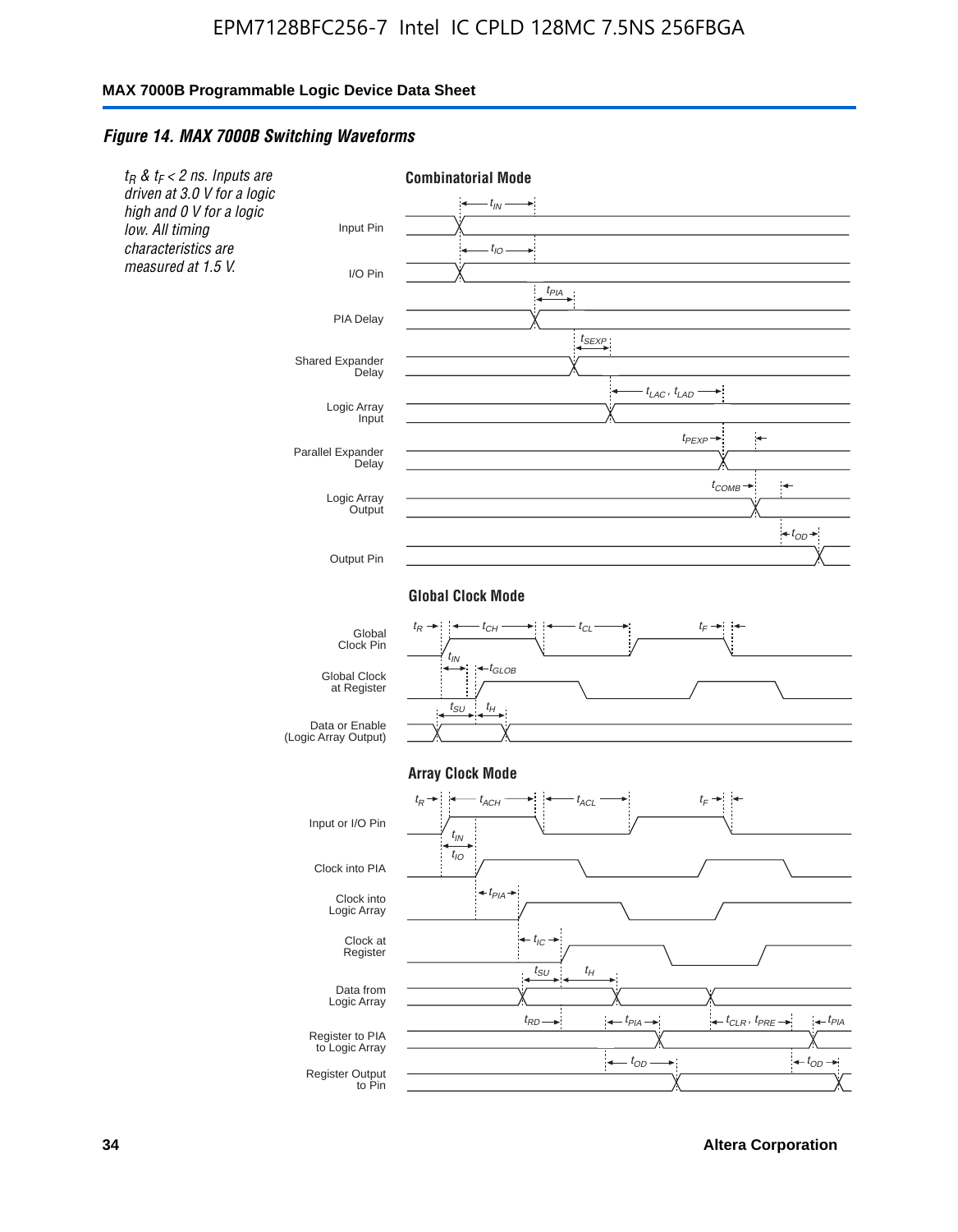#### *Figure 14. MAX 7000B Switching Waveforms*



**34 Altera Corporation**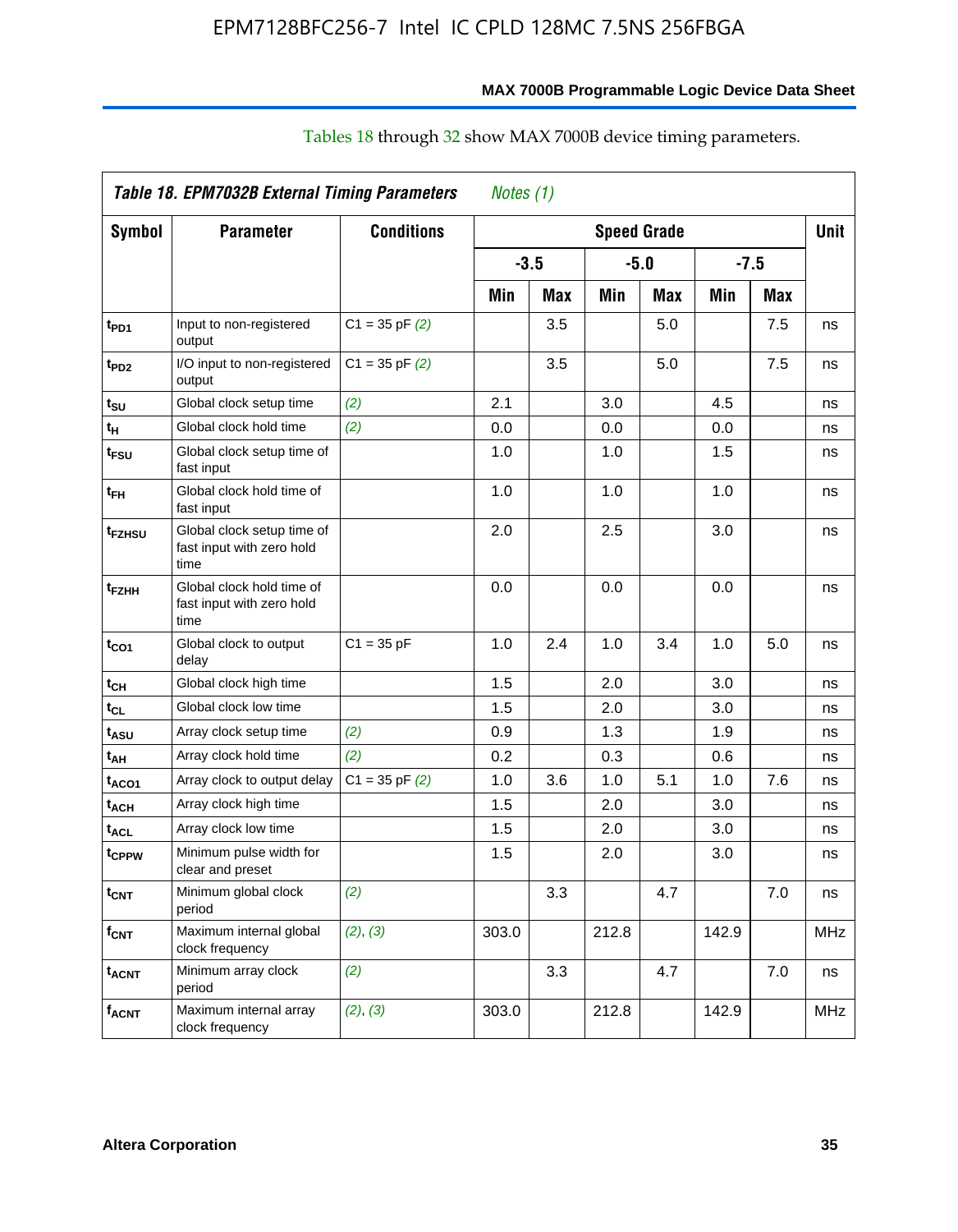|                          | <b>Table 18. EPM7032B External Timing Parameters</b>            |                    | Notes (1) |            |                    |     |        |            |             |
|--------------------------|-----------------------------------------------------------------|--------------------|-----------|------------|--------------------|-----|--------|------------|-------------|
| <b>Symbol</b>            | <b>Parameter</b>                                                | <b>Conditions</b>  |           |            | <b>Speed Grade</b> |     |        |            | <b>Unit</b> |
|                          |                                                                 |                    | $-3.5$    |            | $-5.0$             |     | $-7.5$ |            |             |
|                          |                                                                 |                    | Min       | <b>Max</b> | Min                | Max | Min    | <b>Max</b> |             |
| t <sub>PD1</sub>         | Input to non-registered<br>output                               | $C1 = 35$ pF $(2)$ |           | 3.5        |                    | 5.0 |        | 7.5        | ns          |
| t <sub>PD2</sub>         | I/O input to non-registered<br>output                           | $C1 = 35$ pF $(2)$ |           | 3.5        |                    | 5.0 |        | 7.5        | ns          |
| tsu                      | Global clock setup time                                         | (2)                | 2.1       |            | 3.0                |     | 4.5    |            | ns          |
| t <sub>H</sub>           | Global clock hold time                                          | (2)                | 0.0       |            | 0.0                |     | 0.0    |            | ns          |
| t <sub>FSU</sub>         | Global clock setup time of<br>fast input                        |                    | 1.0       |            | 1.0                |     | 1.5    |            | ns          |
| t <sub>FH</sub>          | Global clock hold time of<br>fast input                         |                    | 1.0       |            | 1.0                |     | 1.0    |            | ns          |
| t <sub>FZHSU</sub>       | Global clock setup time of<br>fast input with zero hold<br>time |                    | 2.0       |            | 2.5                |     | 3.0    |            | ns          |
| t <sub>FZНН</sub>        | Global clock hold time of<br>fast input with zero hold<br>time  |                    | 0.0       |            | 0.0                |     | 0.0    |            | ns          |
| t <sub>CO1</sub>         | Global clock to output<br>delay                                 | $C1 = 35 pF$       | 1.0       | 2.4        | 1.0                | 3.4 | 1.0    | 5.0        | ns          |
| t <sub>СН</sub>          | Global clock high time                                          |                    | 1.5       |            | 2.0                |     | 3.0    |            | ns          |
| $t_{\scriptstyle\rm CL}$ | Global clock low time                                           |                    | 1.5       |            | 2.0                |     | 3.0    |            | ns          |
| t <sub>ASU</sub>         | Array clock setup time                                          | (2)                | 0.9       |            | 1.3                |     | 1.9    |            | ns          |
| t <sub>АН</sub>          | Array clock hold time                                           | (2)                | 0.2       |            | 0.3                |     | 0.6    |            | ns          |
| t <sub>ACO1</sub>        | Array clock to output delay                                     | $C1 = 35$ pF $(2)$ | 1.0       | 3.6        | 1.0                | 5.1 | 1.0    | 7.6        | ns          |
| t <sub>АСН</sub>         | Array clock high time                                           |                    | 1.5       |            | 2.0                |     | 3.0    |            | ns          |
| t <sub>ACL</sub>         | Array clock low time                                            |                    | 1.5       |            | 2.0                |     | 3.0    |            | ns          |
| t <sub>CPPW</sub>        | Minimum pulse width for<br>clear and preset                     |                    | 1.5       |            | 2.0                |     | 3.0    |            | ns          |
| t <sub>CNT</sub>         | Minimum global clock<br>period                                  | (2)                |           | 3.3        |                    | 4.7 |        | 7.0        | ns          |
| f <sub>CNT</sub>         | Maximum internal global<br>clock frequency                      | (2), (3)           | 303.0     |            | 212.8              |     | 142.9  |            | <b>MHz</b>  |
| <sup>t</sup> acnt        | Minimum array clock<br>period                                   | (2)                |           | 3.3        |                    | 4.7 |        | 7.0        | ns          |
| f <sub>acnt</sub>        | Maximum internal array<br>clock frequency                       | (2), (3)           | 303.0     |            | 212.8              |     | 142.9  |            | MHz         |

# Tables 18 through 32 show MAX 7000B device timing parameters.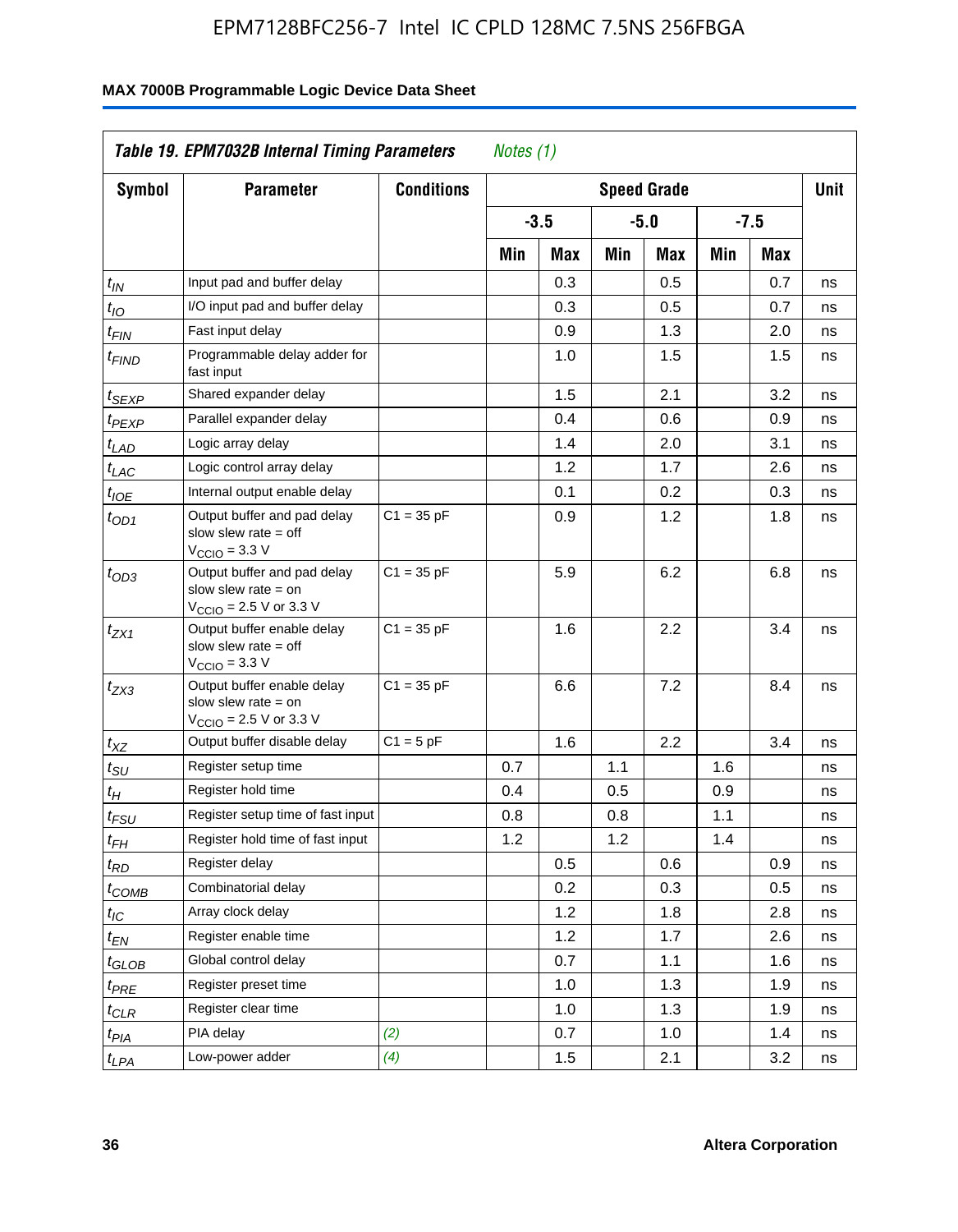| <b>Symbol</b>                 | <b>Parameter</b>                                                                                           | <b>Conditions</b> |     |        |     | <b>Speed Grade</b> |     |            | <b>Unit</b> |
|-------------------------------|------------------------------------------------------------------------------------------------------------|-------------------|-----|--------|-----|--------------------|-----|------------|-------------|
|                               |                                                                                                            |                   |     | $-3.5$ |     | $-5.0$             |     | $-7.5$     |             |
|                               |                                                                                                            |                   | Min | Max    | Min | Max                | Min | <b>Max</b> |             |
| $t_{\mathsf{IN}}$             | Input pad and buffer delay                                                                                 |                   |     | 0.3    |     | 0.5                |     | 0.7        | ns          |
| $t_{IO}$                      | I/O input pad and buffer delay                                                                             |                   |     | 0.3    |     | 0.5                |     | 0.7        | ns          |
| $t_{\sf FIN}$                 | Fast input delay                                                                                           |                   |     | 0.9    |     | 1.3                |     | 2.0        | ns          |
| <sup>t</sup> FIND             | Programmable delay adder for<br>fast input                                                                 |                   |     | 1.0    |     | 1.5                |     | 1.5        | ns          |
| t <sub>SEXP</sub>             | Shared expander delay                                                                                      |                   |     | 1.5    |     | 2.1                |     | 3.2        | ns          |
| t <sub>PEXP</sub>             | Parallel expander delay                                                                                    |                   |     | 0.4    |     | 0.6                |     | 0.9        | ns          |
| t <sub>LAD</sub>              | Logic array delay                                                                                          |                   |     | 1.4    |     | 2.0                |     | 3.1        | ns          |
| $t_{LAC}$                     | Logic control array delay                                                                                  |                   |     | 1.2    |     | 1.7                |     | 2.6        | ns          |
| $t_{\mathit{IOE}}$            | Internal output enable delay                                                                               |                   |     | 0.1    |     | 0.2                |     | 0.3        | ns          |
| $t_{OD1}$                     | Output buffer and pad delay<br>slow slew rate $=$ off<br>$VCCIO = 3.3 V$                                   | $C1 = 35 pF$      |     | 0.9    |     | 1.2                |     | 1.8        | ns          |
| $t_{OD3}$                     | Output buffer and pad delay<br>slow slew rate $=$ on<br>V <sub>CCIO</sub> = 2.5 V or 3.3 V                 | $C1 = 35 pF$      |     | 5.9    |     | 6.2                |     | 6.8        | ns          |
| $t_{ZX1}$                     | Output buffer enable delay<br>slow slew rate $=$ off<br>$V_{\text{CCIO}} = 3.3 \text{ V}$                  | $C1 = 35 pF$      |     | 1.6    |     | 2.2                |     | 3.4        | ns          |
| $t_{ZX3}$                     | Output buffer enable delay<br>slow slew rate $=$ on<br>$V_{\text{CCIO}} = 2.5 \text{ V or } 3.3 \text{ V}$ | $C1 = 35 pF$      |     | 6.6    |     | 7.2                |     | 8.4        | ns          |
| $t_{XZ}$                      | Output buffer disable delay                                                                                | $C1 = 5pF$        |     | 1.6    |     | 2.2                |     | 3.4        | ns          |
| $t_{\scriptstyle\text{SU}}$   | Register setup time                                                                                        |                   | 0.7 |        | 1.1 |                    | 1.6 |            | ns          |
| t <sub>Η</sub>                | Register hold time                                                                                         |                   | 0.4 |        | 0.5 |                    | 0.9 |            | ns          |
| $t_{\mathit{FSU}}$            | Register setup time of fast input                                                                          |                   | 0.8 |        | 0.8 |                    | 1.1 |            | ns          |
| t <sub>FH</sub>               | Register hold time of fast input                                                                           |                   | 1.2 |        | 1.2 |                    | 1.4 |            | ns          |
| $t_{RD}$                      | Register delay                                                                                             |                   |     | 0.5    |     | 0.6                |     | 0.9        | ns          |
| $t_{COMB}$                    | Combinatorial delay                                                                                        |                   |     | 0.2    |     | 0.3                |     | 0.5        | ns          |
| $t_{\mathcal{IC}}$            | Array clock delay                                                                                          |                   |     | 1.2    |     | 1.8                |     | 2.8        | ns          |
| $t_{EN}$                      | Register enable time                                                                                       |                   |     | 1.2    |     | 1.7                |     | 2.6        | ns          |
| $t_{\scriptstyle\text{GLOB}}$ | Global control delay                                                                                       |                   |     | 0.7    |     | 1.1                |     | 1.6        | ns          |
| $t_{PRE}$                     | Register preset time                                                                                       |                   |     | 1.0    |     | 1.3                |     | 1.9        | ns          |
| $t_{\text{CLR}}$              | Register clear time                                                                                        |                   |     | 1.0    |     | 1.3                |     | 1.9        | ns          |
| t <sub>PIA</sub>              | PIA delay                                                                                                  | (2)               |     | 0.7    |     | 1.0                |     | 1.4        | ns          |
| t <sub>LPA</sub>              | Low-power adder                                                                                            | (4)               |     | 1.5    |     | 2.1                |     | 3.2        | ns          |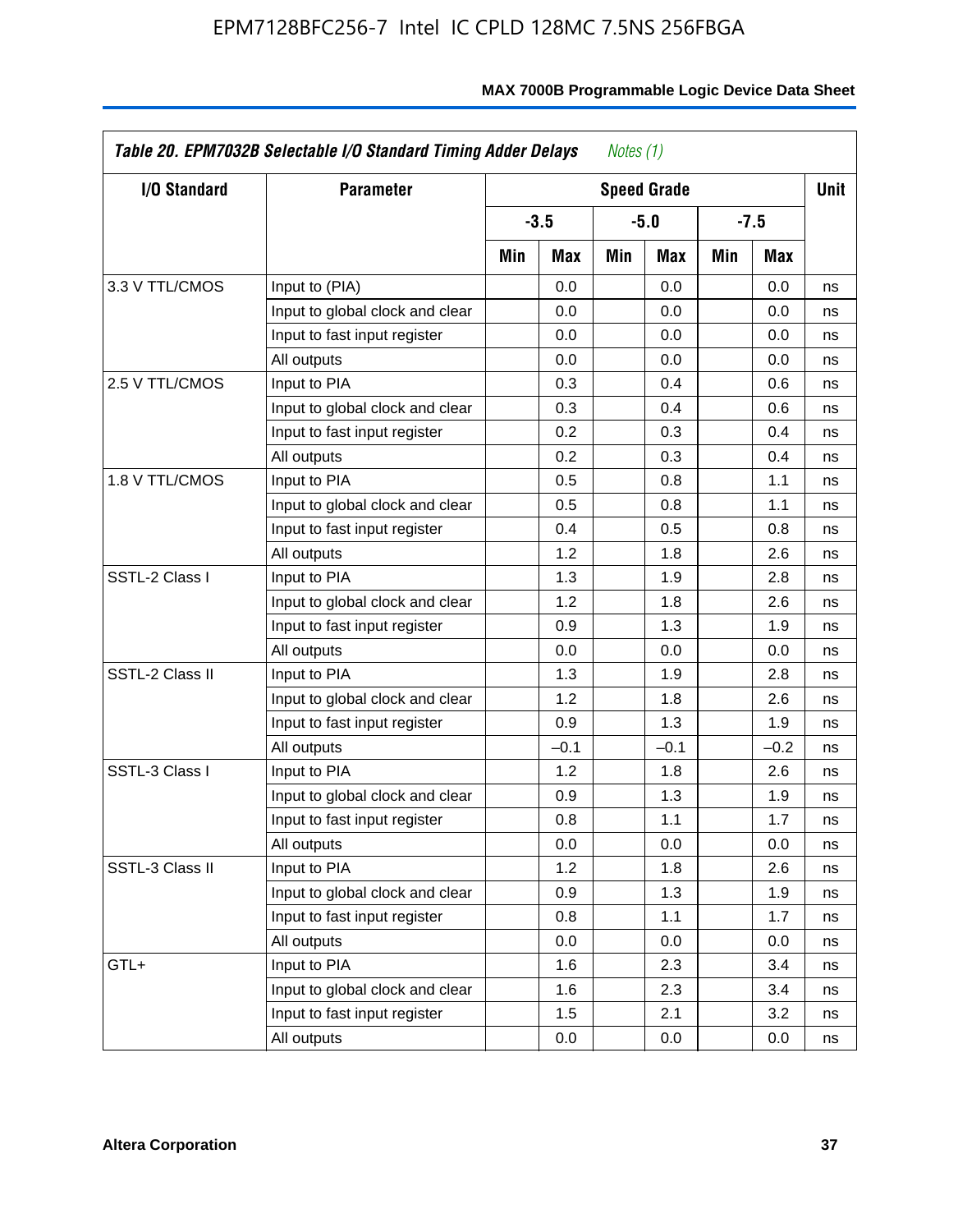| <b>I/O Standard</b> | <b>Parameter</b>                |     |        |     | <b>Speed Grade</b> |     |        | <b>Unit</b> |
|---------------------|---------------------------------|-----|--------|-----|--------------------|-----|--------|-------------|
|                     |                                 |     | $-3.5$ |     | $-5.0$             |     | $-7.5$ |             |
|                     |                                 | Min | Max    | Min | Max                | Min | Max    |             |
| 3.3 V TTL/CMOS      | Input to (PIA)                  |     | 0.0    |     | 0.0                |     | 0.0    | ns          |
|                     | Input to global clock and clear |     | 0.0    |     | 0.0                |     | 0.0    | ns          |
|                     | Input to fast input register    |     | 0.0    |     | 0.0                |     | 0.0    | ns          |
|                     | All outputs                     |     | 0.0    |     | 0.0                |     | 0.0    | ns          |
| 2.5 V TTL/CMOS      | Input to PIA                    |     | 0.3    |     | 0.4                |     | 0.6    | ns          |
|                     | Input to global clock and clear |     | 0.3    |     | 0.4                |     | 0.6    | ns          |
|                     | Input to fast input register    |     | 0.2    |     | 0.3                |     | 0.4    | ns          |
|                     | All outputs                     |     | 0.2    |     | 0.3                |     | 0.4    | ns          |
| 1.8 V TTL/CMOS      | Input to PIA                    |     | 0.5    |     | 0.8                |     | 1.1    | ns          |
|                     | Input to global clock and clear |     | 0.5    |     | 0.8                |     | 1.1    | ns          |
|                     | Input to fast input register    |     | 0.4    |     | 0.5                |     | 0.8    | ns          |
|                     | All outputs                     |     | 1.2    |     | 1.8                |     | 2.6    | ns          |
| SSTL-2 Class I      | Input to PIA                    |     | 1.3    |     | 1.9                |     | 2.8    | ns          |
|                     | Input to global clock and clear |     | 1.2    |     | 1.8                |     | 2.6    | ns          |
|                     | Input to fast input register    |     | 0.9    |     | 1.3                |     | 1.9    | ns          |
|                     | All outputs                     |     | 0.0    |     | 0.0                |     | 0.0    | ns          |
| SSTL-2 Class II     | Input to PIA                    |     | 1.3    |     | 1.9                |     | 2.8    | ns          |
|                     | Input to global clock and clear |     | 1.2    |     | 1.8                |     | 2.6    | ns          |
|                     | Input to fast input register    |     | 0.9    |     | 1.3                |     | 1.9    | ns          |
|                     | All outputs                     |     | $-0.1$ |     | $-0.1$             |     | $-0.2$ | ns          |
| SSTL-3 Class I      | Input to PIA                    |     | 1.2    |     | 1.8                |     | 2.6    | ns          |
|                     | Input to global clock and clear |     | 0.9    |     | 1.3                |     | 1.9    | ns          |
|                     | Input to fast input register    |     | 0.8    |     | 1.1                |     | 1.7    | ns          |
|                     | All outputs                     |     | 0.0    |     | 0.0                |     | 0.0    | ns          |
| SSTL-3 Class II     | Input to PIA                    |     | 1.2    |     | 1.8                |     | 2.6    | ns          |
|                     | Input to global clock and clear |     | 0.9    |     | 1.3                |     | 1.9    | ns          |
|                     | Input to fast input register    |     | 0.8    |     | 1.1                |     | 1.7    | ns          |
|                     | All outputs                     |     | 0.0    |     | 0.0                |     | 0.0    | ns          |
| GTL+                | Input to PIA                    |     | 1.6    |     | 2.3                |     | 3.4    | ns          |
|                     | Input to global clock and clear |     | 1.6    |     | 2.3                |     | 3.4    | ns          |
|                     | Input to fast input register    |     | 1.5    |     | 2.1                |     | 3.2    | ns          |
|                     | All outputs                     |     | 0.0    |     | 0.0                |     | 0.0    | ns          |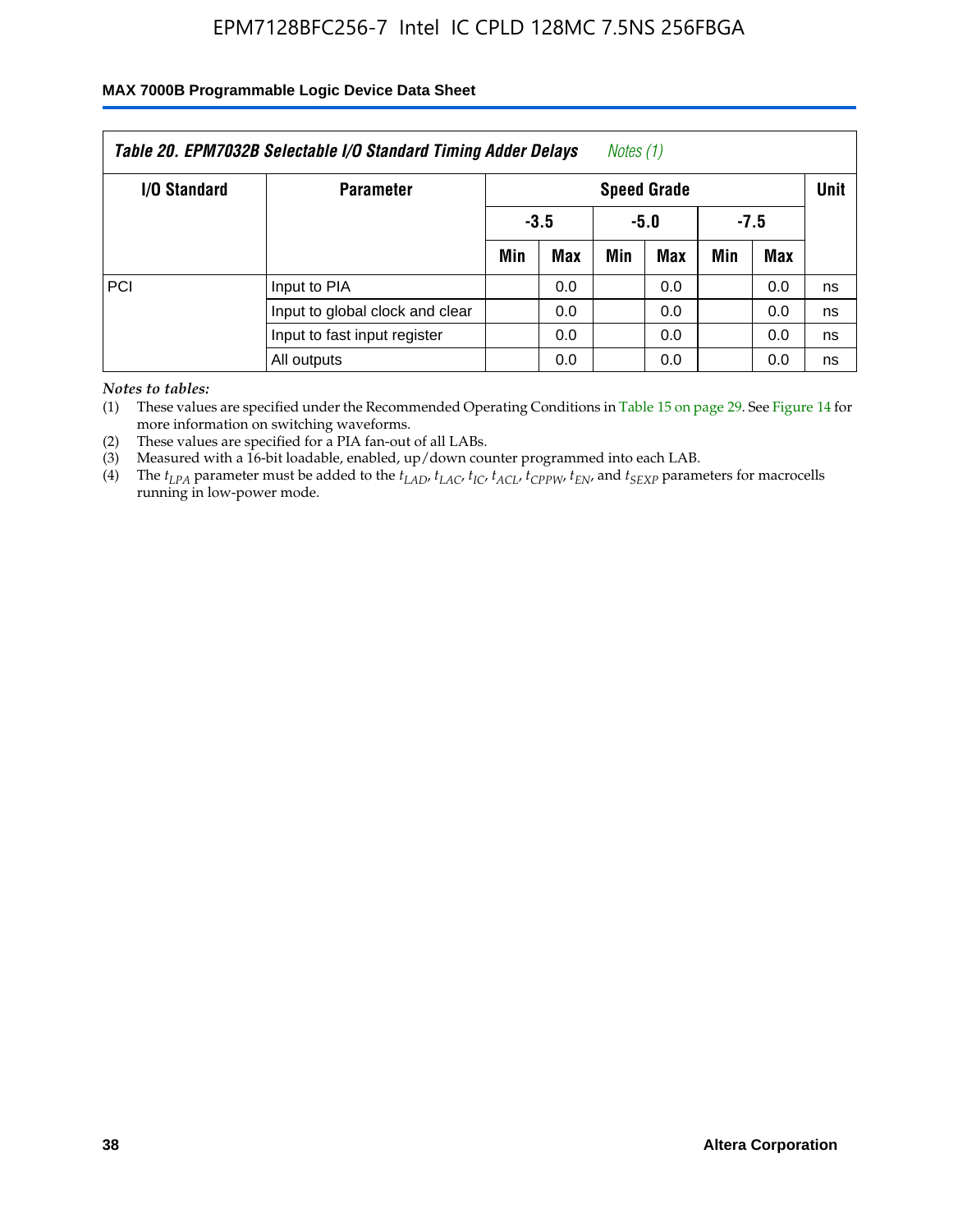### **MAX 7000B Programmable Logic Device Data Sheet**

|              | Table 20. EPM7032B Selectable I/O Standard Timing Adder Delays |     |                                               | Notes (1) |      |        |     |    |  |  |
|--------------|----------------------------------------------------------------|-----|-----------------------------------------------|-----------|------|--------|-----|----|--|--|
| I/O Standard | <b>Parameter</b>                                               |     | <b>Speed Grade</b>                            |           |      |        |     |    |  |  |
|              |                                                                |     | $-3.5$                                        |           | -5.0 | $-7.5$ |     |    |  |  |
|              |                                                                | Min | Min<br>Max<br><b>Max</b><br><b>Max</b><br>Min |           |      |        |     |    |  |  |
| PCI          | Input to PIA                                                   |     | 0.0                                           |           | 0.0  |        | 0.0 | ns |  |  |
|              | Input to global clock and clear                                |     | 0.0                                           |           | 0.0  |        | 0.0 | ns |  |  |
|              | Input to fast input register                                   |     | 0.0                                           |           | 0.0  |        | 0.0 | ns |  |  |
|              | All outputs                                                    |     | 0.0                                           |           | 0.0  |        | 0.0 | ns |  |  |

*Notes to tables:*

(1) These values are specified under the Recommended Operating Conditions in Table 15 on page 29. See Figure 14 for more information on switching waveforms.

(2) These values are specified for a PIA fan-out of all LABs.

(3) Measured with a 16-bit loadable, enabled, up/down counter programmed into each LAB.

(4) The *tLPA* parameter must be added to the *tLAD*, *tLAC*, *tIC*, *tACL*, *tCPPW*, *tEN*, and *tSEXP* parameters for macrocells running in low-power mode.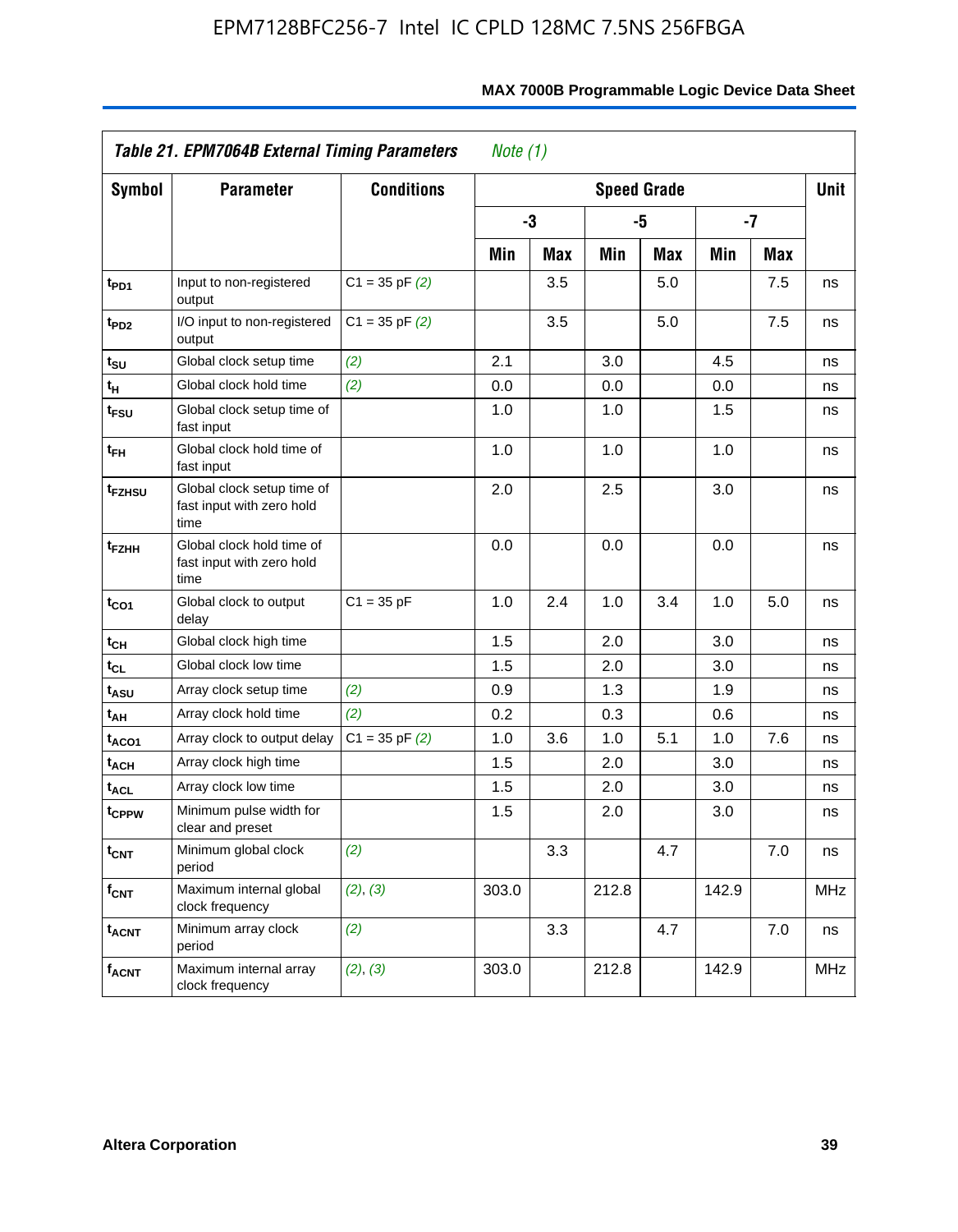|                         | Table 21. EPM7064B External Timing Parameters                   |                    | Note $(1)$ |            |       |                    |       |      |             |
|-------------------------|-----------------------------------------------------------------|--------------------|------------|------------|-------|--------------------|-------|------|-------------|
| <b>Symbol</b>           | <b>Parameter</b>                                                | <b>Conditions</b>  |            |            |       | <b>Speed Grade</b> |       |      | <b>Unit</b> |
|                         |                                                                 |                    |            | -3         |       | -5                 |       | $-7$ |             |
|                         |                                                                 |                    | Min        | <b>Max</b> | Min   | <b>Max</b>         | Min   | Max  |             |
| t <sub>PD1</sub>        | Input to non-registered<br>output                               | $C1 = 35$ pF $(2)$ |            | 3.5        |       | 5.0                |       | 7.5  | ns          |
| t <sub>PD2</sub>        | I/O input to non-registered<br>output                           | $C1 = 35$ pF $(2)$ |            | 3.5        |       | 5.0                |       | 7.5  | ns          |
| t <sub>SU</sub>         | Global clock setup time                                         | (2)                | 2.1        |            | 3.0   |                    | 4.5   |      | ns          |
| $t_H$                   | Global clock hold time                                          | (2)                | 0.0        |            | 0.0   |                    | 0.0   |      | ns          |
| t <sub>FSU</sub>        | Global clock setup time of<br>fast input                        |                    | 1.0        |            | 1.0   |                    | 1.5   |      | ns          |
| t <sub>FH</sub>         | Global clock hold time of<br>fast input                         |                    | 1.0        |            | 1.0   |                    | 1.0   |      | ns          |
| t <sub>FZHSU</sub>      | Global clock setup time of<br>fast input with zero hold<br>time |                    | 2.0        |            | 2.5   |                    | 3.0   |      | ns          |
| t <sub>FZHH</sub>       | Global clock hold time of<br>fast input with zero hold<br>time  |                    | 0.0        |            | 0.0   |                    | 0.0   |      | ns          |
| t <sub>CO1</sub>        | Global clock to output<br>delay                                 | $C1 = 35 pF$       | 1.0        | 2.4        | 1.0   | 3.4                | 1.0   | 5.0  | ns          |
| t <sub>СН</sub>         | Global clock high time                                          |                    | 1.5        |            | 2.0   |                    | 3.0   |      | ns          |
| tcL                     | Global clock low time                                           |                    | 1.5        |            | 2.0   |                    | 3.0   |      | ns          |
| tasu                    | Array clock setup time                                          | (2)                | 0.9        |            | 1.3   |                    | 1.9   |      | ns          |
| t <sub>АН</sub>         | Array clock hold time                                           | (2)                | 0.2        |            | 0.3   |                    | 0.6   |      | ns          |
| t <sub>ACO1</sub>       | Array clock to output delay                                     | $C1 = 35$ pF $(2)$ | 1.0        | 3.6        | 1.0   | 5.1                | 1.0   | 7.6  | ns          |
| $t_{\sf ACH}$           | Array clock high time                                           |                    | 1.5        |            | 2.0   |                    | 3.0   |      | ns          |
| t <sub>ACL</sub>        | Array clock low time                                            |                    | 1.5        |            | 2.0   |                    | 3.0   |      | ns          |
| tcppw                   | Minimum pulse width for<br>clear and preset                     |                    | 1.5        |            | 2.0   |                    | 3.0   |      | ns          |
| $t_{\text{CNT}}$        | Minimum global clock<br>period                                  | (2)                |            | 3.3        |       | 4.7                |       | 7.0  | ns          |
| f <sub>CNT</sub>        | Maximum internal global<br>clock frequency                      | (2), (3)           | 303.0      |            | 212.8 |                    | 142.9 |      | <b>MHz</b>  |
| <b>t<sub>ACNT</sub></b> | Minimum array clock<br>period                                   | (2)                |            | 3.3        |       | 4.7                |       | 7.0  | ns          |
| <b>f<sub>ACNT</sub></b> | Maximum internal array<br>clock frequency                       | (2), (3)           | 303.0      |            | 212.8 |                    | 142.9 |      | <b>MHz</b>  |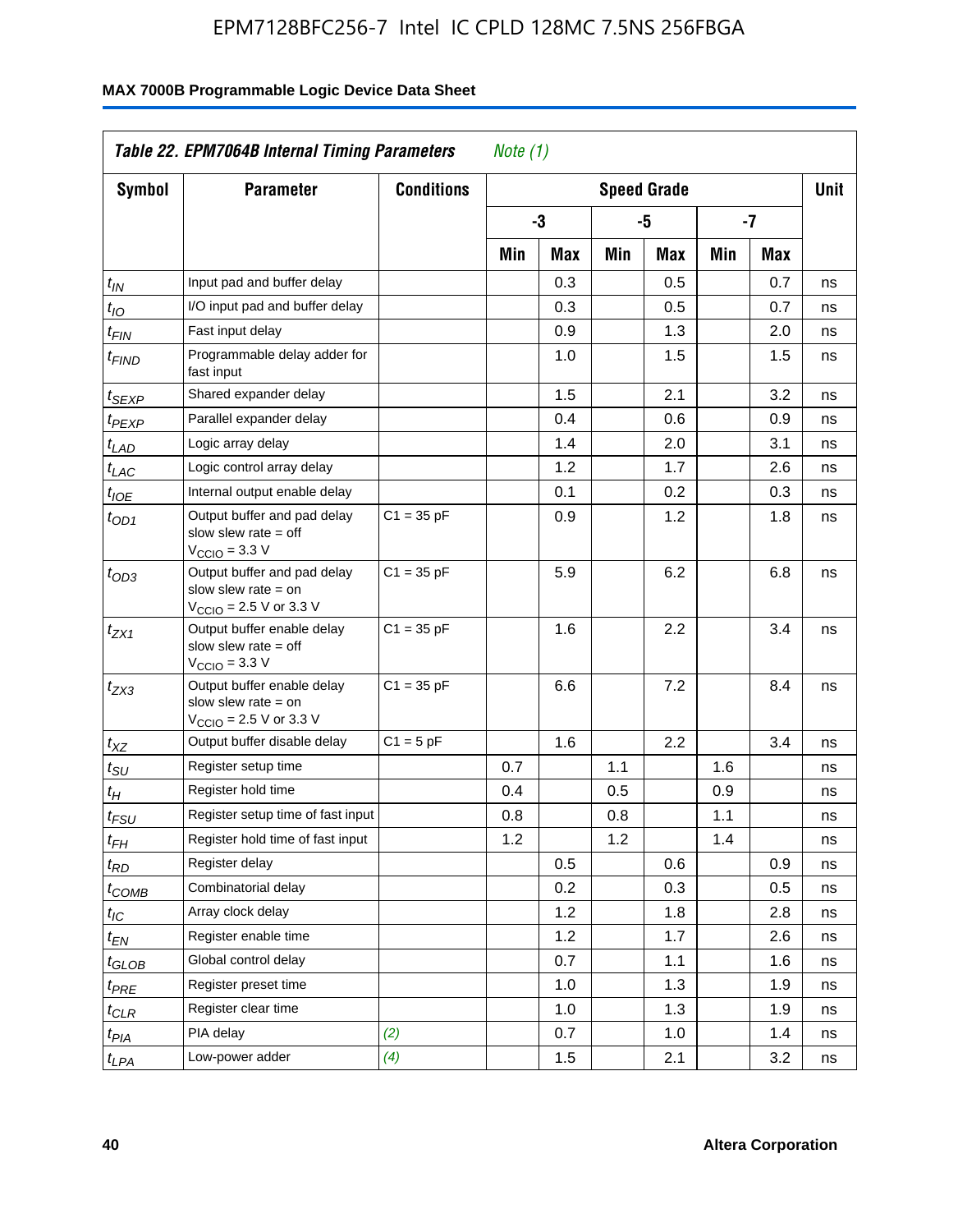| <b>Symbol</b>                 | <b>Parameter</b>                                                                                           | <b>Conditions</b> |     |     |     | <b>Speed Grade</b> |     |            | <b>Unit</b> |
|-------------------------------|------------------------------------------------------------------------------------------------------------|-------------------|-----|-----|-----|--------------------|-----|------------|-------------|
|                               |                                                                                                            |                   |     | -3  |     | -5                 |     | -7         |             |
|                               |                                                                                                            |                   | Min | Max | Min | Max                | Min | <b>Max</b> |             |
| $t_{\mathit{IN}}$             | Input pad and buffer delay                                                                                 |                   |     | 0.3 |     | 0.5                |     | 0.7        | ns          |
| $t_{IO}$                      | I/O input pad and buffer delay                                                                             |                   |     | 0.3 |     | 0.5                |     | 0.7        | ns          |
| $t_{\sf FIN}$                 | Fast input delay                                                                                           |                   |     | 0.9 |     | 1.3                |     | 2.0        | ns          |
| <sup>t</sup> FIND             | Programmable delay adder for<br>fast input                                                                 |                   |     | 1.0 |     | 1.5                |     | 1.5        | ns          |
| t <sub>SEXP</sub>             | Shared expander delay                                                                                      |                   |     | 1.5 |     | 2.1                |     | 3.2        | ns          |
| t <sub>PEXP</sub>             | Parallel expander delay                                                                                    |                   |     | 0.4 |     | 0.6                |     | 0.9        | ns          |
| t <sub>LAD</sub>              | Logic array delay                                                                                          |                   |     | 1.4 |     | 2.0                |     | 3.1        | ns          |
| $t_{LAC}$                     | Logic control array delay                                                                                  |                   |     | 1.2 |     | 1.7                |     | 2.6        | ns          |
| $t_{\mathit{IOE}}$            | Internal output enable delay                                                                               |                   |     | 0.1 |     | 0.2                |     | 0.3        | ns          |
| $t_{OD1}$                     | Output buffer and pad delay<br>slow slew rate $=$ off<br>$VCCIO = 3.3 V$                                   | $C1 = 35 pF$      |     | 0.9 |     | 1.2                |     | 1.8        | ns          |
| $t_{OD3}$                     | Output buffer and pad delay<br>slow slew rate $=$ on<br>V <sub>CCIO</sub> = 2.5 V or 3.3 V                 | $C1 = 35 pF$      |     | 5.9 |     | 6.2                |     | 6.8        | ns          |
| $t_{ZX1}$                     | Output buffer enable delay<br>slow slew rate $=$ off<br>$V_{\text{CCIO}} = 3.3 \text{ V}$                  | $C1 = 35 pF$      |     | 1.6 |     | 2.2                |     | 3.4        | ns          |
| $t_{ZX3}$                     | Output buffer enable delay<br>slow slew rate $=$ on<br>$V_{\text{CCIO}} = 2.5 \text{ V or } 3.3 \text{ V}$ | $C1 = 35 pF$      |     | 6.6 |     | 7.2                |     | 8.4        | ns          |
| $t_{XZ}$                      | Output buffer disable delay                                                                                | $C1 = 5pF$        |     | 1.6 |     | 2.2                |     | 3.4        | ns          |
| $t_{\scriptstyle\text{SU}}$   | Register setup time                                                                                        |                   | 0.7 |     | 1.1 |                    | 1.6 |            | ns          |
| t <sub>Η</sub>                | Register hold time                                                                                         |                   | 0.4 |     | 0.5 |                    | 0.9 |            | ns          |
| $t_{\mathit{FSU}}$            | Register setup time of fast input                                                                          |                   | 0.8 |     | 0.8 |                    | 1.1 |            | ns          |
| t <sub>FH</sub>               | Register hold time of fast input                                                                           |                   | 1.2 |     | 1.2 |                    | 1.4 |            | ns          |
| $t_{RD}$                      | Register delay                                                                                             |                   |     | 0.5 |     | 0.6                |     | 0.9        | ns          |
| $t_{COMB}$                    | Combinatorial delay                                                                                        |                   |     | 0.2 |     | 0.3                |     | 0.5        | ns          |
| $t_{\mathcal{IC}}$            | Array clock delay                                                                                          |                   |     | 1.2 |     | 1.8                |     | 2.8        | ns          |
| $t_{EN}$                      | Register enable time                                                                                       |                   |     | 1.2 |     | 1.7                |     | 2.6        | ns          |
| $t_{\scriptstyle\text{GLOB}}$ | Global control delay                                                                                       |                   |     | 0.7 |     | 1.1                |     | 1.6        | ns          |
| $t_{PRE}$                     | Register preset time                                                                                       |                   |     | 1.0 |     | 1.3                |     | 1.9        | ns          |
| $t_{\sf CLR}$                 | Register clear time                                                                                        |                   |     | 1.0 |     | 1.3                |     | 1.9        | ns          |
| t <sub>PIA</sub>              | PIA delay                                                                                                  | (2)               |     | 0.7 |     | 1.0                |     | 1.4        | ns          |
| t <sub>LPA</sub>              | Low-power adder                                                                                            | (4)               |     | 1.5 |     | 2.1                |     | 3.2        | ns          |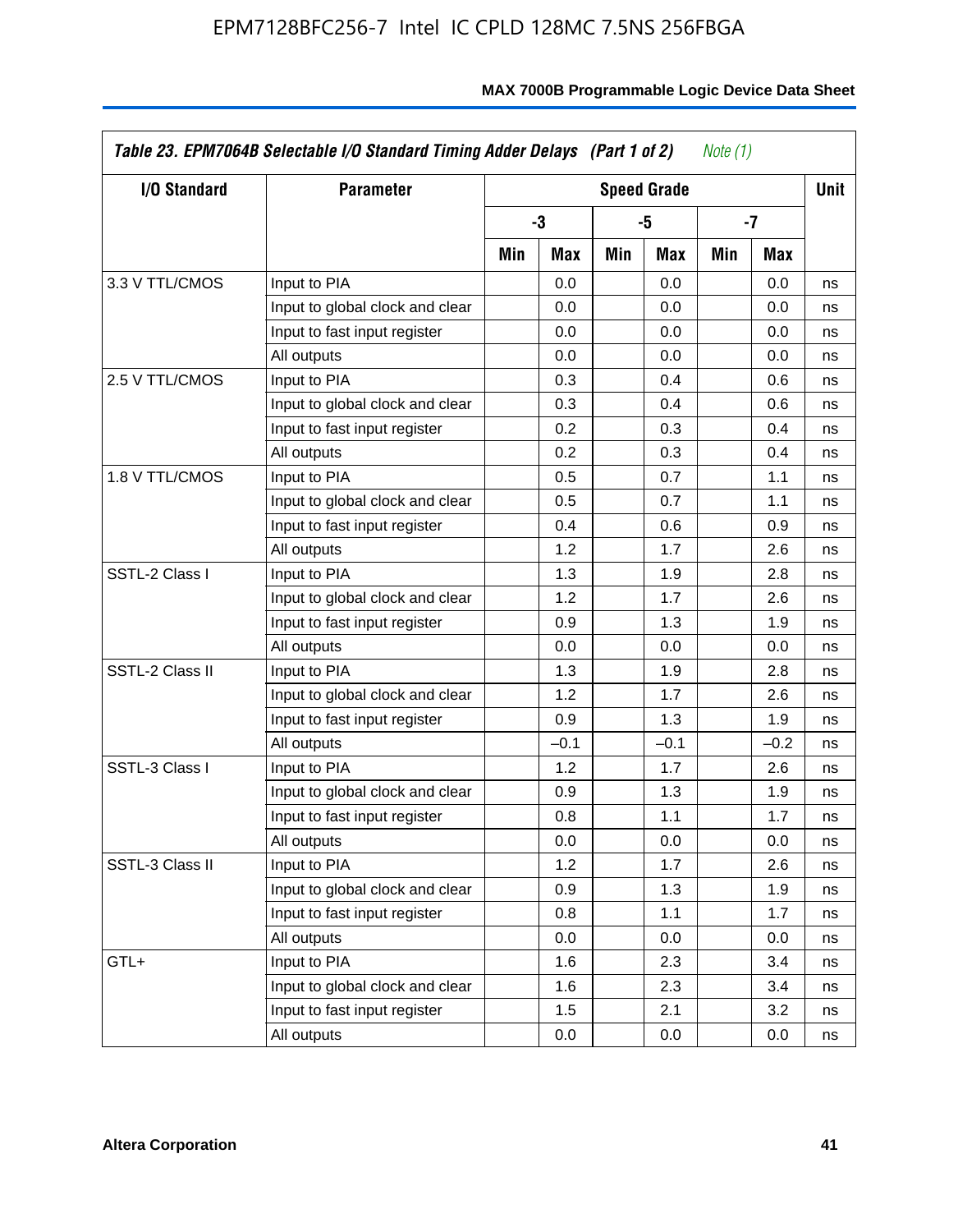| I/O Standard    | <b>Parameter</b>                |     |        |     | <b>Speed Grade</b> |     |        | Unit |
|-----------------|---------------------------------|-----|--------|-----|--------------------|-----|--------|------|
|                 |                                 |     | -3     |     | -5                 |     | -7     |      |
|                 |                                 | Min | Max    | Min | Max                | Min | Max    |      |
| 3.3 V TTL/CMOS  | Input to PIA                    |     | 0.0    |     | 0.0                |     | 0.0    | ns   |
|                 | Input to global clock and clear |     | 0.0    |     | 0.0                |     | 0.0    | ns   |
|                 | Input to fast input register    |     | 0.0    |     | 0.0                |     | 0.0    | ns   |
|                 | All outputs                     |     | 0.0    |     | 0.0                |     | 0.0    | ns   |
| 2.5 V TTL/CMOS  | Input to PIA                    |     | 0.3    |     | 0.4                |     | 0.6    | ns   |
|                 | Input to global clock and clear |     | 0.3    |     | 0.4                |     | 0.6    | ns   |
|                 | Input to fast input register    |     | 0.2    |     | 0.3                |     | 0.4    | ns   |
|                 | All outputs                     |     | 0.2    |     | 0.3                |     | 0.4    | ns   |
| 1.8 V TTL/CMOS  | Input to PIA                    |     | 0.5    |     | 0.7                |     | 1.1    | ns   |
|                 | Input to global clock and clear |     | 0.5    |     | 0.7                |     | 1.1    | ns   |
|                 | Input to fast input register    |     | 0.4    |     | 0.6                |     | 0.9    | ns   |
|                 | All outputs                     |     | 1.2    |     | 1.7                |     | 2.6    | ns   |
| SSTL-2 Class I  | Input to PIA                    |     | 1.3    |     | 1.9                |     | 2.8    | ns   |
|                 | Input to global clock and clear |     | 1.2    |     | 1.7                |     | 2.6    | ns   |
|                 | Input to fast input register    |     | 0.9    |     | 1.3                |     | 1.9    | ns   |
|                 | All outputs                     |     | 0.0    |     | 0.0                |     | 0.0    | ns   |
| SSTL-2 Class II | Input to PIA                    |     | 1.3    |     | 1.9                |     | 2.8    | ns   |
|                 | Input to global clock and clear |     | 1.2    |     | 1.7                |     | 2.6    | ns   |
|                 | Input to fast input register    |     | 0.9    |     | 1.3                |     | 1.9    | ns   |
|                 | All outputs                     |     | $-0.1$ |     | $-0.1$             |     | $-0.2$ | ns   |
| SSTL-3 Class I  | Input to PIA                    |     | 1.2    |     | 1.7                |     | 2.6    | ns   |
|                 | Input to global clock and clear |     | 0.9    |     | 1.3                |     | 1.9    | ns   |
|                 | Input to fast input register    |     | 0.8    |     | 1.1                |     | 1.7    | ns   |
|                 | All outputs                     |     | 0.0    |     | 0.0                |     | 0.0    | ns   |
| SSTL-3 Class II | Input to PIA                    |     | 1.2    |     | 1.7                |     | 2.6    | ns   |
|                 | Input to global clock and clear |     | 0.9    |     | 1.3                |     | 1.9    | ns   |
|                 | Input to fast input register    |     | 0.8    |     | 1.1                |     | 1.7    | ns   |
|                 | All outputs                     |     | 0.0    |     | 0.0                |     | 0.0    | ns   |
| GTL+            | Input to PIA                    |     | 1.6    |     | 2.3                |     | 3.4    | ns   |
|                 | Input to global clock and clear |     | 1.6    |     | 2.3                |     | 3.4    | ns   |
|                 | Input to fast input register    |     | 1.5    |     | 2.1                |     | 3.2    | ns   |
|                 | All outputs                     |     | 0.0    |     | 0.0                |     | 0.0    | ns   |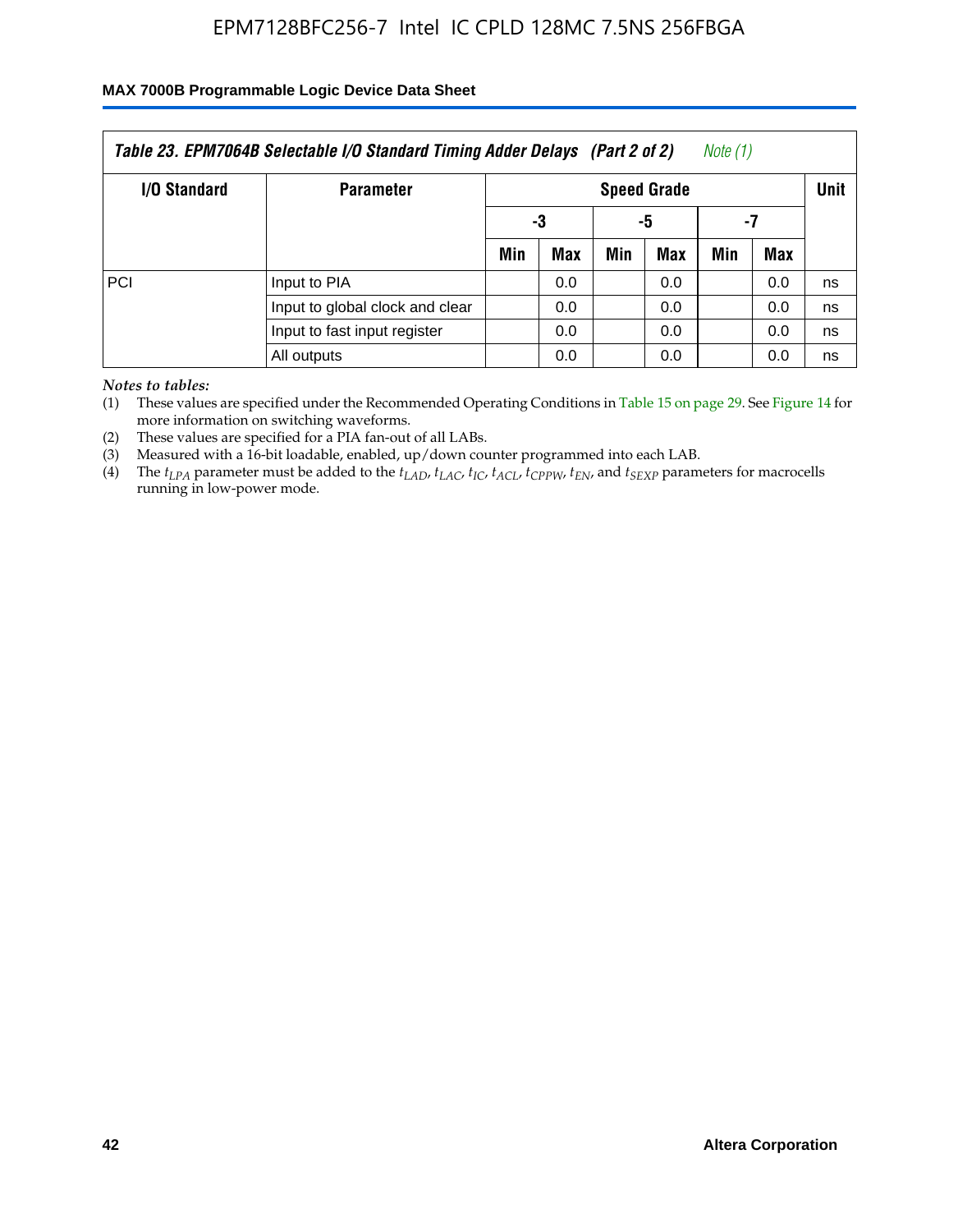### **MAX 7000B Programmable Logic Device Data Sheet**

|                     | Table 23. EPM7064B Selectable I/O Standard Timing Adder Delays (Part 2 of 2) |     |                    |     |     | Note (1) |                   |    |  |  |
|---------------------|------------------------------------------------------------------------------|-----|--------------------|-----|-----|----------|-------------------|----|--|--|
| <b>I/O Standard</b> | <b>Parameter</b>                                                             |     | <b>Speed Grade</b> |     |     |          |                   |    |  |  |
|                     |                                                                              |     | -3                 |     | -5  |          |                   |    |  |  |
|                     |                                                                              | Min | Max                | Min | Max | Min      | Unit<br>-7<br>Max |    |  |  |
| PCI                 | Input to PIA                                                                 |     | 0.0                |     | 0.0 |          | 0.0               | ns |  |  |
|                     | Input to global clock and clear                                              |     | 0.0                |     | 0.0 |          | 0.0               | ns |  |  |
|                     | Input to fast input register                                                 |     | 0.0                |     | 0.0 |          | 0.0               | ns |  |  |
|                     | All outputs                                                                  |     | 0.0                |     | 0.0 |          | 0.0               | ns |  |  |

*Notes to tables:*

(1) These values are specified under the Recommended Operating Conditions in Table 15 on page 29. See Figure 14 for more information on switching waveforms.

(2) These values are specified for a PIA fan-out of all LABs.

(3) Measured with a 16-bit loadable, enabled, up/down counter programmed into each LAB.

(4) The  $t_{LPA}$  parameter must be added to the  $t_{LAD}$ ,  $t_{LAC}$ ,  $t_{IC}$ ,  $t_{ACL}$ ,  $t_{CPPW}$ ,  $t_{EN}$ , and  $t_{SEXP}$  parameters for macrocells running in low-power mode.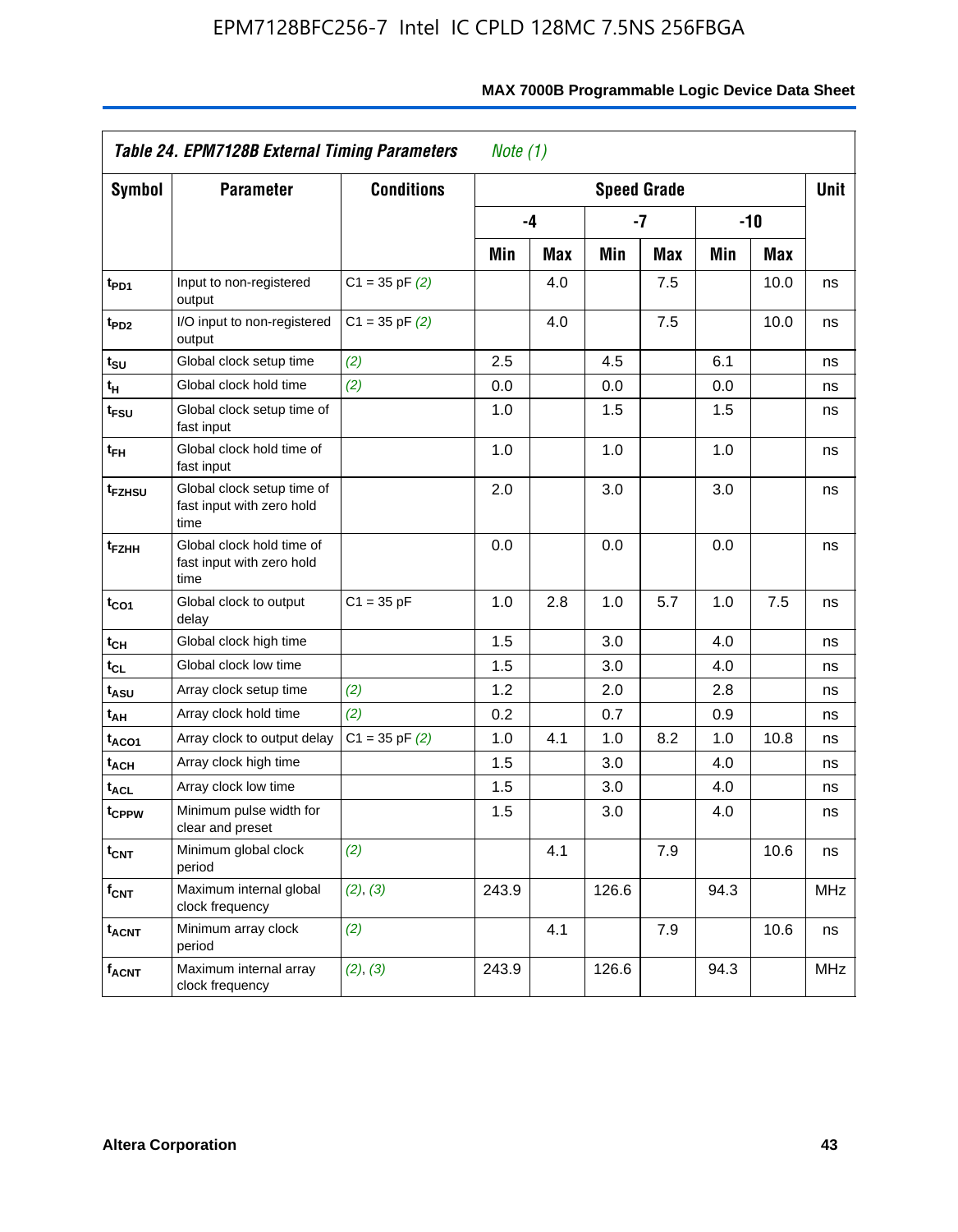|                         | <b>Table 24. EPM7128B External Timing Parameters</b>            |                    | Note $(1)$ |            |       |                    |      |       |            |
|-------------------------|-----------------------------------------------------------------|--------------------|------------|------------|-------|--------------------|------|-------|------------|
| <b>Symbol</b>           | <b>Parameter</b>                                                | <b>Conditions</b>  |            |            |       | <b>Speed Grade</b> |      |       | Unit       |
|                         |                                                                 |                    |            | -4         |       | -7                 |      | $-10$ |            |
|                         |                                                                 |                    | Min        | <b>Max</b> | Min   | Max                | Min  | Max   |            |
| t <sub>PD1</sub>        | Input to non-registered<br>output                               | $C1 = 35$ pF $(2)$ |            | 4.0        |       | 7.5                |      | 10.0  | ns         |
| t <sub>PD2</sub>        | I/O input to non-registered<br>output                           | $C1 = 35$ pF $(2)$ |            | 4.0        |       | 7.5                |      | 10.0  | ns         |
| t <sub>SU</sub>         | Global clock setup time                                         | (2)                | 2.5        |            | 4.5   |                    | 6.1  |       | ns         |
| t <sub>H</sub>          | Global clock hold time                                          | (2)                | 0.0        |            | 0.0   |                    | 0.0  |       | ns         |
| t <sub>FSU</sub>        | Global clock setup time of<br>fast input                        |                    | 1.0        |            | 1.5   |                    | 1.5  |       | ns         |
| t <sub>FH</sub>         | Global clock hold time of<br>fast input                         |                    | 1.0        |            | 1.0   |                    | 1.0  |       | ns         |
| t <sub>FZHSU</sub>      | Global clock setup time of<br>fast input with zero hold<br>time |                    | 2.0        |            | 3.0   |                    | 3.0  |       | ns         |
| t <sub>FZНН</sub>       | Global clock hold time of<br>fast input with zero hold<br>time  |                    | 0.0        |            | 0.0   |                    | 0.0  |       | ns         |
| t <sub>CO1</sub>        | Global clock to output<br>delay                                 | $C1 = 35 pF$       | 1.0        | 2.8        | 1.0   | 5.7                | 1.0  | 7.5   | ns         |
| tсн                     | Global clock high time                                          |                    | 1.5        |            | 3.0   |                    | 4.0  |       | ns         |
| tcL                     | Global clock low time                                           |                    | 1.5        |            | 3.0   |                    | 4.0  |       | ns         |
| t <sub>ASU</sub>        | Array clock setup time                                          | (2)                | 1.2        |            | 2.0   |                    | 2.8  |       | ns         |
| t <sub>АН</sub>         | Array clock hold time                                           | (2)                | 0.2        |            | 0.7   |                    | 0.9  |       | ns         |
| taco1                   | Array clock to output delay                                     | $C1 = 35$ pF $(2)$ | 1.0        | 4.1        | 1.0   | 8.2                | 1.0  | 10.8  | ns         |
| t <sub>ACH</sub>        | Array clock high time                                           |                    | 1.5        |            | 3.0   |                    | 4.0  |       | ns         |
| t <sub>ACL</sub>        | Array clock low time                                            |                    | 1.5        |            | 3.0   |                    | 4.0  |       | ns         |
| t <sub>CPPW</sub>       | Minimum pulse width for<br>clear and preset                     |                    | 1.5        |            | 3.0   |                    | 4.0  |       | ns         |
| $t_{\mathsf{CNT}}$      | Minimum global clock<br>period                                  | (2)                |            | 4.1        |       | 7.9                |      | 10.6  | ns         |
| $f_{\mathsf{CNT}}$      | Maximum internal global<br>clock frequency                      | (2), (3)           | 243.9      |            | 126.6 |                    | 94.3 |       | <b>MHz</b> |
| <b>t<sub>ACNT</sub></b> | Minimum array clock<br>period                                   | (2)                |            | 4.1        |       | 7.9                |      | 10.6  | ns         |
| <sup>f</sup> acnt       | Maximum internal array<br>clock frequency                       | (2), (3)           | 243.9      |            | 126.6 |                    | 94.3 |       | <b>MHz</b> |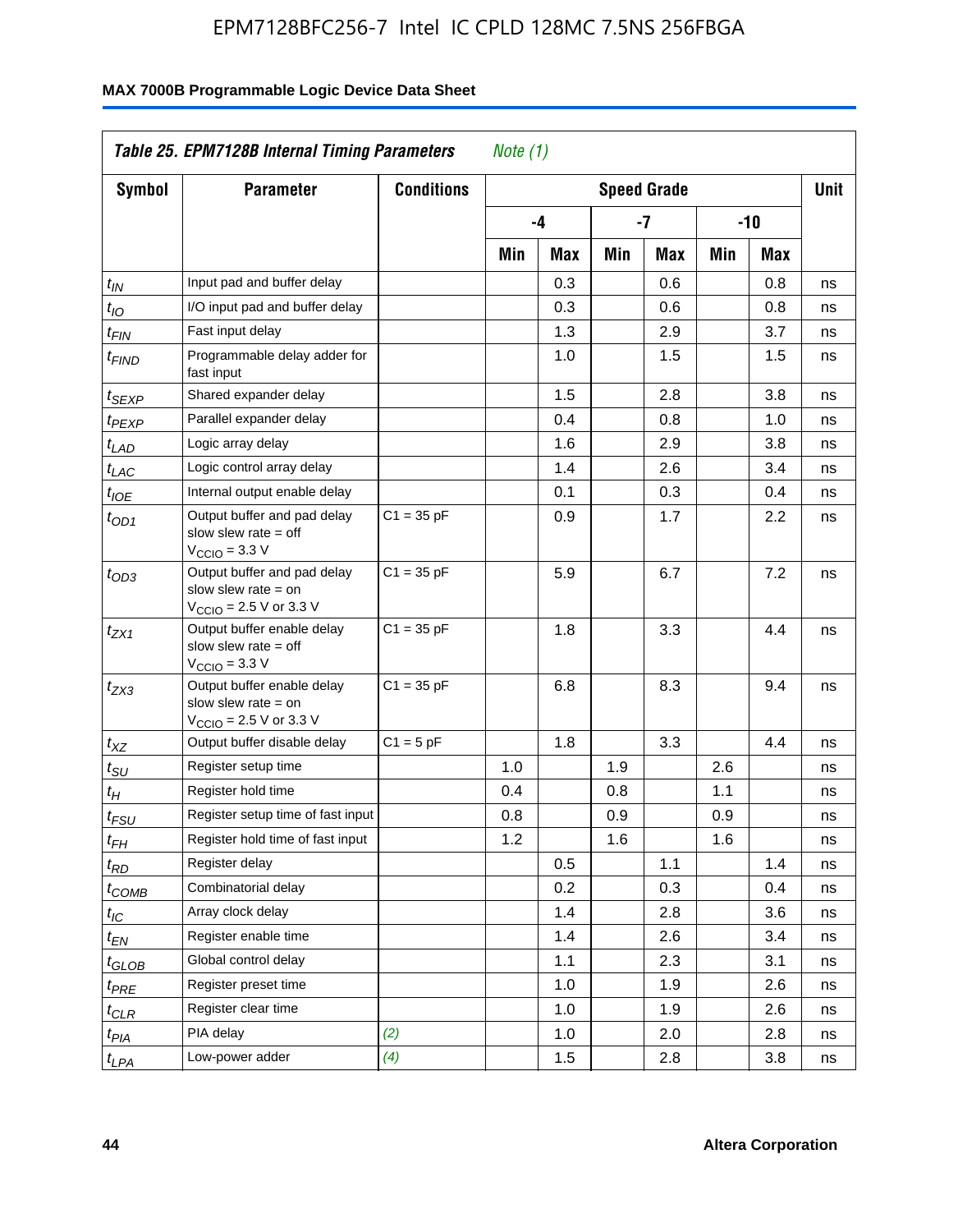|                       | Table 25. EPM7128B Internal Timing Parameters                                                               |                   | Note $(1)$ |     |     |                    |     |       |             |
|-----------------------|-------------------------------------------------------------------------------------------------------------|-------------------|------------|-----|-----|--------------------|-----|-------|-------------|
| <b>Symbol</b>         | <b>Parameter</b>                                                                                            | <b>Conditions</b> |            |     |     | <b>Speed Grade</b> |     |       | <b>Unit</b> |
|                       |                                                                                                             |                   |            | -4  |     | $-7$               |     | $-10$ |             |
|                       |                                                                                                             |                   | Min        | Max | Min | Max                | Min | Max   |             |
| $t_{IN}$              | Input pad and buffer delay                                                                                  |                   |            | 0.3 |     | 0.6                |     | 0.8   | ns          |
| $t_{IO}$              | I/O input pad and buffer delay                                                                              |                   |            | 0.3 |     | 0.6                |     | 0.8   | ns          |
| $t_{\mathsf{FIN}}$    | Fast input delay                                                                                            |                   |            | 1.3 |     | 2.9                |     | 3.7   | ns          |
| <sup>t</sup> FIND     | Programmable delay adder for<br>fast input                                                                  |                   |            | 1.0 |     | 1.5                |     | 1.5   | ns          |
| t <sub>SEXP</sub>     | Shared expander delay                                                                                       |                   |            | 1.5 |     | 2.8                |     | 3.8   | ns          |
| t <sub>PEXP</sub>     | Parallel expander delay                                                                                     |                   |            | 0.4 |     | 0.8                |     | 1.0   | ns          |
| t <sub>LAD</sub>      | Logic array delay                                                                                           |                   |            | 1.6 |     | 2.9                |     | 3.8   | ns          |
| t <sub>LAC</sub>      | Logic control array delay                                                                                   |                   |            | 1.4 |     | 2.6                |     | 3.4   | ns          |
| $t_{IOE}$             | Internal output enable delay                                                                                |                   |            | 0.1 |     | 0.3                |     | 0.4   | ns          |
| $t_{OD1}$             | Output buffer and pad delay<br>slow slew rate $=$ off<br>$V_{\text{CCIO}} = 3.3 V$                          | $C1 = 35 pF$      |            | 0.9 |     | 1.7                |     | 2.2   | ns          |
| $t_{OD3}$             | Output buffer and pad delay<br>slow slew rate $=$ on<br>$V_{\text{CCIO}} = 2.5 \text{ V or } 3.3 \text{ V}$ | $C1 = 35 pF$      |            | 5.9 |     | 6.7                |     | 7.2   | ns          |
| $t_{ZX1}$             | Output buffer enable delay<br>slow slew rate $=$ off<br>$VCCIO = 3.3 V$                                     | $C1 = 35 pF$      |            | 1.8 |     | 3.3                |     | 4.4   | ns          |
| $t_{ZX3}$             | Output buffer enable delay<br>slow slew rate $=$ on<br>$V_{\text{CCIO}} = 2.5 \text{ V or } 3.3 \text{ V}$  | $C1 = 35 pF$      |            | 6.8 |     | 8.3                |     | 9.4   | ns          |
| $t_{\mathsf{XZ}}$     | Output buffer disable delay                                                                                 | $C1 = 5 pF$       |            | 1.8 |     | 3.3                |     | 4.4   | ns          |
| $t_{\scriptstyle SU}$ | Register setup time                                                                                         |                   | 1.0        |     | 1.9 |                    | 2.6 |       | ns          |
| t <sub>Η</sub>        | Register hold time                                                                                          |                   | 0.4        |     | 0.8 |                    | 1.1 |       | ns          |
| $t_{\mathit{FSU}}$    | Register setup time of fast input                                                                           |                   | 0.8        |     | 0.9 |                    | 0.9 |       | ns          |
| $t_{FH}$              | Register hold time of fast input                                                                            |                   | 1.2        |     | 1.6 |                    | 1.6 |       | ns          |
| $t_{RD}$              | Register delay                                                                                              |                   |            | 0.5 |     | 1.1                |     | 1.4   | ns          |
| $t_{\text{COMB}}$     | Combinatorial delay                                                                                         |                   |            | 0.2 |     | 0.3                |     | 0.4   | ns          |
| $t_{\mathcal{IC}}$    | Array clock delay                                                                                           |                   |            | 1.4 |     | 2.8                |     | 3.6   | ns          |
| $t_{EN}$              | Register enable time                                                                                        |                   |            | 1.4 |     | 2.6                |     | 3.4   | ns          |
| t <sub>GLOB</sub>     | Global control delay                                                                                        |                   |            | 1.1 |     | 2.3                |     | 3.1   | ns          |
| $t_{PRE}$             | Register preset time                                                                                        |                   |            | 1.0 |     | 1.9                |     | 2.6   | ns          |
| ${}^t\rm{CLR}$        | Register clear time                                                                                         |                   |            | 1.0 |     | 1.9                |     | 2.6   | ns          |
| $t_{PIA}$             | PIA delay                                                                                                   | (2)               |            | 1.0 |     | 2.0                |     | 2.8   | ns          |
| $t_{LPA}$             | Low-power adder                                                                                             | (4)               |            | 1.5 |     | 2.8                |     | 3.8   | ns          |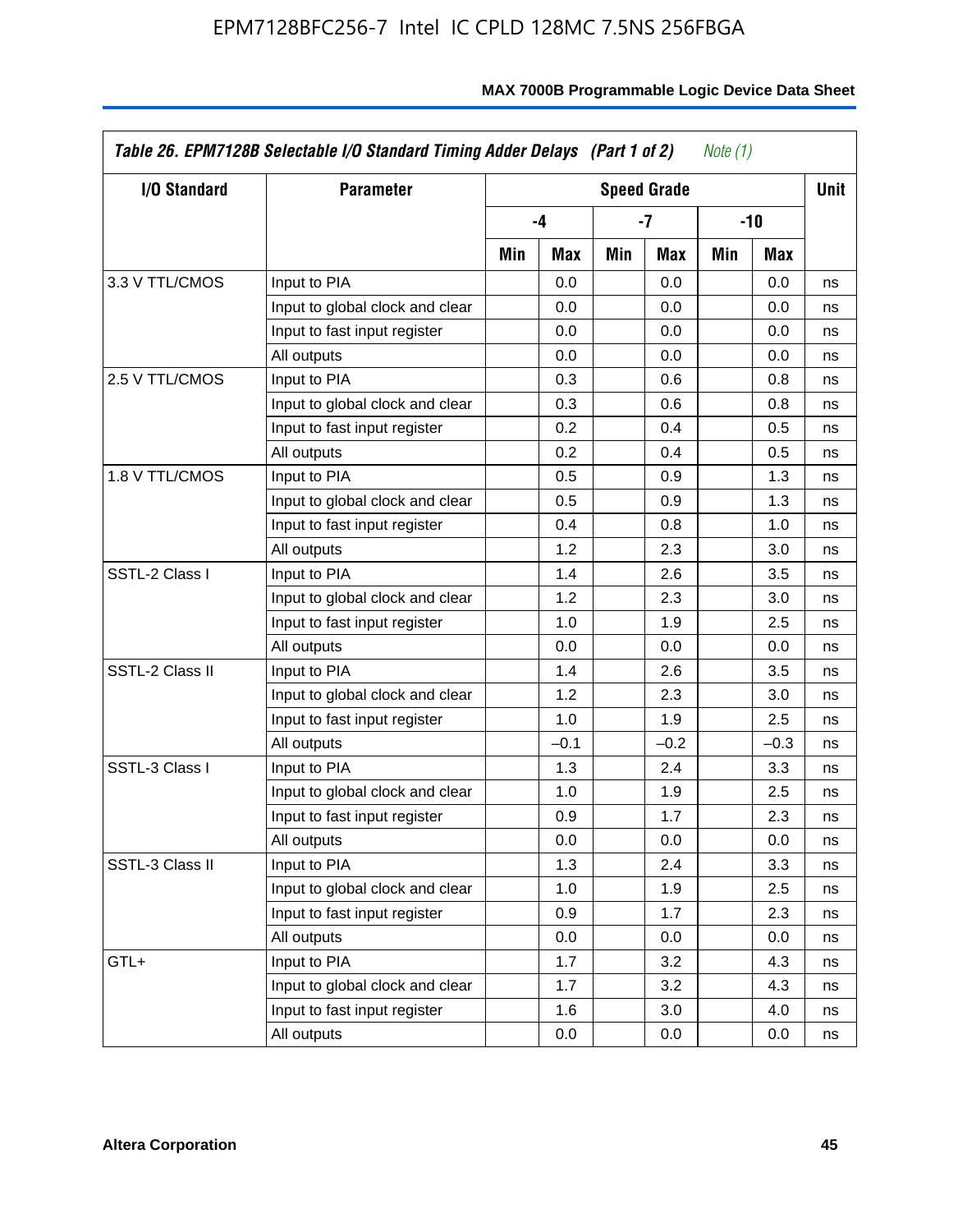| I/O Standard    | <b>Parameter</b>                |     |        |     | <b>Speed Grade</b> |     |        | <b>Unit</b> |
|-----------------|---------------------------------|-----|--------|-----|--------------------|-----|--------|-------------|
|                 |                                 |     | -4     |     | -7                 |     | $-10$  |             |
|                 |                                 | Min | Max    | Min | Max                | Min | Max    |             |
| 3.3 V TTL/CMOS  | Input to PIA                    |     | 0.0    |     | 0.0                |     | 0.0    | ns          |
|                 | Input to global clock and clear |     | 0.0    |     | 0.0                |     | 0.0    | ns          |
|                 | Input to fast input register    |     | 0.0    |     | 0.0                |     | 0.0    | ns          |
|                 | All outputs                     |     | 0.0    |     | 0.0                |     | 0.0    | ns          |
| 2.5 V TTL/CMOS  | Input to PIA                    |     | 0.3    |     | 0.6                |     | 0.8    | ns          |
|                 | Input to global clock and clear |     | 0.3    |     | 0.6                |     | 0.8    | ns          |
|                 | Input to fast input register    |     | 0.2    |     | 0.4                |     | 0.5    | ns          |
|                 | All outputs                     |     | 0.2    |     | 0.4                |     | 0.5    | ns          |
| 1.8 V TTL/CMOS  | Input to PIA                    |     | 0.5    |     | 0.9                |     | 1.3    | ns          |
|                 | Input to global clock and clear |     | 0.5    |     | 0.9                |     | 1.3    | ns          |
|                 | Input to fast input register    |     | 0.4    |     | 0.8                |     | 1.0    | ns          |
|                 | All outputs                     |     | 1.2    |     | 2.3                |     | 3.0    | ns          |
| SSTL-2 Class I  | Input to PIA                    |     | 1.4    |     | 2.6                |     | 3.5    | ns          |
|                 | Input to global clock and clear |     | 1.2    |     | 2.3                |     | 3.0    | ns          |
|                 | Input to fast input register    |     | 1.0    |     | 1.9                |     | 2.5    | ns          |
|                 | All outputs                     |     | 0.0    |     | 0.0                |     | 0.0    | ns          |
| SSTL-2 Class II | Input to PIA                    |     | 1.4    |     | 2.6                |     | 3.5    | ns          |
|                 | Input to global clock and clear |     | 1.2    |     | 2.3                |     | 3.0    | ns          |
|                 | Input to fast input register    |     | 1.0    |     | 1.9                |     | 2.5    | ns          |
|                 | All outputs                     |     | $-0.1$ |     | $-0.2$             |     | $-0.3$ | ns          |
| SSTL-3 Class I  | Input to PIA                    |     | 1.3    |     | 2.4                |     | 3.3    | ns          |
|                 | Input to global clock and clear |     | 1.0    |     | 1.9                |     | 2.5    | ns          |
|                 | Input to fast input register    |     | 0.9    |     | 1.7                |     | 2.3    | ns          |
|                 | All outputs                     |     | 0.0    |     | 0.0                |     | 0.0    | ns          |
| SSTL-3 Class II | Input to PIA                    |     | 1.3    |     | 2.4                |     | 3.3    | ns          |
|                 | Input to global clock and clear |     | 1.0    |     | 1.9                |     | 2.5    | ns          |
|                 | Input to fast input register    |     | 0.9    |     | 1.7                |     | 2.3    | ns          |
|                 | All outputs                     |     | 0.0    |     | 0.0                |     | 0.0    | ns          |
| GTL+            | Input to PIA                    |     | 1.7    |     | 3.2                |     | 4.3    | ns          |
|                 | Input to global clock and clear |     | 1.7    |     | 3.2                |     | 4.3    | ns          |
|                 | Input to fast input register    |     | 1.6    |     | 3.0                |     | 4.0    | ns          |
|                 | All outputs                     |     | 0.0    |     | 0.0                |     | 0.0    | ns          |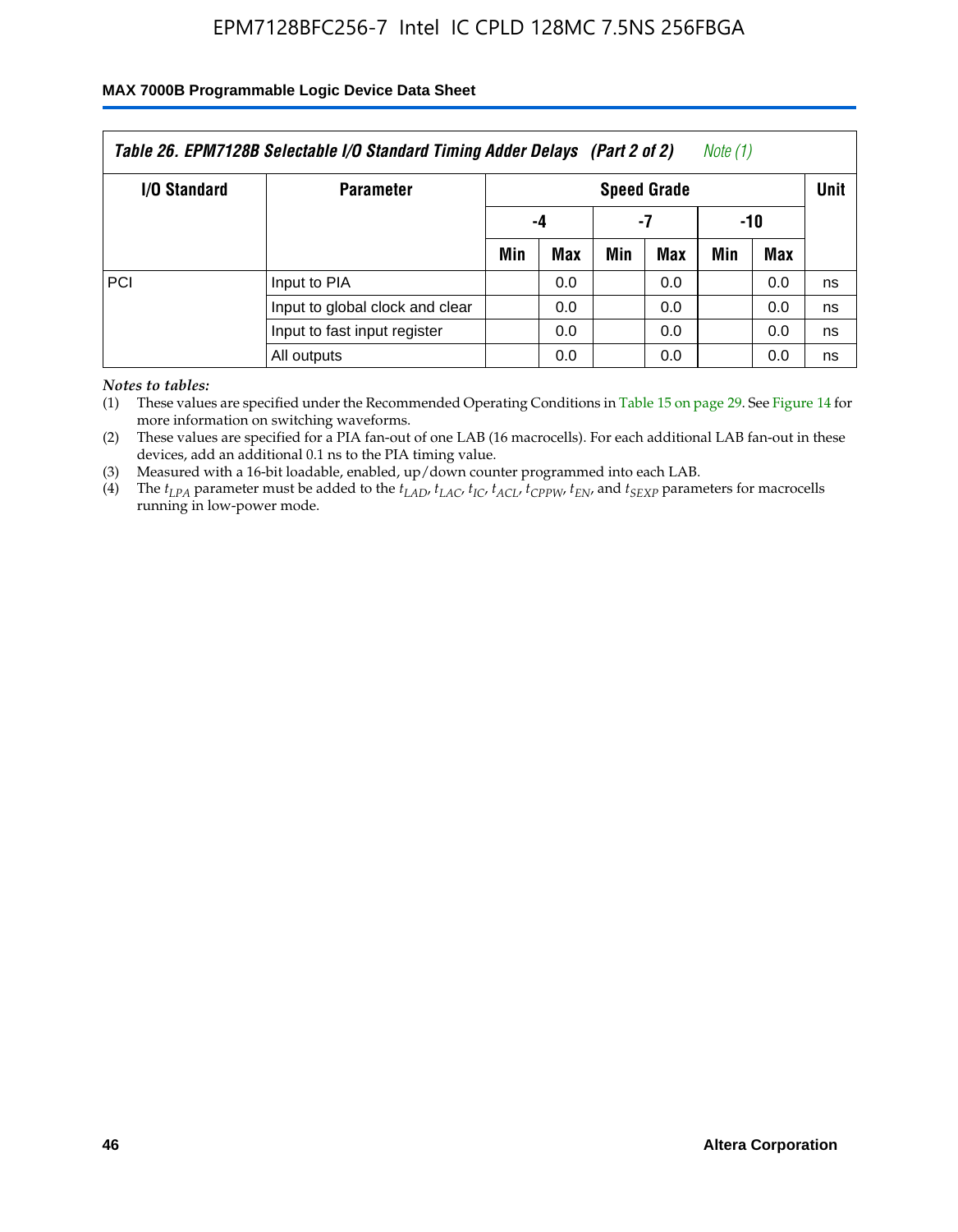### **MAX 7000B Programmable Logic Device Data Sheet**

| Table 26. EPM7128B Selectable I/O Standard Timing Adder Delays (Part 2 of 2)<br>Note (1) |                                 |                    |     |     |     |             |     |    |  |
|------------------------------------------------------------------------------------------|---------------------------------|--------------------|-----|-----|-----|-------------|-----|----|--|
| I/O Standard                                                                             | <b>Parameter</b>                | <b>Speed Grade</b> |     |     |     | <b>Unit</b> |     |    |  |
|                                                                                          |                                 |                    | -4  |     | -7  | -10         |     |    |  |
|                                                                                          |                                 | Min                | Max | Min | Max | Min         | Max |    |  |
| PCI                                                                                      | Input to PIA                    |                    | 0.0 |     | 0.0 |             | 0.0 | ns |  |
|                                                                                          | Input to global clock and clear |                    | 0.0 |     | 0.0 |             | 0.0 | ns |  |
|                                                                                          | Input to fast input register    |                    | 0.0 |     | 0.0 |             | 0.0 | ns |  |
|                                                                                          | All outputs                     |                    | 0.0 |     | 0.0 |             | 0.0 | ns |  |

*Notes to tables:*

(1) These values are specified under the Recommended Operating Conditions in Table 15 on page 29. See Figure 14 for more information on switching waveforms.

(2) These values are specified for a PIA fan-out of one LAB (16 macrocells). For each additional LAB fan-out in these devices, add an additional 0.1 ns to the PIA timing value.

(3) Measured with a 16-bit loadable, enabled, up/down counter programmed into each LAB.

(4) The  $t_{LPA}$  parameter must be added to the  $t_{LAP}$ ,  $t_{LAC}$ ,  $t_{IC}$ ,  $t_{ACL}$ ,  $t_{CPPW}$ ,  $t_{EN}$ , and  $t_{SEXP}$  parameters for macrocells running in low-power mode.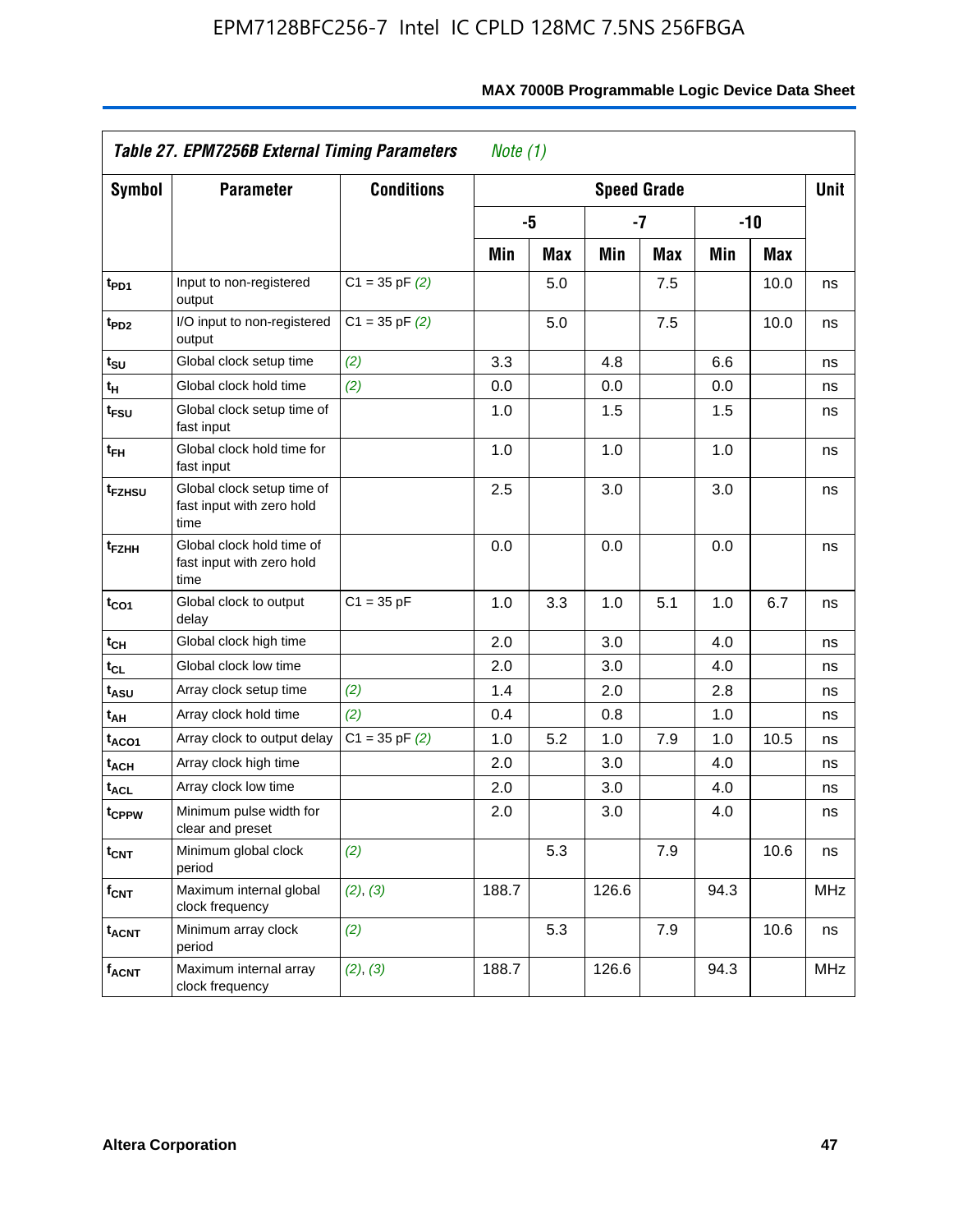|                             | Table 27. EPM7256B External Timing Parameters                   |                    | Note $(1)$ |     |       |                    |      |       |            |
|-----------------------------|-----------------------------------------------------------------|--------------------|------------|-----|-------|--------------------|------|-------|------------|
| <b>Symbol</b>               | <b>Parameter</b>                                                | <b>Conditions</b>  |            |     |       | <b>Speed Grade</b> |      |       | Unit       |
|                             |                                                                 |                    |            | -5  |       | $-7$               |      | $-10$ |            |
|                             |                                                                 |                    | Min        | Max | Min   | Max                | Min  | Max   |            |
| t <sub>PD1</sub>            | Input to non-registered<br>output                               | $C1 = 35$ pF $(2)$ |            | 5.0 |       | 7.5                |      | 10.0  | ns         |
| t <sub>PD2</sub>            | I/O input to non-registered<br>output                           | $C1 = 35 pF(2)$    |            | 5.0 |       | 7.5                |      | 10.0  | ns         |
| t <sub>su</sub>             | Global clock setup time                                         | (2)                | 3.3        |     | 4.8   |                    | 6.6  |       | ns         |
| $\mathfrak{t}_{\mathsf{H}}$ | Global clock hold time                                          | (2)                | 0.0        |     | 0.0   |                    | 0.0  |       | ns         |
| t <sub>FSU</sub>            | Global clock setup time of<br>fast input                        |                    | 1.0        |     | 1.5   |                    | 1.5  |       | ns         |
| t <sub>FH</sub>             | Global clock hold time for<br>fast input                        |                    | 1.0        |     | 1.0   |                    | 1.0  |       | ns         |
| t <sub>FZHSU</sub>          | Global clock setup time of<br>fast input with zero hold<br>time |                    | 2.5        |     | 3.0   |                    | 3.0  |       | ns         |
| t <sub>FZHH</sub>           | Global clock hold time of<br>fast input with zero hold<br>time  |                    | 0.0        |     | 0.0   |                    | 0.0  |       | ns         |
| t <sub>CO1</sub>            | Global clock to output<br>delay                                 | $C1 = 35 pF$       | 1.0        | 3.3 | 1.0   | 5.1                | 1.0  | 6.7   | ns         |
| $t_{CH}$                    | Global clock high time                                          |                    | 2.0        |     | 3.0   |                    | 4.0  |       | ns         |
| $t_{CL}$                    | Global clock low time                                           |                    | 2.0        |     | 3.0   |                    | 4.0  |       | ns         |
| t <sub>ASU</sub>            | Array clock setup time                                          | (2)                | 1.4        |     | 2.0   |                    | 2.8  |       | ns         |
| t <sub>АН</sub>             | Array clock hold time                                           | (2)                | 0.4        |     | 0.8   |                    | 1.0  |       | ns         |
| t <sub>ACO1</sub>           | Array clock to output delay                                     | $C1 = 35$ pF $(2)$ | 1.0        | 5.2 | 1.0   | 7.9                | 1.0  | 10.5  | ns         |
| t <sub>ACH</sub>            | Array clock high time                                           |                    | 2.0        |     | 3.0   |                    | 4.0  |       | ns         |
| t <sub>ACL</sub>            | Array clock low time                                            |                    | 2.0        |     | 3.0   |                    | 4.0  |       | ns         |
| t <sub>CPPW</sub>           | Minimum pulse width for<br>clear and preset                     |                    | 2.0        |     | 3.0   |                    | 4.0  |       | ns         |
| $t_{\mathsf{CNT}}$          | Minimum global clock<br>period                                  | (2)                |            | 5.3 |       | 7.9                |      | 10.6  | ns         |
| $f_{\mathsf{CNT}}$          | Maximum internal global<br>clock frequency                      | (2), (3)           | 188.7      |     | 126.6 |                    | 94.3 |       | <b>MHz</b> |
| $t_{ACNT}$                  | Minimum array clock<br>period                                   | (2)                |            | 5.3 |       | 7.9                |      | 10.6  | ns         |
| <b>f<sub>ACNT</sub></b>     | Maximum internal array<br>clock frequency                       | (2), (3)           | 188.7      |     | 126.6 |                    | 94.3 |       | <b>MHz</b> |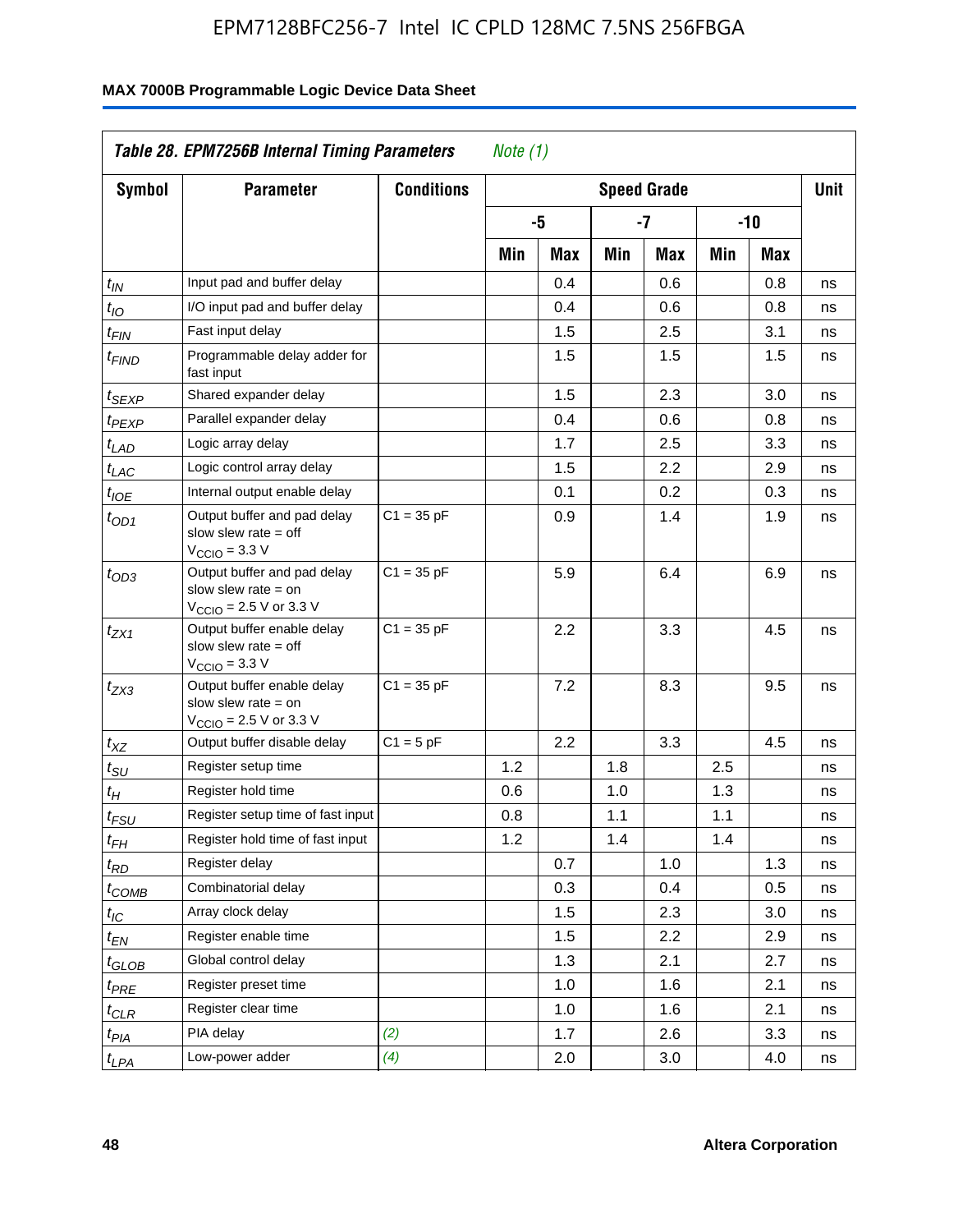|                               | Table 28. EPM7256B Internal Timing Parameters                                                              |                   | Note $(1)$         |     |     |         |     |     |             |
|-------------------------------|------------------------------------------------------------------------------------------------------------|-------------------|--------------------|-----|-----|---------|-----|-----|-------------|
| <b>Symbol</b>                 | <b>Parameter</b>                                                                                           | <b>Conditions</b> | <b>Speed Grade</b> |     |     |         |     |     | <b>Unit</b> |
|                               |                                                                                                            |                   |                    | -5  |     | $-7$    |     | -10 |             |
|                               |                                                                                                            |                   | Min                | Max | Min | Max     | Min | Max |             |
| $t_{\mathit{IN}}$             | Input pad and buffer delay                                                                                 |                   |                    | 0.4 |     | 0.6     |     | 0.8 | ns          |
| $t_{IO}$                      | I/O input pad and buffer delay                                                                             |                   |                    | 0.4 |     | 0.6     |     | 0.8 | ns          |
| $t_{\sf FIN}$                 | Fast input delay                                                                                           |                   |                    | 1.5 |     | 2.5     |     | 3.1 | ns          |
| <sup>t</sup> FIND             | Programmable delay adder for<br>fast input                                                                 |                   |                    | 1.5 |     | 1.5     |     | 1.5 | ns          |
| t <sub>SEXP</sub>             | Shared expander delay                                                                                      |                   |                    | 1.5 |     | 2.3     |     | 3.0 | ns          |
| t <sub>PEXP</sub>             | Parallel expander delay                                                                                    |                   |                    | 0.4 |     | 0.6     |     | 0.8 | ns          |
| $t_{LAD}$                     | Logic array delay                                                                                          |                   |                    | 1.7 |     | 2.5     |     | 3.3 | ns          |
| t <sub>LAC</sub>              | Logic control array delay                                                                                  |                   |                    | 1.5 |     | 2.2     |     | 2.9 | ns          |
| $t_{\mathit{IOE}}$            | Internal output enable delay                                                                               |                   |                    | 0.1 |     | 0.2     |     | 0.3 | ns          |
| $t_{OD1}$                     | Output buffer and pad delay<br>slow slew rate $=$ off<br>V <sub>CCIO</sub> = 3.3 V                         | $C1 = 35 pF$      |                    | 0.9 |     | 1.4     |     | 1.9 | ns          |
| $t_{OD3}$                     | Output buffer and pad delay<br>slow slew rate $=$ on<br>$V_{\text{CCIO}}$ = 2.5 V or 3.3 V                 | $C1 = 35 pF$      |                    | 5.9 |     | 6.4     |     | 6.9 | ns          |
| $t_{ZX1}$                     | Output buffer enable delay<br>slow slew rate $=$ off<br>$V_{\text{CCIO}} = 3.3 \text{ V}$                  | $C1 = 35 pF$      |                    | 2.2 |     | 3.3     |     | 4.5 | ns          |
| $t_{ZX3}$                     | Output buffer enable delay<br>slow slew rate $=$ on<br>$V_{\text{CCIO}} = 2.5 \text{ V or } 3.3 \text{ V}$ | $C1 = 35 pF$      |                    | 7.2 |     | 8.3     |     | 9.5 | ns          |
| $t_{\mathsf{XZ}}$             | Output buffer disable delay                                                                                | $C1 = 5pF$        |                    | 2.2 |     | 3.3     |     | 4.5 | ns          |
| $t_{\scriptstyle SU}$         | Register setup time                                                                                        |                   | 1.2                |     | 1.8 |         | 2.5 |     | ns          |
| $t_H$                         | Register hold time                                                                                         |                   | 0.6                |     | 1.0 |         | 1.3 |     | ns          |
| $t_{\it FSU}$                 | Register setup time of fast input                                                                          |                   | 0.8                |     | 1.1 |         | 1.1 |     | ns          |
| t <sub>FH</sub>               | Register hold time of fast input                                                                           |                   | 1.2                |     | 1.4 |         | 1.4 |     | ns          |
| $t_{RD}$                      | Register delay                                                                                             |                   |                    | 0.7 |     | 1.0     |     | 1.3 | ns          |
| $t_{COMB}$                    | Combinatorial delay                                                                                        |                   |                    | 0.3 |     | 0.4     |     | 0.5 | ns          |
| $t_{\mathcal{IC}}$            | Array clock delay                                                                                          |                   |                    | 1.5 |     | 2.3     |     | 3.0 | ns          |
| $t_{EN}$                      | Register enable time                                                                                       |                   |                    | 1.5 |     | $2.2\,$ |     | 2.9 | ns          |
| $t_{\scriptstyle\text{GLOB}}$ | Global control delay                                                                                       |                   |                    | 1.3 |     | 2.1     |     | 2.7 | ns          |
| $t_{PRE}$                     | Register preset time                                                                                       |                   |                    | 1.0 |     | 1.6     |     | 2.1 | ns          |
| ${}^t\rm{CLR}$                | Register clear time                                                                                        |                   |                    | 1.0 |     | 1.6     |     | 2.1 | ns          |
| $t_{PIA}$                     | PIA delay                                                                                                  | (2)               |                    | 1.7 |     | 2.6     |     | 3.3 | ns          |
| $t_{LPA}$                     | Low-power adder                                                                                            | (4)               |                    | 2.0 |     | 3.0     |     | 4.0 | ns          |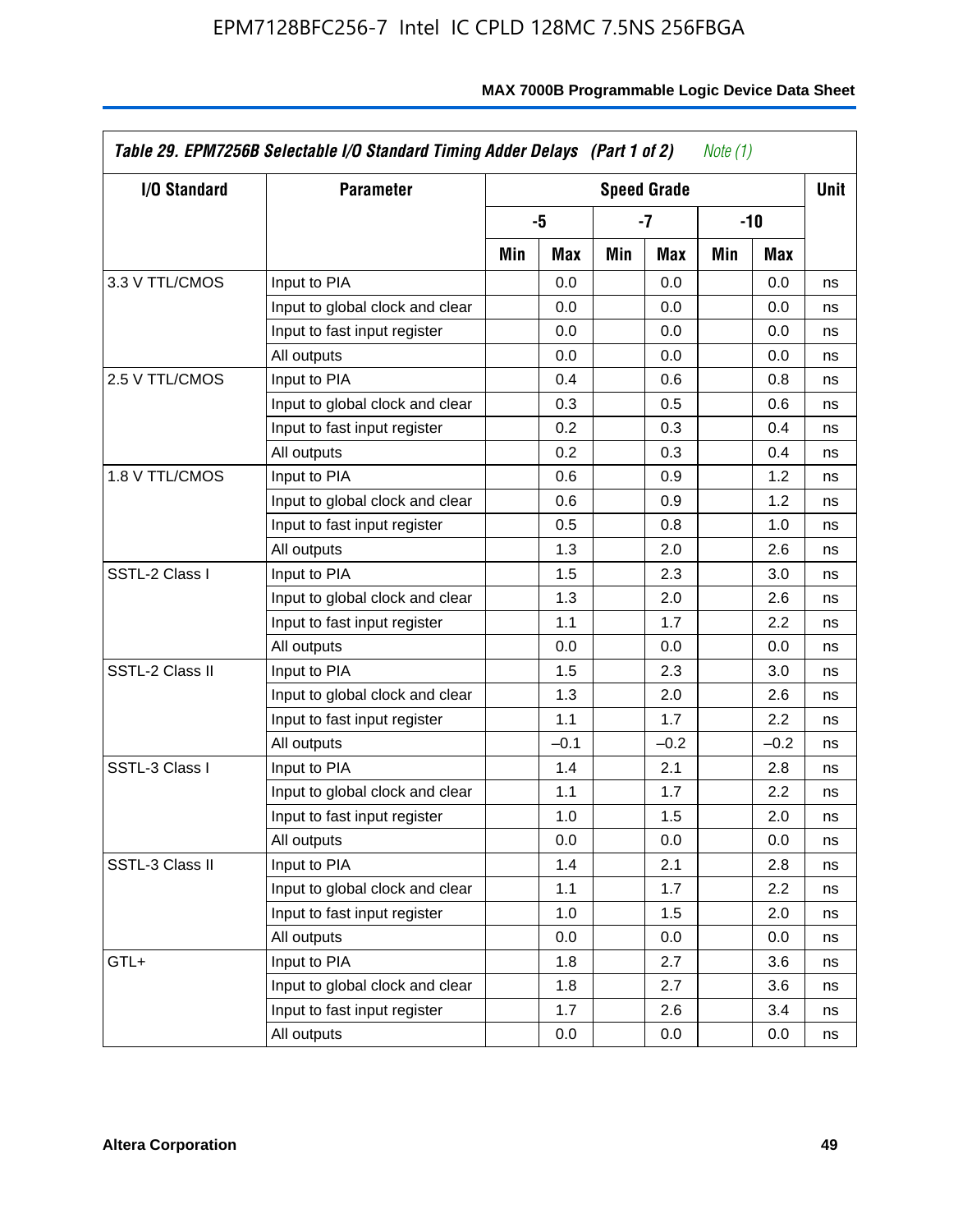| I/O Standard    | <b>Parameter</b>                |     |        |     | <b>Speed Grade</b> |     |        | <b>Unit</b> |
|-----------------|---------------------------------|-----|--------|-----|--------------------|-----|--------|-------------|
|                 |                                 |     | -5     |     | -7                 |     | $-10$  |             |
|                 |                                 | Min | Max    | Min | Max                | Min | Max    |             |
| 3.3 V TTL/CMOS  | Input to PIA                    |     | 0.0    |     | 0.0                |     | 0.0    | ns          |
|                 | Input to global clock and clear |     | 0.0    |     | 0.0                |     | 0.0    | ns          |
|                 | Input to fast input register    |     | 0.0    |     | 0.0                |     | 0.0    | ns          |
|                 | All outputs                     |     | 0.0    |     | 0.0                |     | 0.0    | ns          |
| 2.5 V TTL/CMOS  | Input to PIA                    |     | 0.4    |     | 0.6                |     | 0.8    | ns          |
|                 | Input to global clock and clear |     | 0.3    |     | 0.5                |     | 0.6    | ns          |
|                 | Input to fast input register    |     | 0.2    |     | 0.3                |     | 0.4    | ns          |
|                 | All outputs                     |     | 0.2    |     | 0.3                |     | 0.4    | ns          |
| 1.8 V TTL/CMOS  | Input to PIA                    |     | 0.6    |     | 0.9                |     | 1.2    | ns          |
|                 | Input to global clock and clear |     | 0.6    |     | 0.9                |     | 1.2    | ns          |
|                 | Input to fast input register    |     | 0.5    |     | 0.8                |     | 1.0    | ns          |
|                 | All outputs                     |     | 1.3    |     | 2.0                |     | 2.6    | ns          |
| SSTL-2 Class I  | Input to PIA                    |     | 1.5    |     | 2.3                |     | 3.0    | ns          |
|                 | Input to global clock and clear |     | 1.3    |     | 2.0                |     | 2.6    | ns          |
|                 | Input to fast input register    |     | 1.1    |     | 1.7                |     | 2.2    | ns          |
|                 | All outputs                     |     | 0.0    |     | 0.0                |     | 0.0    | ns          |
| SSTL-2 Class II | Input to PIA                    |     | 1.5    |     | 2.3                |     | 3.0    | ns          |
|                 | Input to global clock and clear |     | 1.3    |     | 2.0                |     | 2.6    | ns          |
|                 | Input to fast input register    |     | 1.1    |     | 1.7                |     | 2.2    | ns          |
|                 | All outputs                     |     | $-0.1$ |     | $-0.2$             |     | $-0.2$ | ns          |
| SSTL-3 Class I  | Input to PIA                    |     | 1.4    |     | 2.1                |     | 2.8    | ns          |
|                 | Input to global clock and clear |     | 1.1    |     | 1.7                |     | 2.2    | ns          |
|                 | Input to fast input register    |     | 1.0    |     | 1.5                |     | 2.0    | ns          |
|                 | All outputs                     |     | 0.0    |     | 0.0                |     | 0.0    | ns          |
| SSTL-3 Class II | Input to PIA                    |     | 1.4    |     | 2.1                |     | 2.8    | ns          |
|                 | Input to global clock and clear |     | 1.1    |     | 1.7                |     | 2.2    | ns          |
|                 | Input to fast input register    |     | 1.0    |     | 1.5                |     | 2.0    | ns          |
|                 | All outputs                     |     | 0.0    |     | 0.0                |     | 0.0    | ns          |
| GTL+            | Input to PIA                    |     | 1.8    |     | 2.7                |     | 3.6    | ns          |
|                 | Input to global clock and clear |     | 1.8    |     | 2.7                |     | 3.6    | ns          |
|                 | Input to fast input register    |     | 1.7    |     | 2.6                |     | 3.4    | ns          |
|                 | All outputs                     |     | 0.0    |     | 0.0                |     | 0.0    | ns          |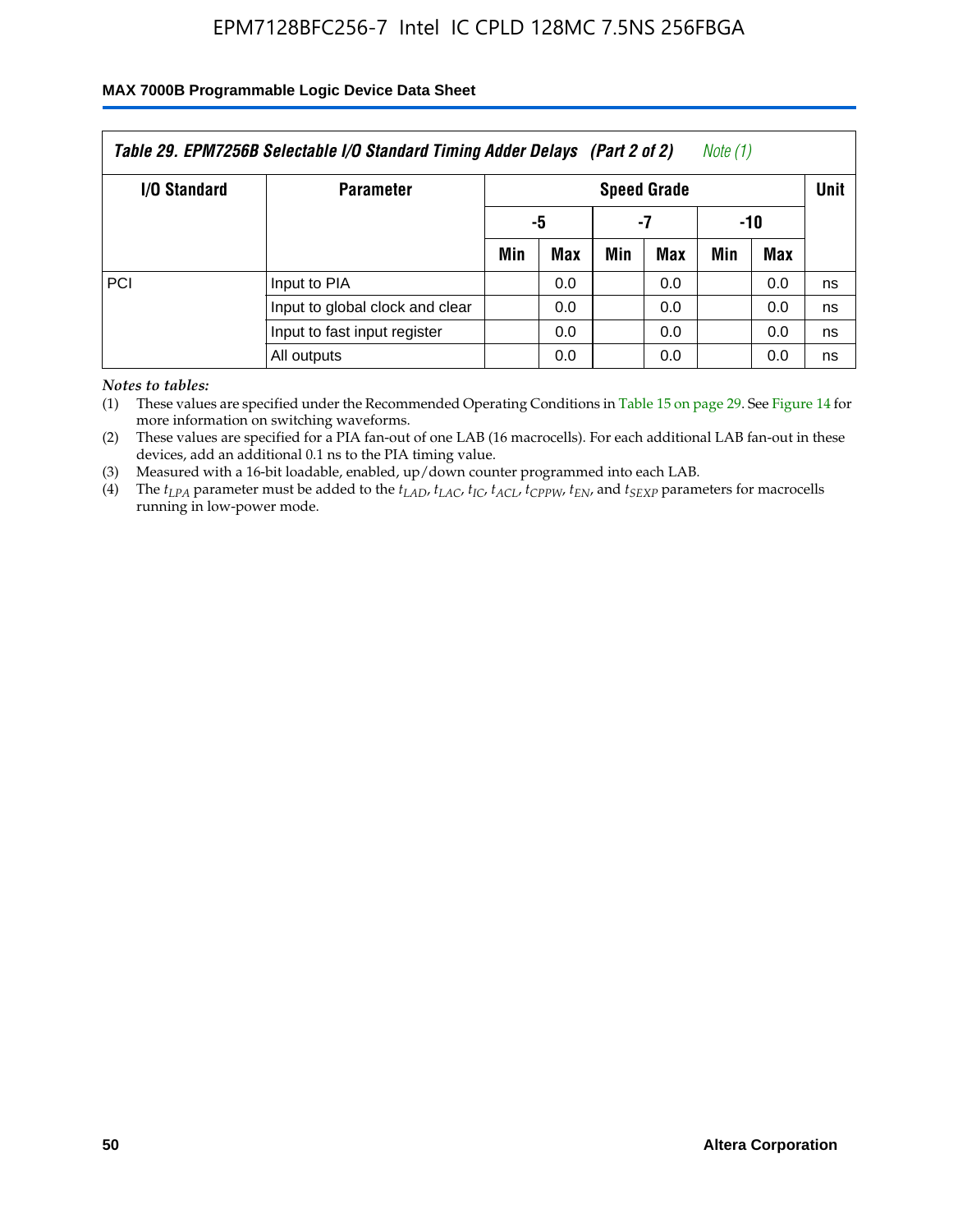### **MAX 7000B Programmable Logic Device Data Sheet**

| Table 29. EPM7256B Selectable I/O Standard Timing Adder Delays (Part 2 of 2)<br>Note (1) |                                 |                    |     |     |     |             |     |    |
|------------------------------------------------------------------------------------------|---------------------------------|--------------------|-----|-----|-----|-------------|-----|----|
| <b>I/O Standard</b>                                                                      | <b>Parameter</b>                | <b>Speed Grade</b> |     |     |     | <b>Unit</b> |     |    |
|                                                                                          |                                 |                    | -5  |     | -7  | -10         |     |    |
|                                                                                          |                                 | Min                | Max | Min | Max | Min         | Max |    |
| PCI                                                                                      | Input to PIA                    |                    | 0.0 |     | 0.0 |             | 0.0 | ns |
|                                                                                          | Input to global clock and clear |                    | 0.0 |     | 0.0 |             | 0.0 | ns |
|                                                                                          | Input to fast input register    |                    | 0.0 |     | 0.0 |             | 0.0 | ns |
|                                                                                          | All outputs                     |                    | 0.0 |     | 0.0 |             | 0.0 | ns |

*Notes to tables:*

(1) These values are specified under the Recommended Operating Conditions in Table 15 on page 29. See Figure 14 for more information on switching waveforms.

(2) These values are specified for a PIA fan-out of one LAB (16 macrocells). For each additional LAB fan-out in these devices, add an additional 0.1 ns to the PIA timing value.

(3) Measured with a 16-bit loadable, enabled, up/down counter programmed into each LAB.

(4) The  $t_{LPA}$  parameter must be added to the  $t_{LAP}$ ,  $t_{LAP}$ ,  $t_{LCP}$ ,  $t_{ACL}$ ,  $t_{CPPW}$ ,  $t_{EN}$ , and  $t_{SEXP}$  parameters for macrocells running in low-power mode.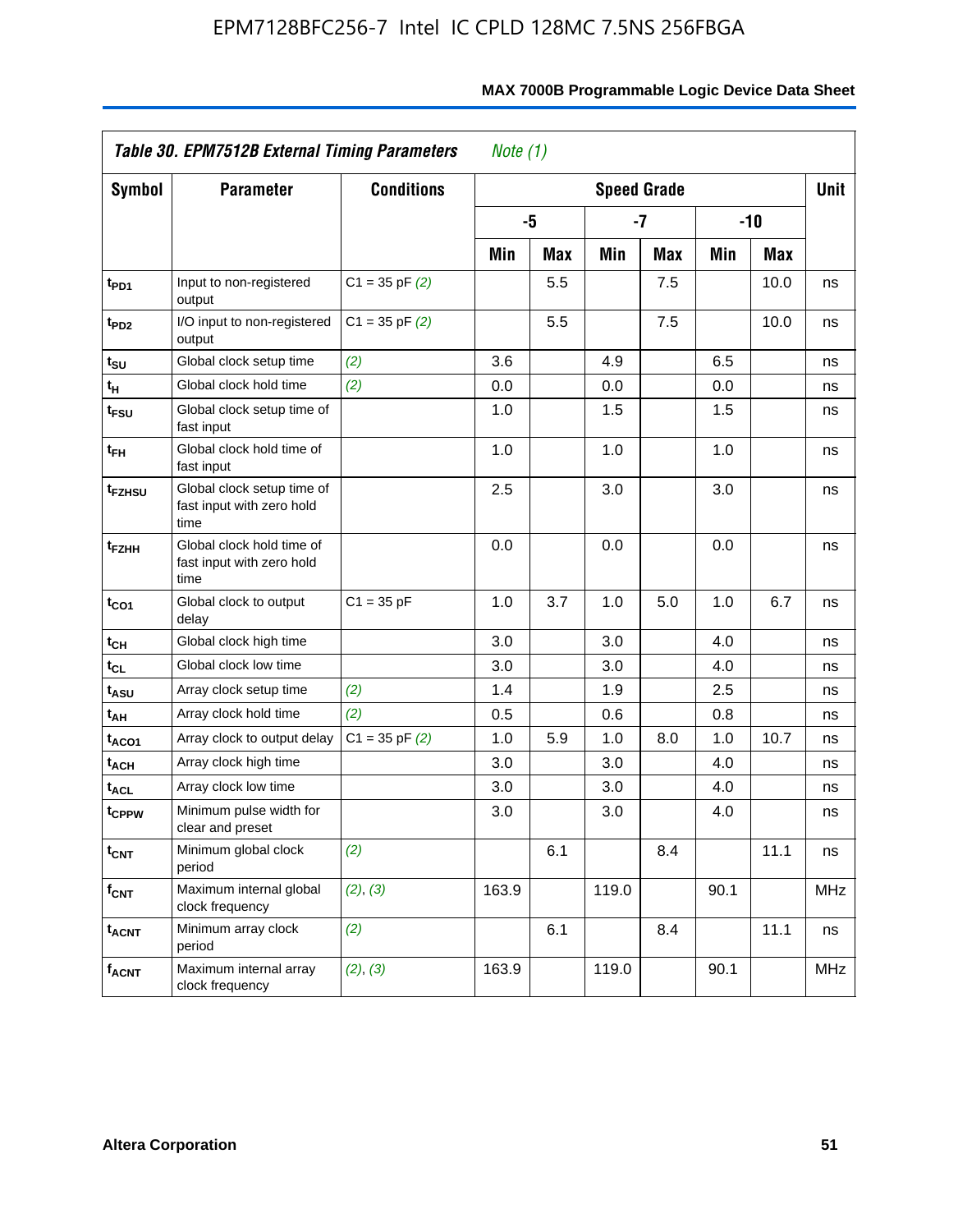|                               | Table 30. EPM7512B External Timing Parameters                   |                    | Note $(1)$ |            |       |                    |      |            |            |
|-------------------------------|-----------------------------------------------------------------|--------------------|------------|------------|-------|--------------------|------|------------|------------|
| <b>Symbol</b>                 | <b>Parameter</b>                                                | <b>Conditions</b>  |            |            |       | <b>Speed Grade</b> |      |            | Unit       |
|                               |                                                                 |                    |            | -5         |       | $-7$               |      | $-10$      |            |
|                               |                                                                 |                    | Min        | <b>Max</b> | Min   | <b>Max</b>         | Min  | <b>Max</b> |            |
| t <sub>PD1</sub>              | Input to non-registered<br>output                               | $C1 = 35$ pF $(2)$ |            | 5.5        |       | 7.5                |      | 10.0       | ns         |
| t <sub>PD2</sub>              | I/O input to non-registered<br>output                           | $C1 = 35$ pF $(2)$ |            | 5.5        |       | 7.5                |      | 10.0       | ns         |
| $t_{\scriptstyle\textrm{SU}}$ | Global clock setup time                                         | (2)                | 3.6        |            | 4.9   |                    | 6.5  |            | ns         |
| tн                            | Global clock hold time                                          | (2)                | 0.0        |            | 0.0   |                    | 0.0  |            | ns         |
| t <sub>FSU</sub>              | Global clock setup time of<br>fast input                        |                    | 1.0        |            | 1.5   |                    | 1.5  |            | ns         |
| t <sub>FH</sub>               | Global clock hold time of<br>fast input                         |                    | 1.0        |            | 1.0   |                    | 1.0  |            | ns         |
| t <sub>FZHSU</sub>            | Global clock setup time of<br>fast input with zero hold<br>time |                    | 2.5        |            | 3.0   |                    | 3.0  |            | ns         |
| t <sub>FZНН</sub>             | Global clock hold time of<br>fast input with zero hold<br>time  |                    | 0.0        |            | 0.0   |                    | 0.0  |            | ns         |
| t <sub>CO1</sub>              | Global clock to output<br>delay                                 | $C1 = 35 pF$       | 1.0        | 3.7        | 1.0   | 5.0                | 1.0  | 6.7        | ns         |
| tсн                           | Global clock high time                                          |                    | 3.0        |            | 3.0   |                    | 4.0  |            | ns         |
| tcL                           | Global clock low time                                           |                    | 3.0        |            | 3.0   |                    | 4.0  |            | ns         |
| tasu                          | Array clock setup time                                          | (2)                | 1.4        |            | 1.9   |                    | 2.5  |            | ns         |
| t <sub>АН</sub>               | Array clock hold time                                           | (2)                | 0.5        |            | 0.6   |                    | 0.8  |            | ns         |
| taco1                         | Array clock to output delay                                     | $C1 = 35$ pF $(2)$ | 1.0        | 5.9        | 1.0   | 8.0                | 1.0  | 10.7       | ns         |
| t <sub>ACH</sub>              | Array clock high time                                           |                    | 3.0        |            | 3.0   |                    | 4.0  |            | ns         |
| t <sub>ACL</sub>              | Array clock low time                                            |                    | 3.0        |            | 3.0   |                    | 4.0  |            | ns         |
| t <sub>CPPW</sub>             | Minimum pulse width for<br>clear and preset                     |                    | 3.0        |            | 3.0   |                    | 4.0  |            | ns         |
| $t_{\mathsf{CNT}}$            | Minimum global clock<br>period                                  | (2)                |            | 6.1        |       | 8.4                |      | 11.1       | ns         |
| $f_{\mathsf{CNT}}$            | Maximum internal global<br>clock frequency                      | (2), (3)           | 163.9      |            | 119.0 |                    | 90.1 |            | <b>MHz</b> |
| <b>t<sub>ACNT</sub></b>       | Minimum array clock<br>period                                   | (2)                |            | 6.1        |       | 8.4                |      | 11.1       | ns         |
| $f_{ACNT}$                    | Maximum internal array<br>clock frequency                       | (2), (3)           | 163.9      |            | 119.0 |                    | 90.1 |            | MHz        |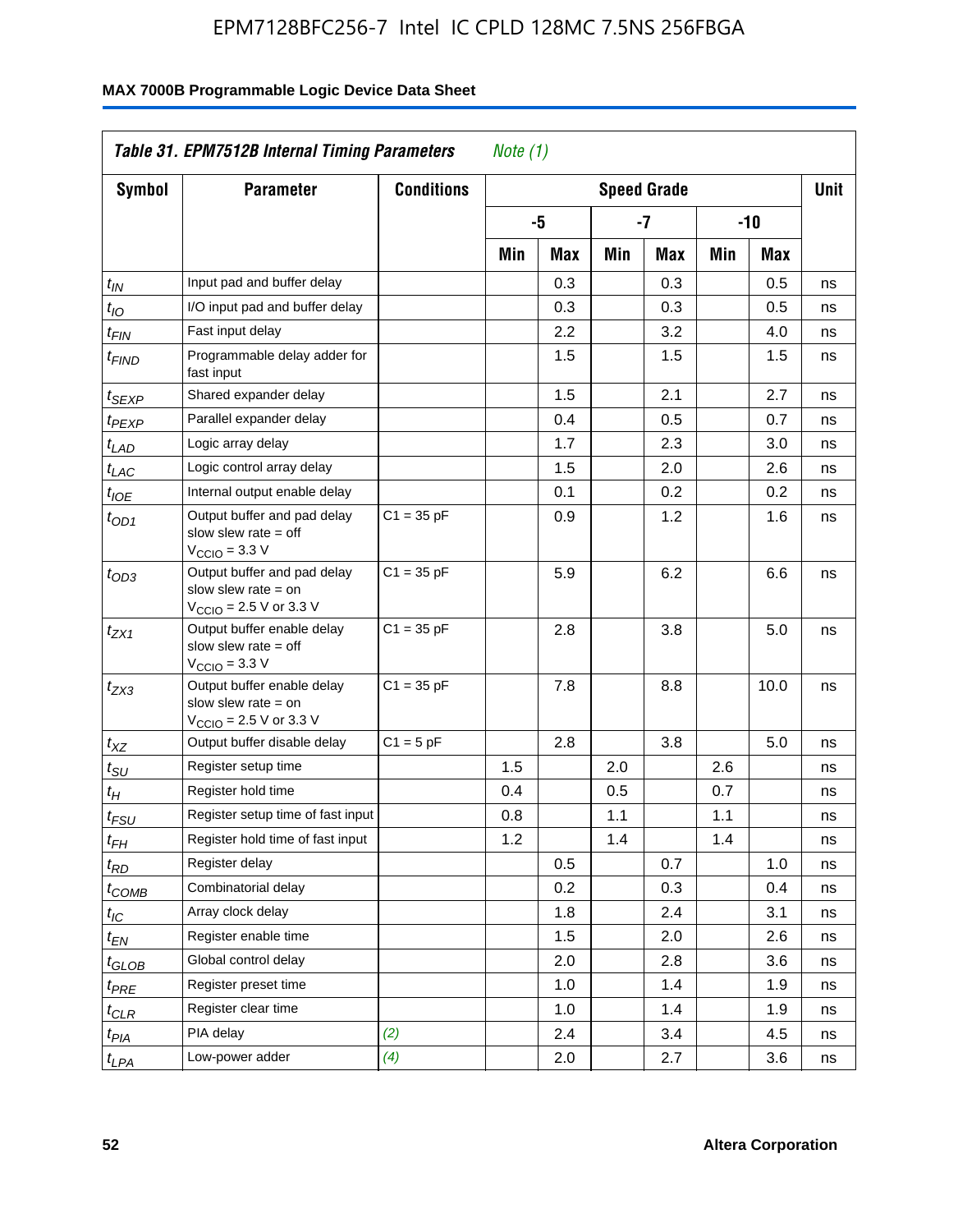| <b>Symbol</b>                 | <b>Parameter</b>                                                                                            | <b>Conditions</b> | <b>Speed Grade</b> |     |     |     |     |       |    |
|-------------------------------|-------------------------------------------------------------------------------------------------------------|-------------------|--------------------|-----|-----|-----|-----|-------|----|
|                               |                                                                                                             |                   |                    | -5  |     | -7  |     | $-10$ |    |
|                               |                                                                                                             |                   | Min                | Max | Min | Max | Min | Max   |    |
| $t_{IN}$                      | Input pad and buffer delay                                                                                  |                   |                    | 0.3 |     | 0.3 |     | 0.5   | ns |
| $t_{IO}$                      | I/O input pad and buffer delay                                                                              |                   |                    | 0.3 |     | 0.3 |     | 0.5   | ns |
| $t_{\mathsf{FIN}}$            | Fast input delay                                                                                            |                   |                    | 2.2 |     | 3.2 |     | 4.0   | ns |
| t <sub>FIND</sub>             | Programmable delay adder for<br>fast input                                                                  |                   |                    | 1.5 |     | 1.5 |     | 1.5   | ns |
| t <sub>SEXP</sub>             | Shared expander delay                                                                                       |                   |                    | 1.5 |     | 2.1 |     | 2.7   | ns |
| t <sub>PEXP</sub>             | Parallel expander delay                                                                                     |                   |                    | 0.4 |     | 0.5 |     | 0.7   | ns |
| t <sub>LAD</sub>              | Logic array delay                                                                                           |                   |                    | 1.7 |     | 2.3 |     | 3.0   | ns |
| $t_{LAC}$                     | Logic control array delay                                                                                   |                   |                    | 1.5 |     | 2.0 |     | 2.6   | ns |
| $t_{IOE}$                     | Internal output enable delay                                                                                |                   |                    | 0.1 |     | 0.2 |     | 0.2   | ns |
| $t_{OD1}$                     | Output buffer and pad delay<br>slow slew rate $=$ off<br>$V_{\text{CCIO}} = 3.3 V$                          | $C1 = 35 pF$      |                    | 0.9 |     | 1.2 |     | 1.6   | ns |
| $t_{OD3}$                     | Output buffer and pad delay<br>slow slew rate $=$ on<br>$V_{\text{CCIO}} = 2.5 \text{ V or } 3.3 \text{ V}$ | $C1 = 35 pF$      |                    | 5.9 |     | 6.2 |     | 6.6   | ns |
| t <sub>ZX1</sub>              | Output buffer enable delay<br>slow slew rate $=$ off<br>$V_{\text{CCIO}} = 3.3 \text{ V}$                   | $C1 = 35 pF$      |                    | 2.8 |     | 3.8 |     | 5.0   | ns |
| $t_{ZX3}$                     | Output buffer enable delay<br>slow slew rate $=$ on<br>$V_{\text{CCIO}} = 2.5 \text{ V or } 3.3 \text{ V}$  | $C1 = 35 pF$      |                    | 7.8 |     | 8.8 |     | 10.0  | ns |
| $t_{XZ}$                      | Output buffer disable delay                                                                                 | $C1 = 5pF$        |                    | 2.8 |     | 3.8 |     | 5.0   | ns |
| $t_{\text{SU}}$               | Register setup time                                                                                         |                   | 1.5                |     | 2.0 |     | 2.6 |       | ns |
| $t_H$                         | Register hold time                                                                                          |                   | 0.4                |     | 0.5 |     | 0.7 |       | ns |
| $t_{FSU}$                     | Register setup time of fast input                                                                           |                   | 0.8                |     | 1.1 |     | 1.1 |       | ns |
| t <sub>FH</sub>               | Register hold time of fast input                                                                            |                   | 1.2                |     | 1.4 |     | 1.4 |       | ns |
| $t_{RD}$                      | Register delay                                                                                              |                   |                    | 0.5 |     | 0.7 |     | 1.0   | ns |
| $t_{\rm COMB}$                | Combinatorial delay                                                                                         |                   |                    | 0.2 |     | 0.3 |     | 0.4   | ns |
| $t_{\mathcal{IC}}$            | Array clock delay                                                                                           |                   |                    | 1.8 |     | 2.4 |     | 3.1   | ns |
| $t_{EN}$                      | Register enable time                                                                                        |                   |                    | 1.5 |     | 2.0 |     | 2.6   | ns |
| $t_{\scriptstyle\text{GLOB}}$ | Global control delay                                                                                        |                   |                    | 2.0 |     | 2.8 |     | 3.6   | ns |
| $t_{PRE}$                     | Register preset time                                                                                        |                   |                    | 1.0 |     | 1.4 |     | 1.9   | ns |
| ${}^t\rm{CLR}$                | Register clear time                                                                                         |                   |                    | 1.0 |     | 1.4 |     | 1.9   | ns |
| $t_{PI\underline{A}}$         | PIA delay                                                                                                   | (2)               |                    | 2.4 |     | 3.4 |     | 4.5   | ns |
| $t_{LPA}$                     | Low-power adder                                                                                             | (4)               |                    | 2.0 |     | 2.7 |     | 3.6   | ns |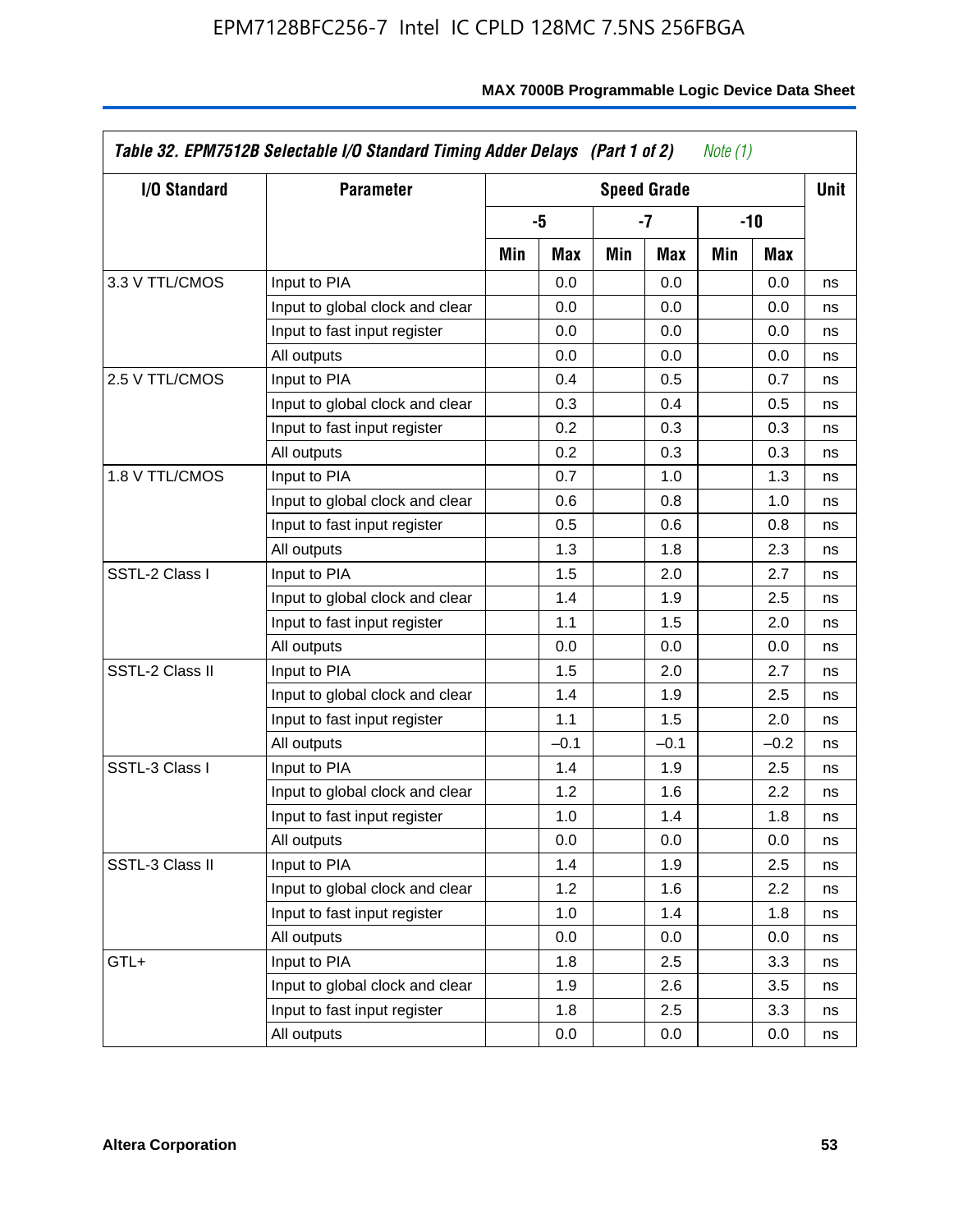| I/O Standard    | <b>Parameter</b>                |     |        |      | <b>Speed Grade</b> |     |        | <b>Unit</b> |
|-----------------|---------------------------------|-----|--------|------|--------------------|-----|--------|-------------|
|                 |                                 |     | -5     | $-7$ |                    |     | $-10$  |             |
|                 |                                 | Min | Max    | Min  | Max                | Min | Max    |             |
| 3.3 V TTL/CMOS  | Input to PIA                    |     | 0.0    |      | 0.0                |     | 0.0    | ns          |
|                 | Input to global clock and clear |     | 0.0    |      | 0.0                |     | 0.0    | ns          |
|                 | Input to fast input register    |     | 0.0    |      | 0.0                |     | 0.0    | ns          |
|                 | All outputs                     |     | 0.0    |      | 0.0                |     | 0.0    | ns          |
| 2.5 V TTL/CMOS  | Input to PIA                    |     | 0.4    |      | 0.5                |     | 0.7    | ns          |
|                 | Input to global clock and clear |     | 0.3    |      | 0.4                |     | 0.5    | ns          |
|                 | Input to fast input register    |     | 0.2    |      | 0.3                |     | 0.3    | ns          |
|                 | All outputs                     |     | 0.2    |      | 0.3                |     | 0.3    | ns          |
| 1.8 V TTL/CMOS  | Input to PIA                    |     | 0.7    |      | 1.0                |     | 1.3    | ns          |
|                 | Input to global clock and clear |     | 0.6    |      | 0.8                |     | 1.0    | ns          |
|                 | Input to fast input register    |     | 0.5    |      | 0.6                |     | 0.8    | ns          |
|                 | All outputs                     |     | 1.3    |      | 1.8                |     | 2.3    | ns          |
| SSTL-2 Class I  | Input to PIA                    |     | 1.5    |      | 2.0                |     | 2.7    | ns          |
|                 | Input to global clock and clear |     | 1.4    |      | 1.9                |     | 2.5    | ns          |
|                 | Input to fast input register    |     | 1.1    |      | 1.5                |     | 2.0    | ns          |
|                 | All outputs                     |     | 0.0    |      | 0.0                |     | 0.0    | ns          |
| SSTL-2 Class II | Input to PIA                    |     | 1.5    |      | 2.0                |     | 2.7    | ns          |
|                 | Input to global clock and clear |     | 1.4    |      | 1.9                |     | 2.5    | ns          |
|                 | Input to fast input register    |     | 1.1    |      | 1.5                |     | 2.0    | ns          |
|                 | All outputs                     |     | $-0.1$ |      | $-0.1$             |     | $-0.2$ | ns          |
| SSTL-3 Class I  | Input to PIA                    |     | 1.4    |      | 1.9                |     | 2.5    | ns          |
|                 | Input to global clock and clear |     | 1.2    |      | 1.6                |     | 2.2    | ns          |
|                 | Input to fast input register    |     | 1.0    |      | 1.4                |     | 1.8    | ns          |
|                 | All outputs                     |     | 0.0    |      | 0.0                |     | 0.0    | ns          |
| SSTL-3 Class II | Input to PIA                    |     | 1.4    |      | 1.9                |     | 2.5    | ns          |
|                 | Input to global clock and clear |     | 1.2    |      | 1.6                |     | 2.2    | ns          |
|                 | Input to fast input register    |     | 1.0    |      | 1.4                |     | 1.8    | ns          |
|                 | All outputs                     |     | 0.0    |      | 0.0                |     | 0.0    | ns          |
| GTL+            | Input to PIA                    |     | 1.8    |      | 2.5                |     | 3.3    | ns          |
|                 | Input to global clock and clear |     | 1.9    |      | 2.6                |     | 3.5    | ns          |
|                 | Input to fast input register    |     | 1.8    |      | 2.5                |     | 3.3    | ns          |
|                 | All outputs                     |     | 0.0    |      | 0.0                |     | 0.0    | ns          |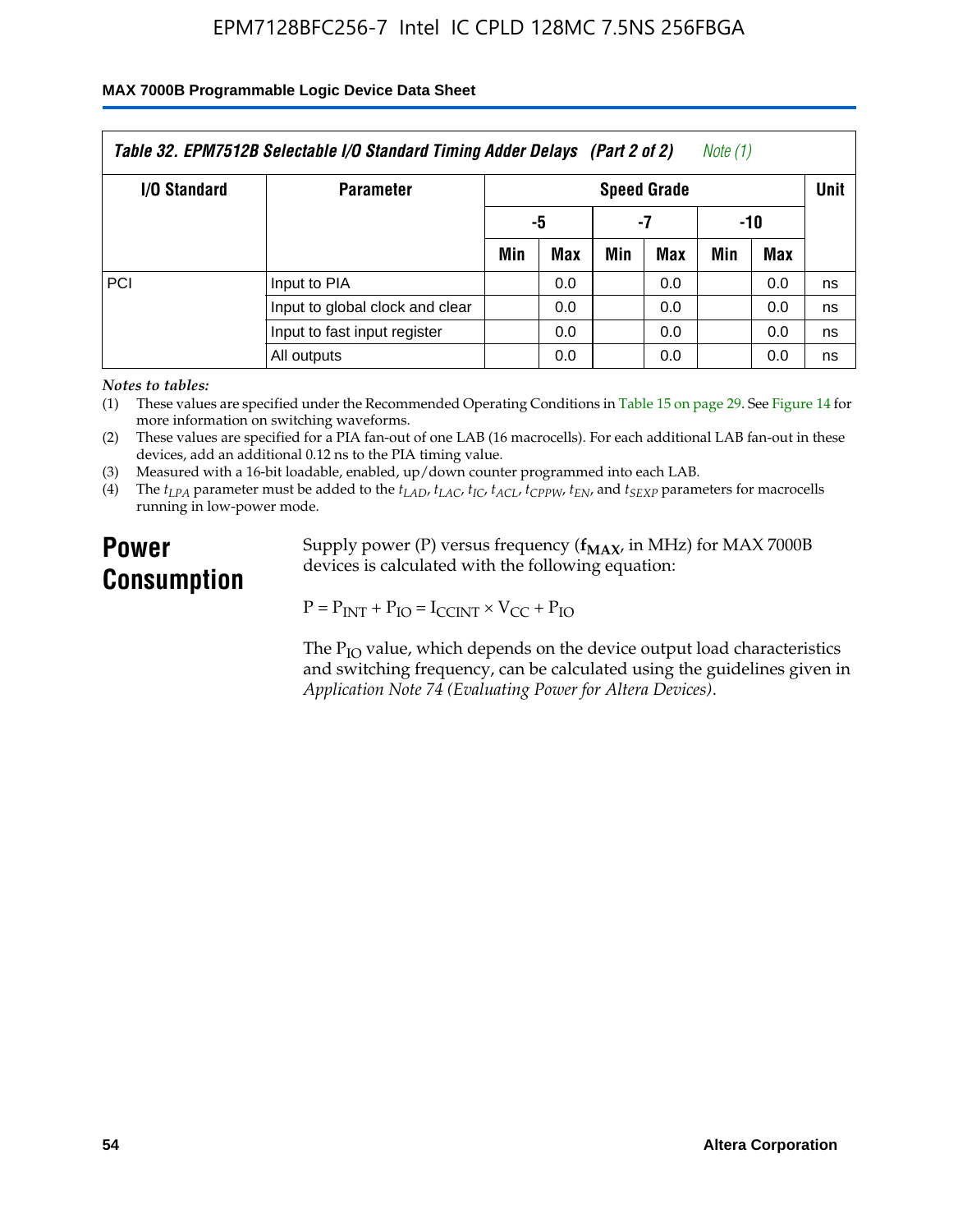### **MAX 7000B Programmable Logic Device Data Sheet**

| Table 32. EPM7512B Selectable I/O Standard Timing Adder Delays (Part 2 of 2)<br>Note (1) |                                 |                    |     |     |     |             |            |    |  |
|------------------------------------------------------------------------------------------|---------------------------------|--------------------|-----|-----|-----|-------------|------------|----|--|
| <b>I/O Standard</b>                                                                      | <b>Parameter</b>                | <b>Speed Grade</b> |     |     |     | <b>Unit</b> |            |    |  |
|                                                                                          |                                 |                    | -5  |     | -7  | -10         |            |    |  |
|                                                                                          |                                 | Min                | Max | Min | Max | Min         | <b>Max</b> |    |  |
| PCI                                                                                      | Input to PIA                    |                    | 0.0 |     | 0.0 |             | 0.0        | ns |  |
|                                                                                          | Input to global clock and clear |                    | 0.0 |     | 0.0 |             | 0.0        | ns |  |
|                                                                                          | Input to fast input register    |                    | 0.0 |     | 0.0 |             | 0.0        | ns |  |
|                                                                                          | All outputs                     |                    | 0.0 |     | 0.0 |             | 0.0        | ns |  |

*Notes to tables:*

(1) These values are specified under the Recommended Operating Conditions in Table 15 on page 29. See Figure 14 for more information on switching waveforms.

(2) These values are specified for a PIA fan-out of one LAB (16 macrocells). For each additional LAB fan-out in these devices, add an additional 0.12 ns to the PIA timing value.

(3) Measured with a 16-bit loadable, enabled, up/down counter programmed into each LAB.

(4) The  $t_{LPA}$  parameter must be added to the  $t_{LAD}$ ,  $t_{LAC}$ ,  $t_{IC}$ ,  $t_{ACL}$ ,  $t_{CPPW}$ ,  $t_{EN}$ , and  $t_{SEXP}$  parameters for macrocells running in low-power mode.

# **Power Consumption**

Supply power (P) versus frequency ( $f_{MAX}$ , in MHz) for MAX 7000B devices is calculated with the following equation:

 $P = P_{INT} + P_{IO} = I_{CCINT} \times V_{CC} + P_{IO}$ 

The  $P_{IO}$  value, which depends on the device output load characteristics and switching frequency, can be calculated using the guidelines given in *Application Note 74 (Evaluating Power for Altera Devices)*.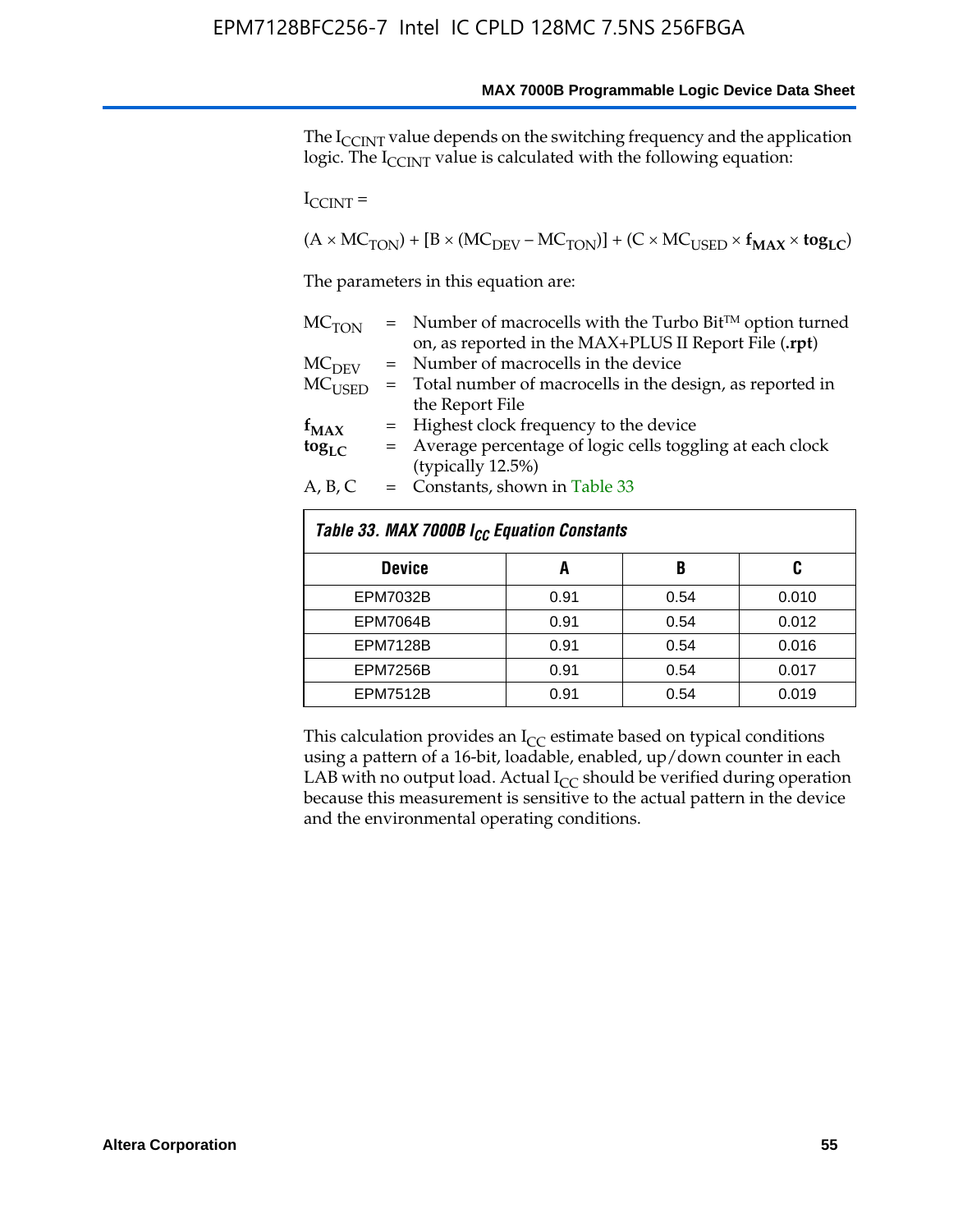The I<sub>CCINT</sub> value depends on the switching frequency and the application logic. The  $I_{\text{CCINT}}$  value is calculated with the following equation:

 $I_{\text{CCINT}} =$ 

 $(A \times MC_{TON}) + [B \times (MC_{DEV} - MC_{TON})] + (C \times MC_{USED} \times f_{MAX} \times to_{LC})$ 

The parameters in this equation are:

| MC <sub>TON</sub> | $=$ Number of macrocells with the Turbo Bit <sup>TM</sup> option turned |
|-------------------|-------------------------------------------------------------------------|
|                   | on, as reported in the MAX+PLUS II Report File (.rpt)                   |
| MC <sub>DFV</sub> | = Number of macrocells in the device                                    |
| $MC_{LISED}$      | = Total number of macrocells in the design, as reported in              |
|                   | the Report File                                                         |
| $f_{MAX}$         | = Highest clock frequency to the device                                 |
| $tog_{LC}$        | = Average percentage of logic cells toggling at each clock              |
|                   | (typically 12.5%)                                                       |
| A, B, C           | $=$ Constants, shown in Table 33                                        |

| Table 33. MAX 7000B I <sub>CC</sub> Equation Constants |      |      |       |  |  |  |  |
|--------------------------------------------------------|------|------|-------|--|--|--|--|
| <b>Device</b>                                          | A    | B    | C     |  |  |  |  |
| <b>EPM7032B</b>                                        | 0.91 | 0.54 | 0.010 |  |  |  |  |
| <b>EPM7064B</b>                                        | 0.91 | 0.54 | 0.012 |  |  |  |  |
| <b>EPM7128B</b>                                        | 0.91 | 0.54 | 0.016 |  |  |  |  |
| <b>EPM7256B</b>                                        | 0.91 | 0.54 | 0.017 |  |  |  |  |
| <b>EPM7512B</b>                                        | 0.91 | 0.54 | 0.019 |  |  |  |  |

This calculation provides an  $I_{CC}$  estimate based on typical conditions using a pattern of a 16-bit, loadable, enabled, up/down counter in each LAB with no output load. Actual  $I_{CC}$  should be verified during operation because this measurement is sensitive to the actual pattern in the device and the environmental operating conditions.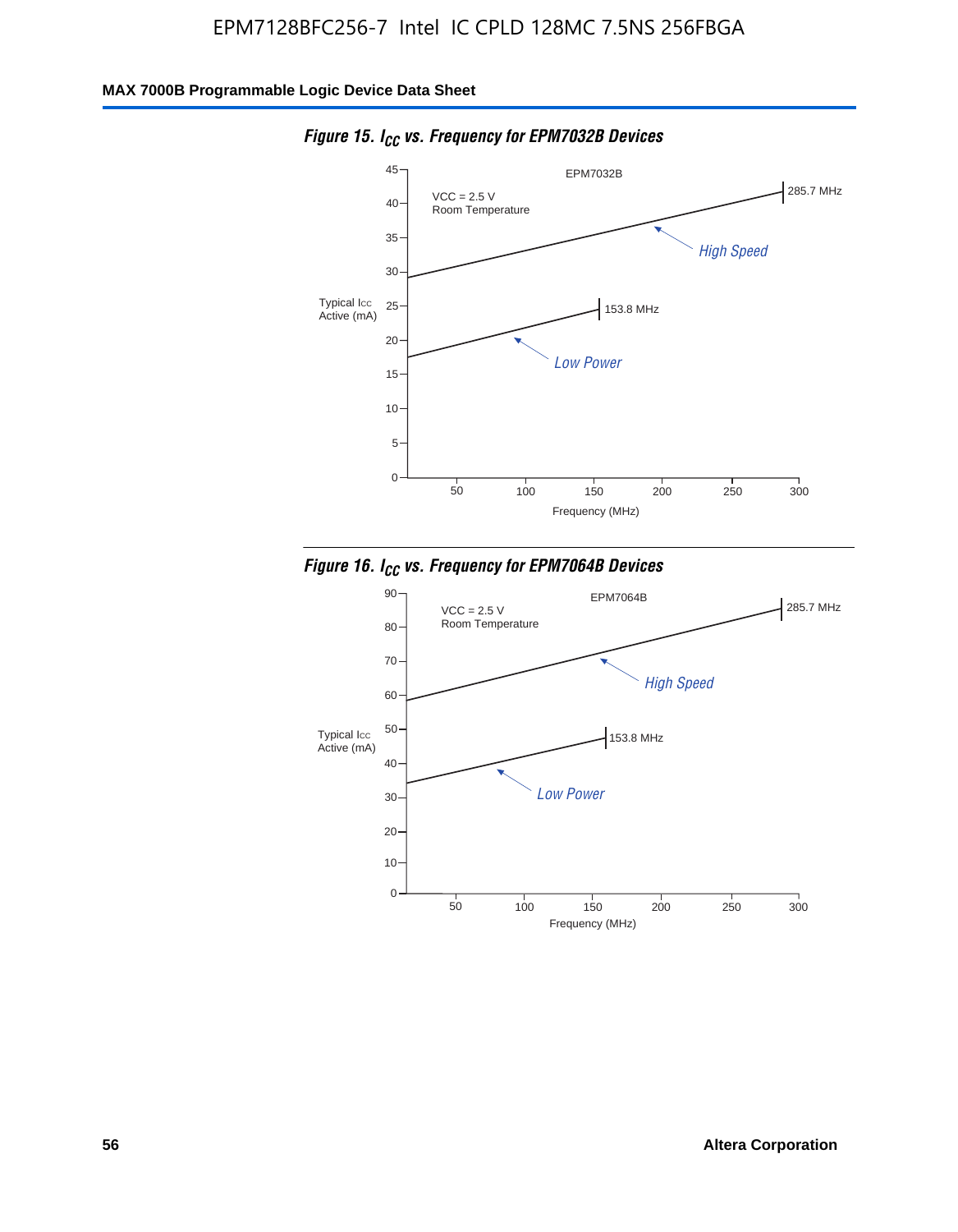

*Figure 15. ICC vs. Frequency for EPM7032B Devices*



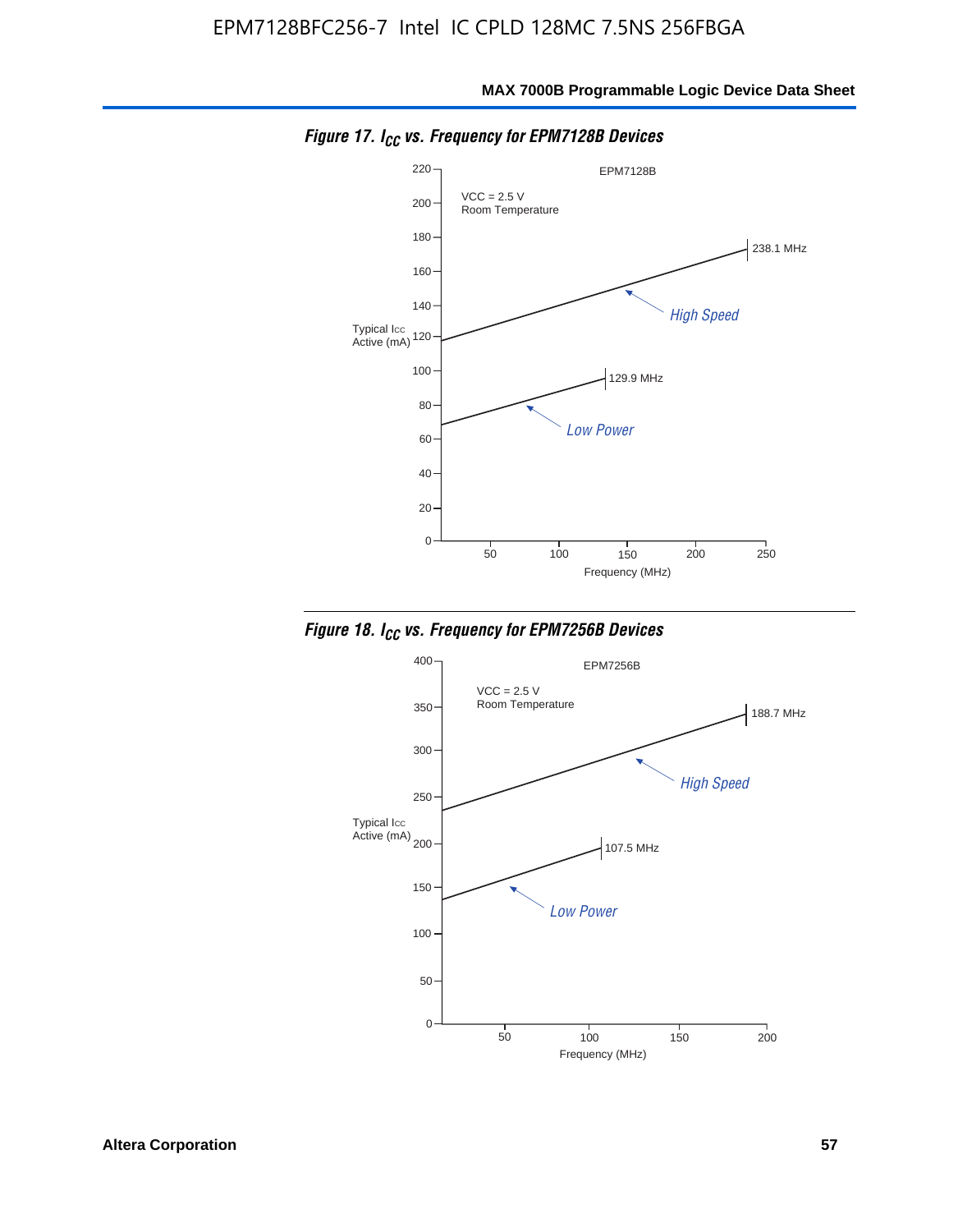

*Figure 17. ICC vs. Frequency for EPM7128B Devices*



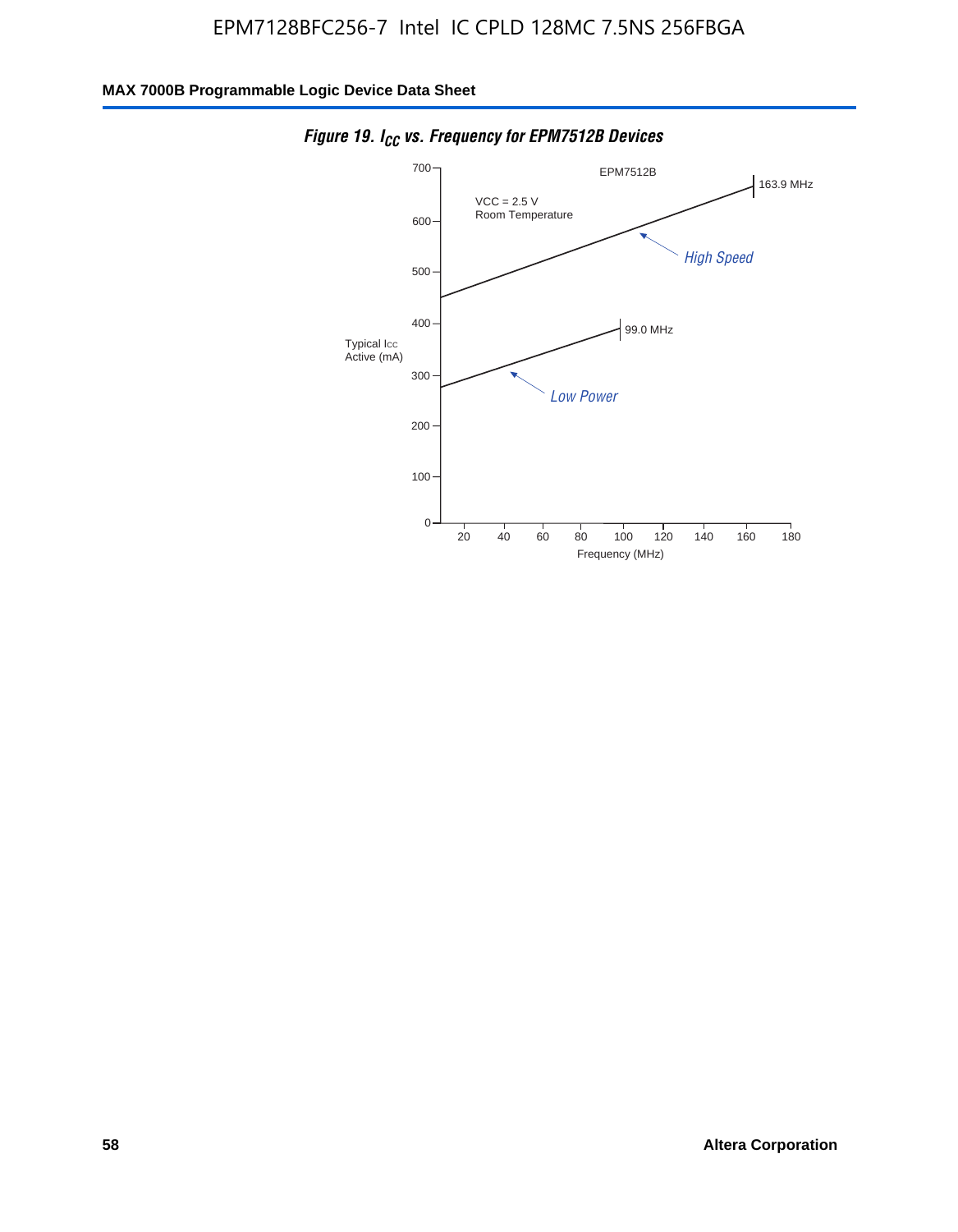

*Figure 19. I<sub>CC</sub> vs. Frequency for EPM7512B Devices*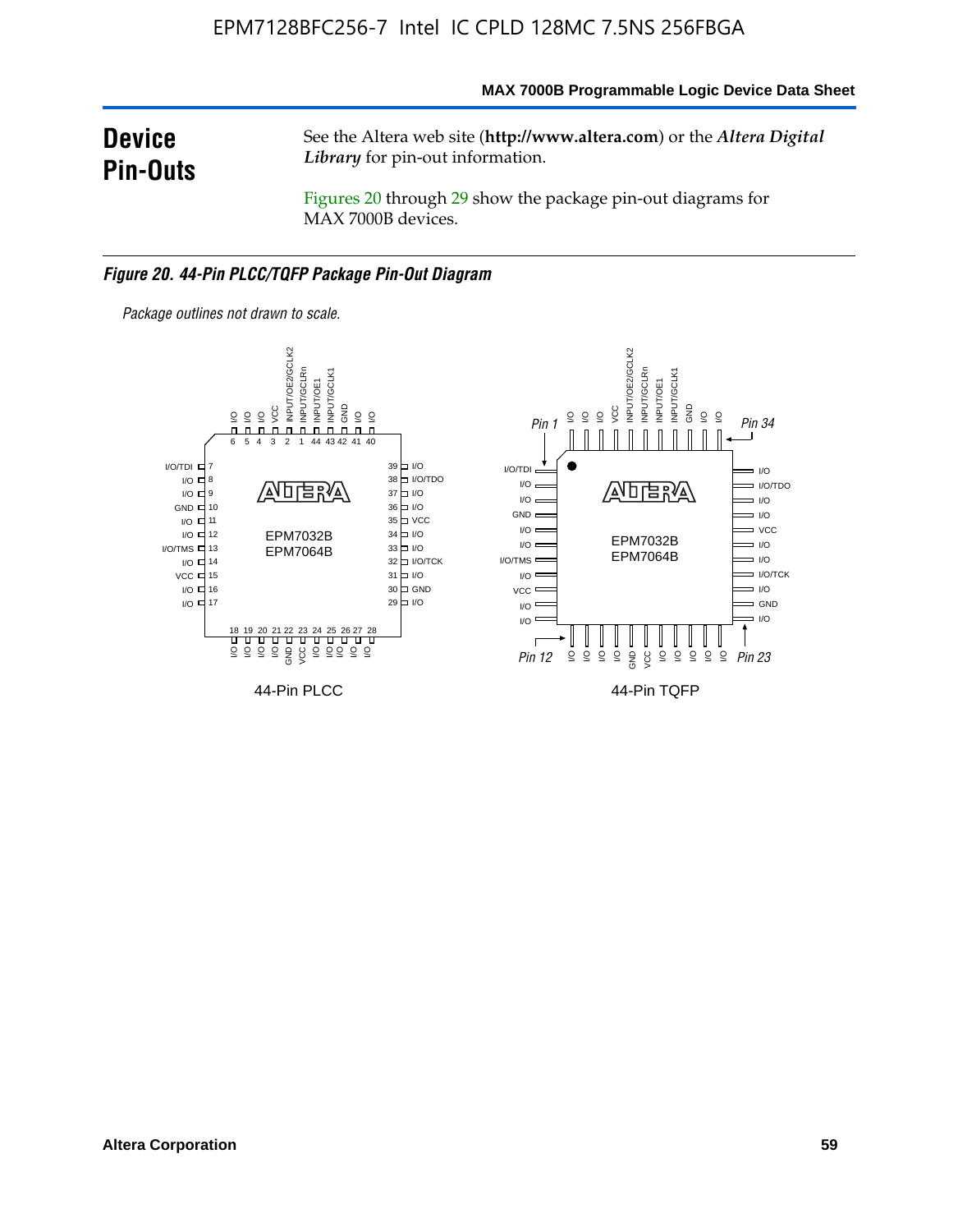### **MAX 7000B Programmable Logic Device Data Sheet**

# **Device Pin-Outs**

See the Altera web site (**http://www.altera.com**) or the *Altera Digital Library* for pin-out information.

Figures 20 through 29 show the package pin-out diagrams for MAX 7000B devices.

#### *Figure 20. 44-Pin PLCC/TQFP Package Pin-Out Diagram*



*Package outlines not drawn to scale.*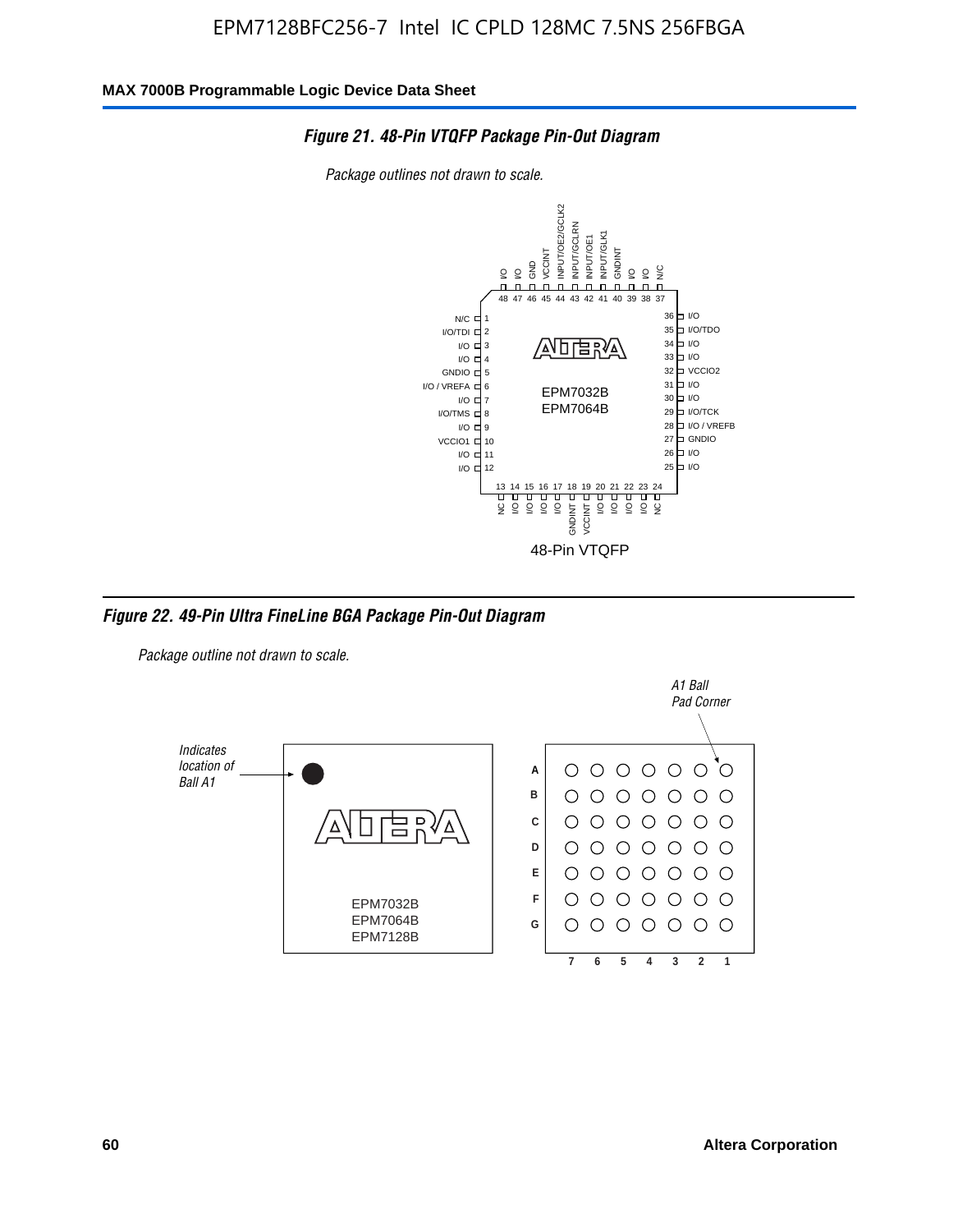

*Package outlines not drawn to scale.*



*Figure 22. 49-Pin Ultra FineLine BGA Package Pin-Out Diagram*

*Package outline not drawn to scale.*

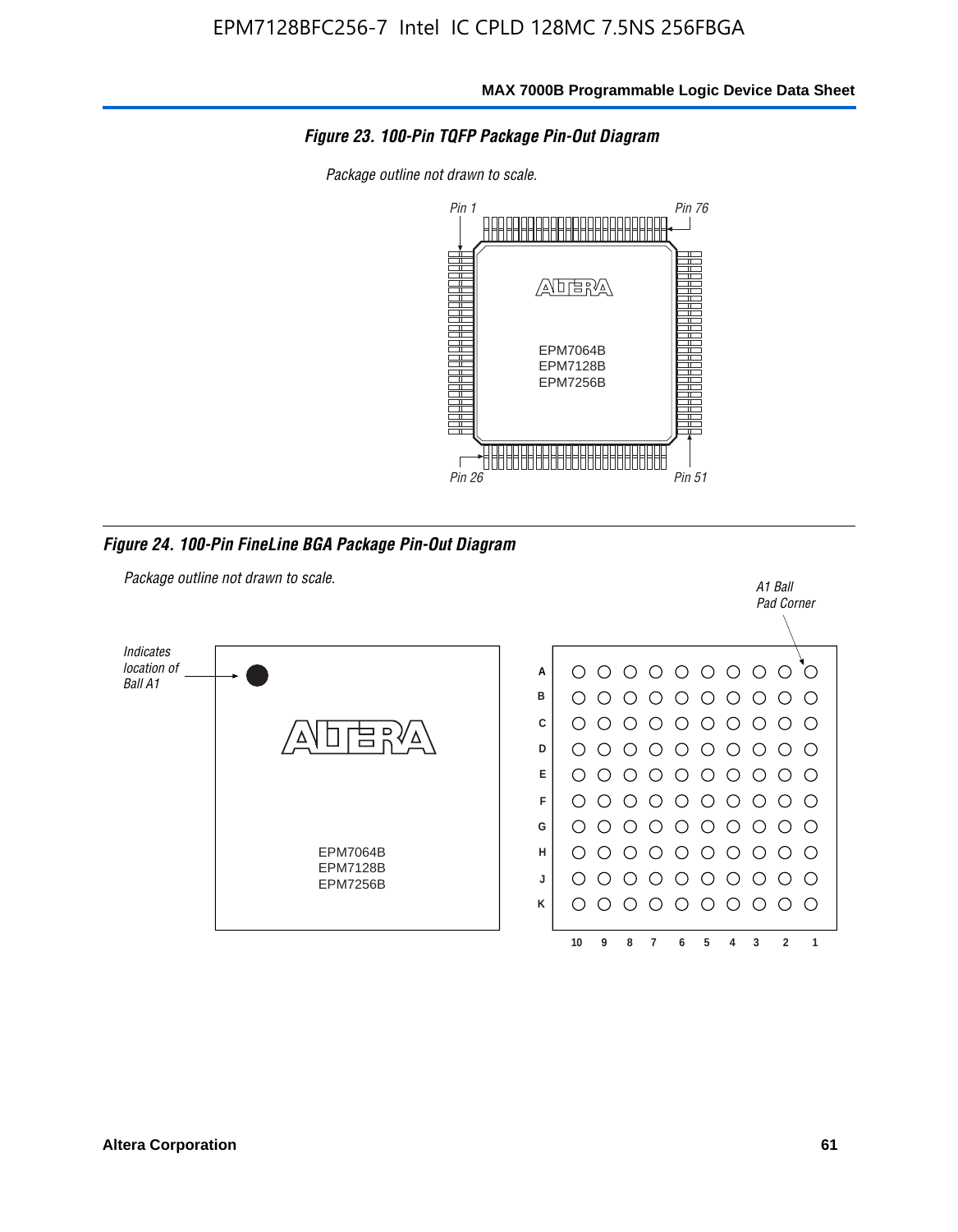

*Package outline not drawn to scale.*



*Figure 24. 100-Pin FineLine BGA Package Pin-Out Diagram*

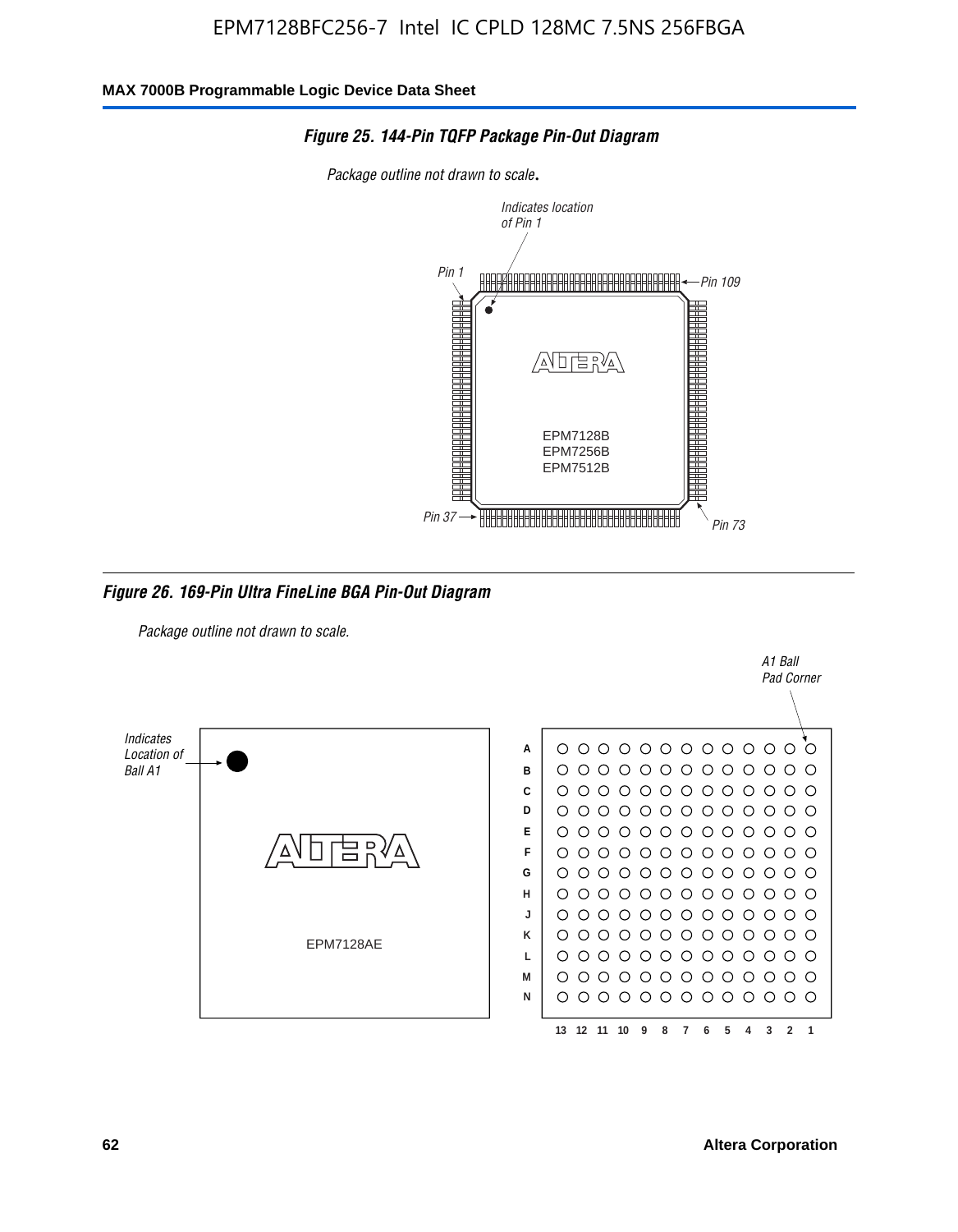

#### *Figure 25. 144-Pin TQFP Package Pin-Out Diagram*

*Package outline not drawn to scale*.

*Figure 26. 169-Pin Ultra FineLine BGA Pin-Out Diagram*

*Package outline not drawn to scale.*



A1 Ball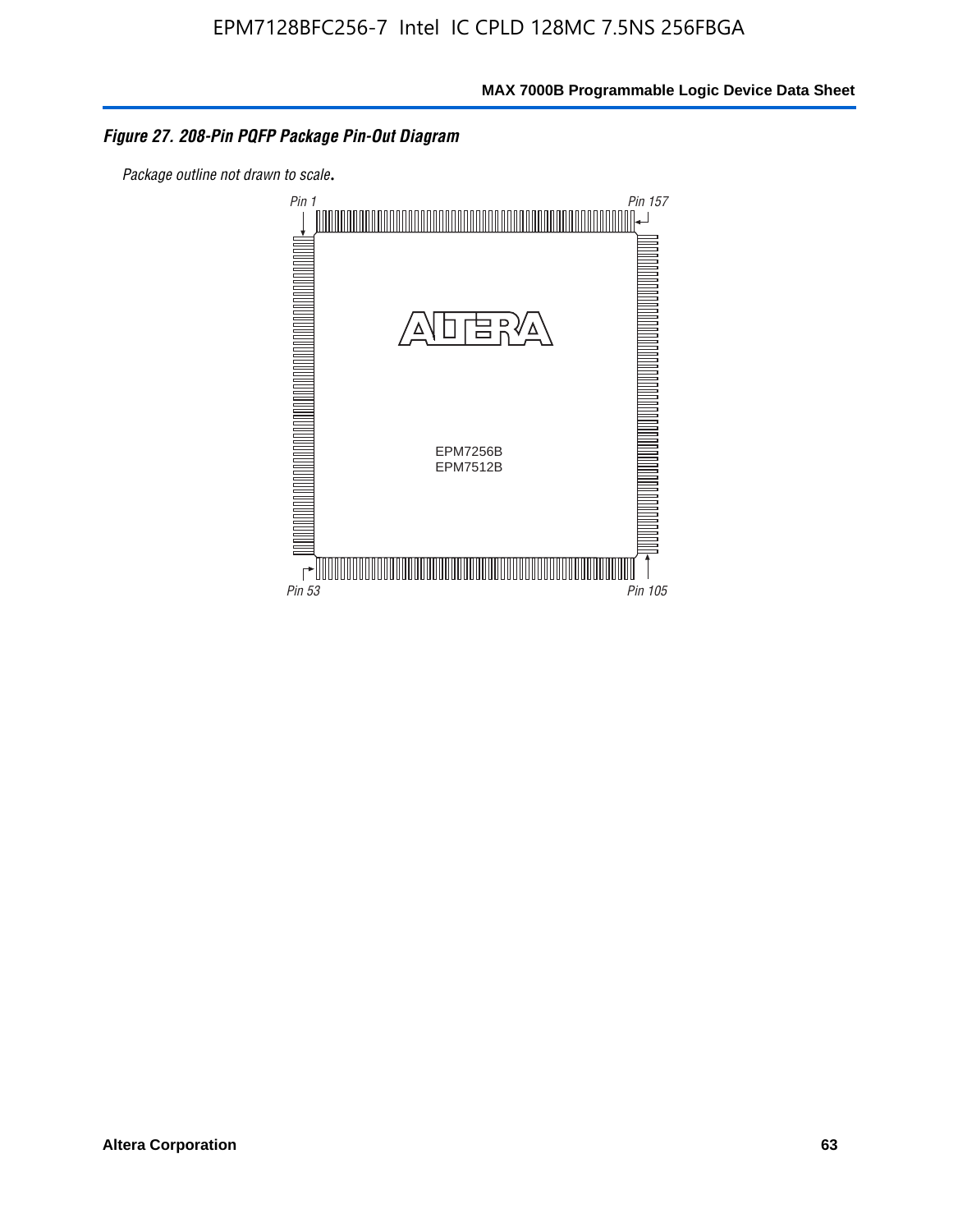### *Figure 27. 208-Pin PQFP Package Pin-Out Diagram*

*Package outline not drawn to scale*.

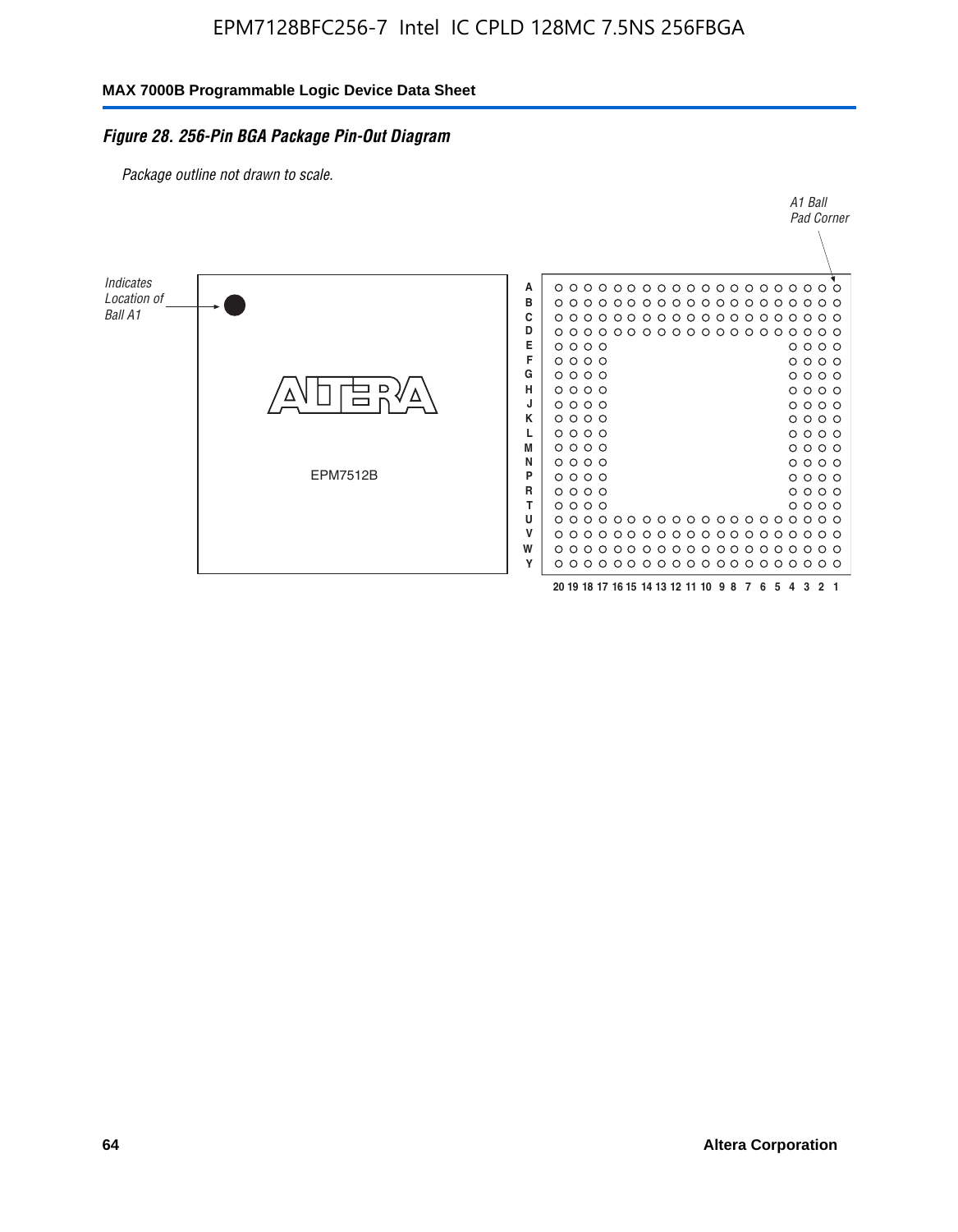### *Figure 28. 256-Pin BGA Package Pin-Out Diagram*

*Package outline not drawn to scale.*

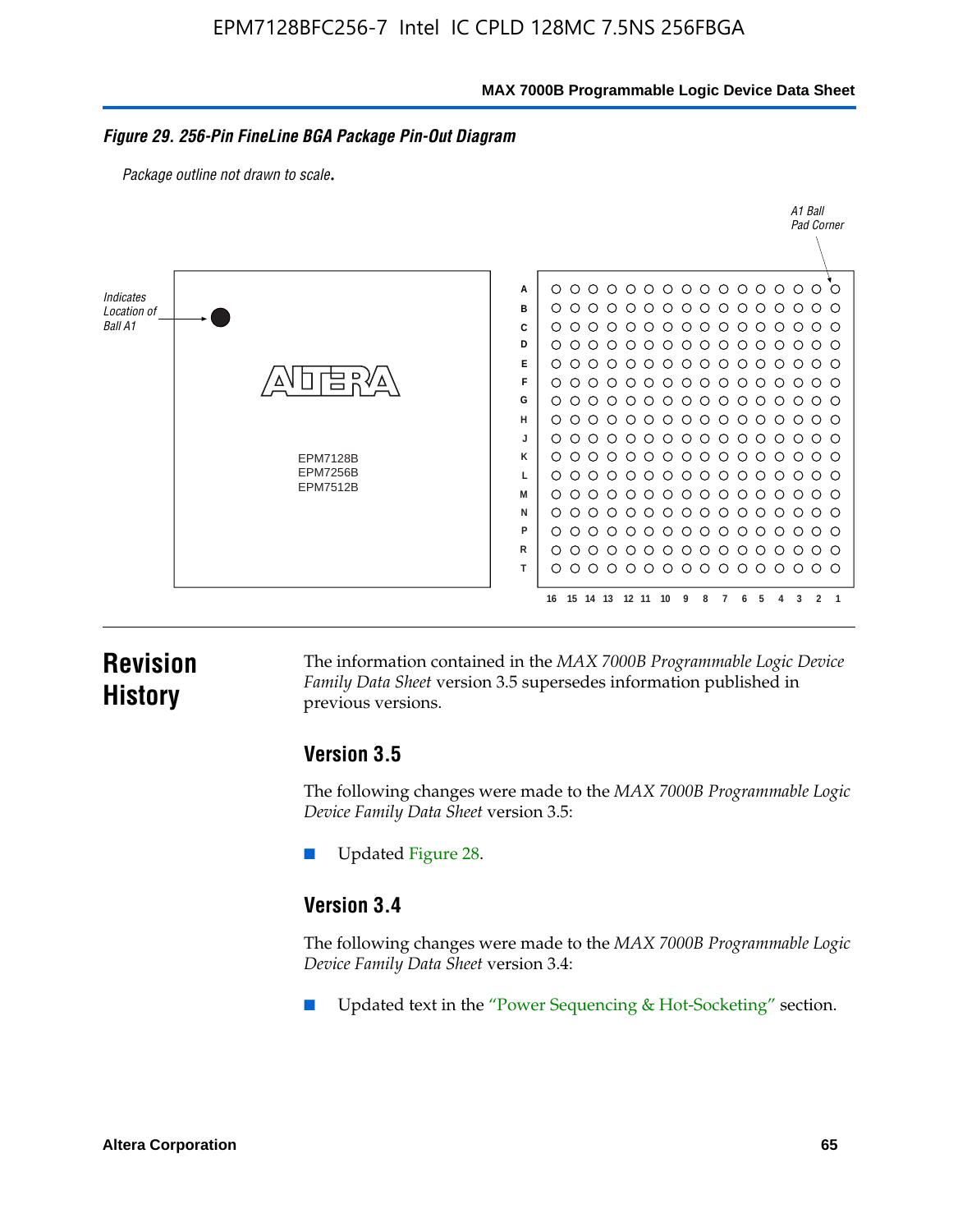**MAX 7000B Programmable Logic Device Data Sheet**

#### *Figure 29. 256-Pin FineLine BGA Package Pin-Out Diagram*

*Package outline not drawn to scale*.



# **Revision History**

The information contained in the *MAX 7000B Programmable Logic Device Family Data Sheet* version 3.5 supersedes information published in previous versions.

### **Version 3.5**

The following changes were made to the *MAX 7000B Programmable Logic Device Family Data Sheet* version 3.5:

Updated Figure 28.

### **Version 3.4**

The following changes were made to the *MAX 7000B Programmable Logic Device Family Data Sheet* version 3.4:

Updated text in the "Power Sequencing & Hot-Socketing" section.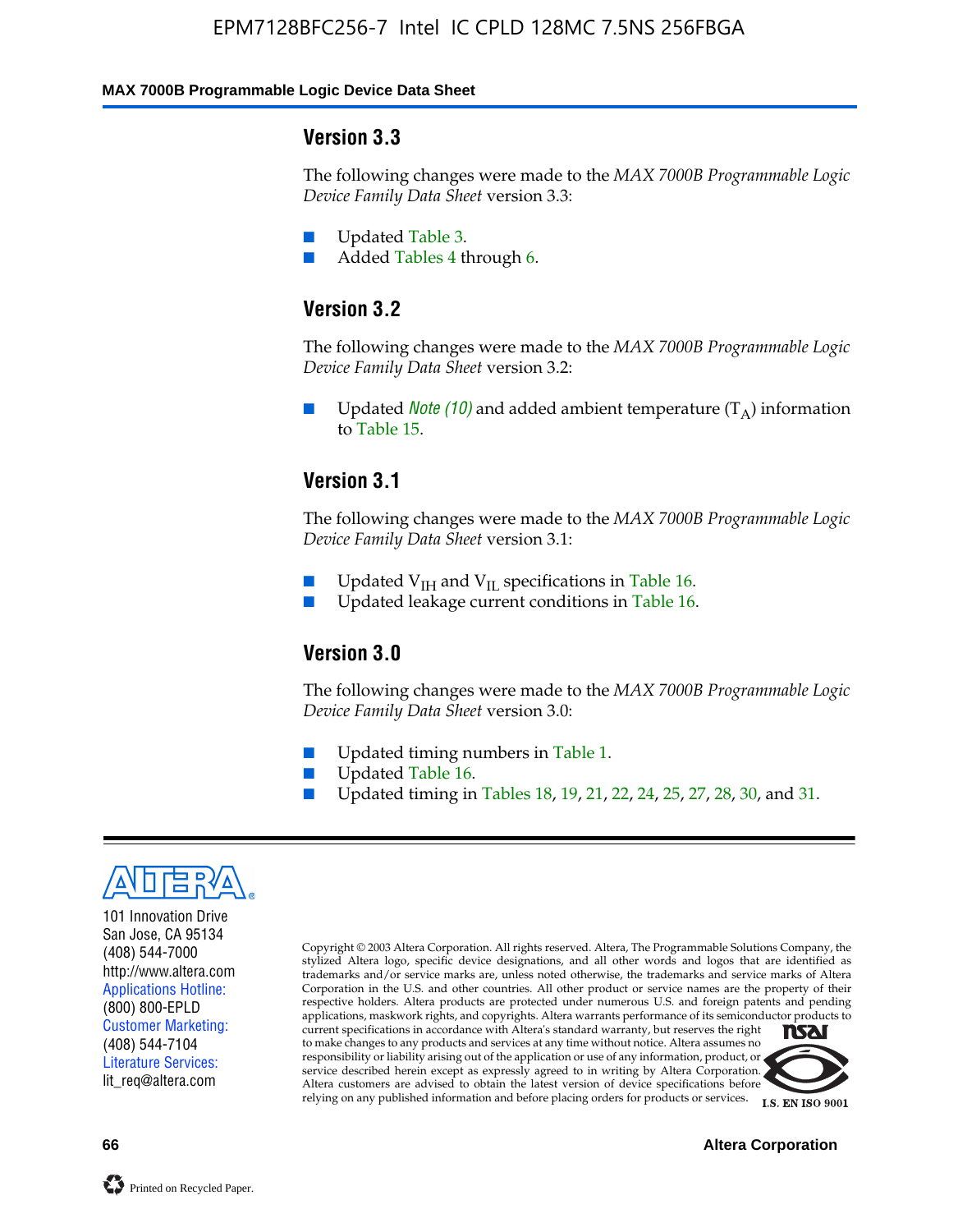#### **MAX 7000B Programmable Logic Device Data Sheet**

### **Version 3.3**

The following changes were made to the *MAX 7000B Programmable Logic Device Family Data Sheet* version 3.3:

- Updated Table 3.
- Added Tables 4 through 6.

# **Version 3.2**

The following changes were made to the *MAX 7000B Programmable Logic Device Family Data Sheet* version 3.2:

Updated *Note* (10) and added ambient temperature  $(T_A)$  information to Table 15.

### **Version 3.1**

The following changes were made to the *MAX 7000B Programmable Logic Device Family Data Sheet* version 3.1:

- Updated  $V_{\text{IH}}$  and  $V_{\text{II}}$  specifications in Table 16.
- Updated leakage current conditions in Table 16.

### **Version 3.0**

The following changes were made to the *MAX 7000B Programmable Logic Device Family Data Sheet* version 3.0:

- Updated timing numbers in Table 1.
- Updated Table 16.
- Updated timing in Tables 18, 19, 21, 22, 24, 25, 27, 28, 30, and 31.



101 Innovation Drive San Jose, CA 95134 (408) 544-7000 http://www.altera.com Applications Hotline: (800) 800-EPLD Customer Marketing: (408) 544-7104 Literature Services: lit\_req@altera.com

Copyright © 2003 Altera Corporation. All rights reserved. Altera, The Programmable Solutions Company, the stylized Altera logo, specific device designations, and all other words and logos that are identified as trademarks and/or service marks are, unless noted otherwise, the trademarks and service marks of Altera Corporation in the U.S. and other countries. All other product or service names are the property of their respective holders. Altera products are protected under numerous U.S. and foreign patents and pending applications, maskwork rights, and copyrights. Altera warrants performance of its semiconductor products to current specifications in accordance with Altera's standard warranty, but reserves the right **TSAI** to make changes to any products and services at any time without notice. Altera assumes no responsibility or liability arising out of the application or use of any information, product, or service described herein except as expressly agreed to in writing by Altera Corporation.

Altera customers are advised to obtain the latest version of device specifications before relying on any published information and before placing orders for products or services.



**66 Altera Corporation**